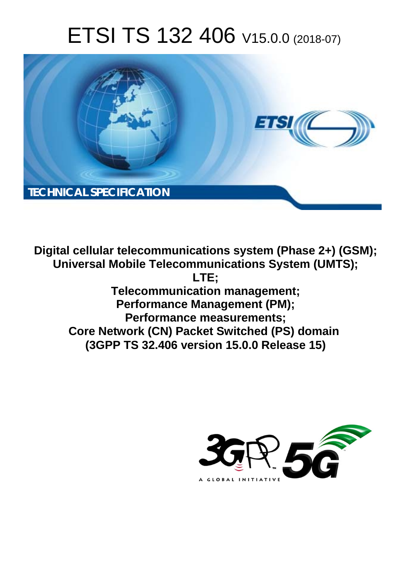# ETSI TS 132 406 V15.0.0 (2018-07)



**Digital cellular telecommunications system (Phase 2+) (GSM); Universal Mobile Telecommunications System (UMTS); LTE; Telecommunication management; Performance Management (PM); Performance measurements; Core Network (CN) Packet Switched (PS) domain (3GPP TS 32.406 version 15.0.0 Release 15)** 

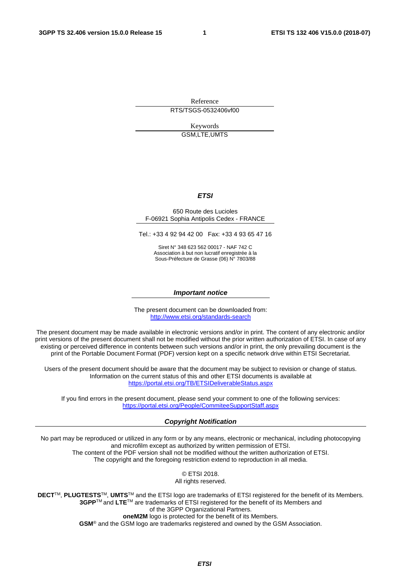Reference RTS/TSGS-0532406vf00

> Keywords GSM,LTE,UMTS

#### *ETSI*

#### 650 Route des Lucioles F-06921 Sophia Antipolis Cedex - FRANCE

Tel.: +33 4 92 94 42 00 Fax: +33 4 93 65 47 16

Siret N° 348 623 562 00017 - NAF 742 C Association à but non lucratif enregistrée à la Sous-Préfecture de Grasse (06) N° 7803/88

#### *Important notice*

The present document can be downloaded from: <http://www.etsi.org/standards-search>

The present document may be made available in electronic versions and/or in print. The content of any electronic and/or print versions of the present document shall not be modified without the prior written authorization of ETSI. In case of any existing or perceived difference in contents between such versions and/or in print, the only prevailing document is the print of the Portable Document Format (PDF) version kept on a specific network drive within ETSI Secretariat.

Users of the present document should be aware that the document may be subject to revision or change of status. Information on the current status of this and other ETSI documents is available at <https://portal.etsi.org/TB/ETSIDeliverableStatus.aspx>

If you find errors in the present document, please send your comment to one of the following services: <https://portal.etsi.org/People/CommiteeSupportStaff.aspx>

#### *Copyright Notification*

No part may be reproduced or utilized in any form or by any means, electronic or mechanical, including photocopying and microfilm except as authorized by written permission of ETSI. The content of the PDF version shall not be modified without the written authorization of ETSI. The copyright and the foregoing restriction extend to reproduction in all media.

> © ETSI 2018. All rights reserved.

**DECT**TM, **PLUGTESTS**TM, **UMTS**TM and the ETSI logo are trademarks of ETSI registered for the benefit of its Members. **3GPP**TM and **LTE**TM are trademarks of ETSI registered for the benefit of its Members and of the 3GPP Organizational Partners. **oneM2M** logo is protected for the benefit of its Members.

**GSM**® and the GSM logo are trademarks registered and owned by the GSM Association.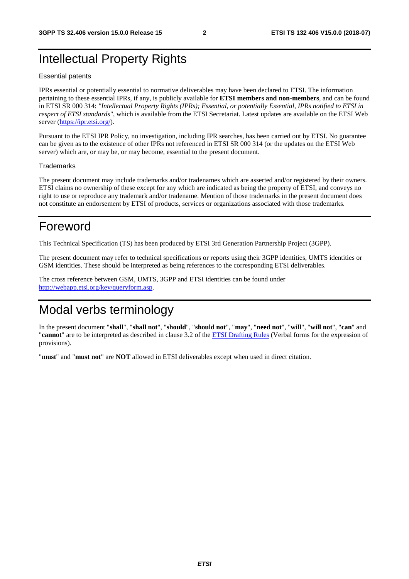### Intellectual Property Rights

#### Essential patents

IPRs essential or potentially essential to normative deliverables may have been declared to ETSI. The information pertaining to these essential IPRs, if any, is publicly available for **ETSI members and non-members**, and can be found in ETSI SR 000 314: *"Intellectual Property Rights (IPRs); Essential, or potentially Essential, IPRs notified to ETSI in respect of ETSI standards"*, which is available from the ETSI Secretariat. Latest updates are available on the ETSI Web server ([https://ipr.etsi.org/\)](https://ipr.etsi.org/).

Pursuant to the ETSI IPR Policy, no investigation, including IPR searches, has been carried out by ETSI. No guarantee can be given as to the existence of other IPRs not referenced in ETSI SR 000 314 (or the updates on the ETSI Web server) which are, or may be, or may become, essential to the present document.

#### **Trademarks**

The present document may include trademarks and/or tradenames which are asserted and/or registered by their owners. ETSI claims no ownership of these except for any which are indicated as being the property of ETSI, and conveys no right to use or reproduce any trademark and/or tradename. Mention of those trademarks in the present document does not constitute an endorsement by ETSI of products, services or organizations associated with those trademarks.

### Foreword

This Technical Specification (TS) has been produced by ETSI 3rd Generation Partnership Project (3GPP).

The present document may refer to technical specifications or reports using their 3GPP identities, UMTS identities or GSM identities. These should be interpreted as being references to the corresponding ETSI deliverables.

The cross reference between GSM, UMTS, 3GPP and ETSI identities can be found under [http://webapp.etsi.org/key/queryform.asp.](http://webapp.etsi.org/key/queryform.asp)

### Modal verbs terminology

In the present document "**shall**", "**shall not**", "**should**", "**should not**", "**may**", "**need not**", "**will**", "**will not**", "**can**" and "**cannot**" are to be interpreted as described in clause 3.2 of the [ETSI Drafting Rules](https://portal.etsi.org/Services/editHelp!/Howtostart/ETSIDraftingRules.aspx) (Verbal forms for the expression of provisions).

"**must**" and "**must not**" are **NOT** allowed in ETSI deliverables except when used in direct citation.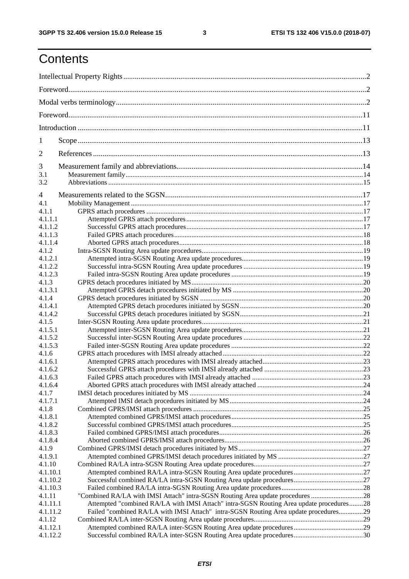## **Contents**

| 1                  |                                                                                         |  |
|--------------------|-----------------------------------------------------------------------------------------|--|
| 2                  |                                                                                         |  |
|                    |                                                                                         |  |
| 3<br>3.1           |                                                                                         |  |
| 3.2                |                                                                                         |  |
|                    |                                                                                         |  |
| 4                  |                                                                                         |  |
| 4.1                |                                                                                         |  |
| 4.1.1              |                                                                                         |  |
| 4.1.1.1<br>4.1.1.2 |                                                                                         |  |
| 4.1.1.3            |                                                                                         |  |
| 4.1.1.4            |                                                                                         |  |
| 4.1.2              |                                                                                         |  |
| 4.1.2.1            |                                                                                         |  |
| 4.1.2.2            |                                                                                         |  |
| 4.1.2.3            |                                                                                         |  |
| 4.1.3              |                                                                                         |  |
| 4.1.3.1            |                                                                                         |  |
| 4.1.4              |                                                                                         |  |
| 4.1.4.1            |                                                                                         |  |
| 4.1.4.2            |                                                                                         |  |
| 4.1.5              |                                                                                         |  |
| 4.1.5.1            |                                                                                         |  |
| 4.1.5.2            |                                                                                         |  |
| 4.1.5.3            |                                                                                         |  |
| 4.1.6              |                                                                                         |  |
| 4.1.6.1<br>4.1.6.2 |                                                                                         |  |
| 4.1.6.3            |                                                                                         |  |
| 4.1.6.4            |                                                                                         |  |
| 4.1.7              |                                                                                         |  |
| 4.1.7.1            |                                                                                         |  |
| 4.1.8              |                                                                                         |  |
| 4.1.8.1            |                                                                                         |  |
| 4.1.8.2            |                                                                                         |  |
| 4.1.8.3            |                                                                                         |  |
| 4.1.8.4            |                                                                                         |  |
| 4.1.9              |                                                                                         |  |
| 4.1.9.1            |                                                                                         |  |
| 4.1.10             |                                                                                         |  |
| 4.1.10.1           |                                                                                         |  |
| 4.1.10.2           |                                                                                         |  |
| 4.1.10.3<br>4.1.11 | "Combined RA/LA with IMSI Attach" intra-SGSN Routing Area update procedures 28          |  |
| 4.1.11.1           | Attempted "combined RA/LA with IMSI Attach" intra-SGSN Routing Area update procedures28 |  |
| 4.1.11.2           | Failed "combined RA/LA with IMSI Attach" intra-SGSN Routing Area update procedures29    |  |
| 4.1.12             |                                                                                         |  |
| 4.1.12.1           |                                                                                         |  |
| 4.1.12.2           |                                                                                         |  |
|                    |                                                                                         |  |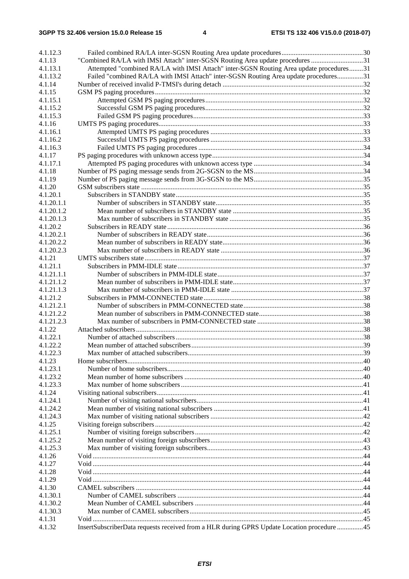| 4.1.12.3           |                                                                                            |  |
|--------------------|--------------------------------------------------------------------------------------------|--|
| 4.1.13             | "Combined RA/LA with IMSI Attach" inter-SGSN Routing Area update procedures 31             |  |
| 4.1.13.1           | Attempted "combined RA/LA with IMSI Attach" inter-SGSN Routing Area update procedures31    |  |
| 4.1.13.2           | Failed "combined RA/LA with IMSI Attach" inter-SGSN Routing Area update procedures31       |  |
| 4.1.14             |                                                                                            |  |
| 4.1.15             |                                                                                            |  |
| 4.1.15.1           |                                                                                            |  |
| 4.1.15.2           |                                                                                            |  |
| 4.1.15.3           |                                                                                            |  |
| 4.1.16             |                                                                                            |  |
| 4.1.16.1           |                                                                                            |  |
| 4.1.16.2           |                                                                                            |  |
| 4.1.16.3           |                                                                                            |  |
| 4.1.17             |                                                                                            |  |
| 4.1.17.1           |                                                                                            |  |
| 4.1.18<br>4.1.19   |                                                                                            |  |
| 4.1.20             |                                                                                            |  |
| 4.1.20.1           |                                                                                            |  |
| 4.1.20.1.1         |                                                                                            |  |
| 4.1.20.1.2         |                                                                                            |  |
| 4.1.20.1.3         |                                                                                            |  |
| 4.1.20.2           |                                                                                            |  |
| 4.1.20.2.1         |                                                                                            |  |
| 4.1.20.2.2         |                                                                                            |  |
| 4.1.20.2.3         |                                                                                            |  |
| 4.1.21             |                                                                                            |  |
| 4.1.21.1           |                                                                                            |  |
| 4.1.21.1.1         |                                                                                            |  |
| 4.1.21.1.2         |                                                                                            |  |
| 4.1.21.1.3         |                                                                                            |  |
| 4.1.21.2           |                                                                                            |  |
| 4.1.21.2.1         |                                                                                            |  |
| 4.1.21.2.2         |                                                                                            |  |
| 4.1.21.2.3         |                                                                                            |  |
| 4.1.22             |                                                                                            |  |
| 4.1.22.1           |                                                                                            |  |
| 4.1.22.2           |                                                                                            |  |
| 4.1.22.3           |                                                                                            |  |
| 4.1.23             |                                                                                            |  |
| 4.1.23.1           |                                                                                            |  |
| 4.1.23.2           |                                                                                            |  |
| 4.1.23.3<br>4.1.24 |                                                                                            |  |
| 4.1.24.1           |                                                                                            |  |
| 4.1.24.2           |                                                                                            |  |
| 4.1.24.3           |                                                                                            |  |
| 4.1.25             |                                                                                            |  |
| 4.1.25.1           |                                                                                            |  |
| 4.1.25.2           |                                                                                            |  |
| 4.1.25.3           |                                                                                            |  |
| 4.1.26             |                                                                                            |  |
| 4.1.27             |                                                                                            |  |
| 4.1.28             |                                                                                            |  |
| 4.1.29             |                                                                                            |  |
| 4.1.30             |                                                                                            |  |
| 4.1.30.1           |                                                                                            |  |
| 4.1.30.2           |                                                                                            |  |
| 4.1.30.3           |                                                                                            |  |
| 4.1.31             |                                                                                            |  |
| 4.1.32             | InsertSubscriberData requests received from a HLR during GPRS Update Location procedure 45 |  |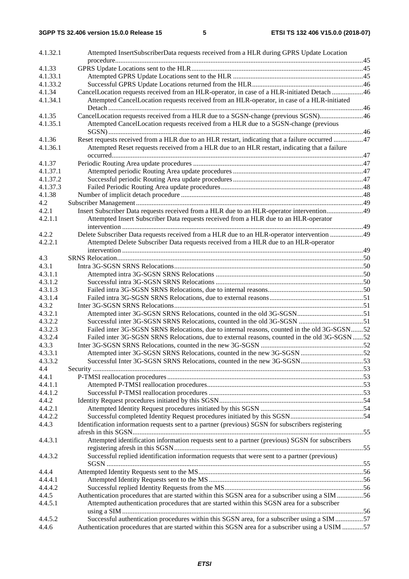| 4.1.32.1         | Attempted InsertSubscriberData requests received from a HLR during GPRS Update Location           |  |
|------------------|---------------------------------------------------------------------------------------------------|--|
| 4.1.33           |                                                                                                   |  |
| 4.1.33.1         |                                                                                                   |  |
| 4.1.33.2         |                                                                                                   |  |
| 4.1.34           | CancelLocation requests received from an HLR-operator, in case of a HLR-initiated Detach 46       |  |
| 4.1.34.1         | Attempted CancelLocation requests received from an HLR-operator, in case of a HLR-initiated       |  |
|                  |                                                                                                   |  |
| 4.1.35           | CancelLocation requests received from a HLR due to a SGSN-change (previous SGSN)46                |  |
| 4.1.35.1         | Attempted CancelLocation requests received from a HLR due to a SGSN-change (previous              |  |
|                  |                                                                                                   |  |
| 4.1.36           | Reset requests received from a HLR due to an HLR restart, indicating that a failure occurred 47   |  |
| 4.1.36.1         | Attempted Reset requests received from a HLR due to an HLR restart, indicating that a failure     |  |
|                  |                                                                                                   |  |
| 4.1.37           |                                                                                                   |  |
| 4.1.37.1         |                                                                                                   |  |
| 4.1.37.2         |                                                                                                   |  |
| 4.1.37.3         |                                                                                                   |  |
| 4.1.38           |                                                                                                   |  |
| 4.2              |                                                                                                   |  |
| 4.2.1            | Insert Subscriber Data requests received from a HLR due to an HLR-operator intervention49         |  |
| 4.2.1.1          | Attempted Insert Subscriber Data requests received from a HLR due to an HLR-operator              |  |
|                  |                                                                                                   |  |
| 4.2.2            | Delete Subscriber Data requests received from a HLR due to an HLR-operator intervention 49        |  |
| 4.2.2.1          | Attempted Delete Subscriber Data requests received from a HLR due to an HLR-operator              |  |
|                  |                                                                                                   |  |
| 4.3              |                                                                                                   |  |
| 4.3.1            |                                                                                                   |  |
| 4.3.1.1          |                                                                                                   |  |
| 4.3.1.2          |                                                                                                   |  |
| 4.3.1.3          |                                                                                                   |  |
| 4.3.1.4<br>4.3.2 |                                                                                                   |  |
| 4.3.2.1          |                                                                                                   |  |
| 4.3.2.2          |                                                                                                   |  |
| 4.3.2.3          | Failed inter 3G-SGSN SRNS Relocations, due to internal reasons, counted in the old 3G-SGSN52      |  |
| 4.3.2.4          | Failed inter 3G-SGSN SRNS Relocations, due to external reasons, counted in the old 3G-SGSN 52     |  |
| 4.3.3            |                                                                                                   |  |
| 4.3.3.1          |                                                                                                   |  |
| 4.3.3.2          |                                                                                                   |  |
| 4.4              |                                                                                                   |  |
| 4.4.1            |                                                                                                   |  |
| 4.4.1.1          |                                                                                                   |  |
| 4.4.1.2          |                                                                                                   |  |
| 4.4.2            |                                                                                                   |  |
| 4.4.2.1          |                                                                                                   |  |
| 4.4.2.2          |                                                                                                   |  |
| 4.4.3            | Identification information requests sent to a partner (previous) SGSN for subscribers registering |  |
|                  |                                                                                                   |  |
| 4.4.3.1          | Attempted identification information requests sent to a partner (previous) SGSN for subscribers   |  |
|                  |                                                                                                   |  |
| 4.4.3.2          | Successful replied identification information requests that were sent to a partner (previous)     |  |
|                  |                                                                                                   |  |
| 4.4.4            |                                                                                                   |  |
| 4.4.4.1          |                                                                                                   |  |
| 4.4.4.2          |                                                                                                   |  |
| 4.4.5            | Authentication procedures that are started within this SGSN area for a subscriber using a SIM 56  |  |
| 4.4.5.1          | Attempted authentication procedures that are started within this SGSN area for a subscriber       |  |
|                  |                                                                                                   |  |
| 4.4.5.2          | Successful authentication procedures within this SGSN area, for a subscriber using a SIM 57       |  |
| 4.4.6            | Authentication procedures that are started within this SGSN area for a subscriber using a USIM 57 |  |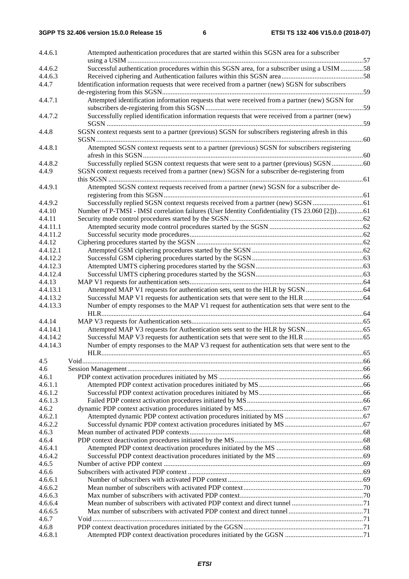| 4.4.6.1  | Attempted authentication procedures that are started within this SGSN area for a subscriber        |  |
|----------|----------------------------------------------------------------------------------------------------|--|
| 4.4.6.2  | Successful authentication procedures within this SGSN area, for a subscriber using a USIM 58       |  |
| 4.4.6.3  |                                                                                                    |  |
| 4.4.7    | Identification information requests that were received from a partner (new) SGSN for subscribers   |  |
|          |                                                                                                    |  |
| 4.4.7.1  | Attempted identification information requests that were received from a partner (new) SGSN for     |  |
|          |                                                                                                    |  |
| 4.4.7.2  | Successfully replied identification information requests that were received from a partner (new)   |  |
| 4.4.8    | SGSN context requests sent to a partner (previous) SGSN for subscribers registering afresh in this |  |
| 4.4.8.1  | Attempted SGSN context requests sent to a partner (previous) SGSN for subscribers registering      |  |
|          |                                                                                                    |  |
| 4.4.8.2  |                                                                                                    |  |
| 4.4.9    | SGSN context requests received from a partner (new) SGSN for a subscriber de-registering from      |  |
| 4.4.9.1  | Attempted SGSN context requests received from a partner (new) SGSN for a subscriber de-            |  |
|          |                                                                                                    |  |
| 4.4.9.2  |                                                                                                    |  |
| 4.4.10   | Number of P-TMSI - IMSI correlation failures (User Identity Confidentiality (TS 23.060 [2]))61     |  |
| 4.4.11   |                                                                                                    |  |
| 4.4.11.1 |                                                                                                    |  |
| 4.4.11.2 |                                                                                                    |  |
|          |                                                                                                    |  |
| 4.4.12   |                                                                                                    |  |
| 4.4.12.1 |                                                                                                    |  |
| 4.4.12.2 |                                                                                                    |  |
| 4.4.12.3 |                                                                                                    |  |
| 4.4.12.4 |                                                                                                    |  |
| 4.4.13   |                                                                                                    |  |
| 4.4.13.1 |                                                                                                    |  |
| 4.4.13.2 |                                                                                                    |  |
| 4.4.13.3 | Number of empty responses to the MAP V1 request for authentication sets that were sent to the      |  |
| 4.4.14   |                                                                                                    |  |
| 4.4.14.1 |                                                                                                    |  |
| 4.4.14.2 |                                                                                                    |  |
| 4.4.14.3 | Number of empty responses to the MAP V3 request for authentication sets that were sent to the      |  |
| 4.5      |                                                                                                    |  |
| 4.6      |                                                                                                    |  |
| 4.6.1    |                                                                                                    |  |
| 4.6.1.1  |                                                                                                    |  |
| 4.6.1.2  |                                                                                                    |  |
| 4.6.1.3  |                                                                                                    |  |
| 4.6.2    |                                                                                                    |  |
| 4.6.2.1  |                                                                                                    |  |
| 4.6.2.2  |                                                                                                    |  |
| 4.6.3    |                                                                                                    |  |
| 4.6.4    |                                                                                                    |  |
| 4.6.4.1  |                                                                                                    |  |
| 4.6.4.2  |                                                                                                    |  |
| 4.6.5    |                                                                                                    |  |
| 4.6.6    |                                                                                                    |  |
| 4.6.6.1  |                                                                                                    |  |
| 4.6.6.2  |                                                                                                    |  |
| 4.6.6.3  |                                                                                                    |  |
| 4.6.6.4  |                                                                                                    |  |
| 4.6.6.5  |                                                                                                    |  |
| 4.6.7    |                                                                                                    |  |
| 4.6.8    |                                                                                                    |  |
| 4.6.8.1  |                                                                                                    |  |
|          |                                                                                                    |  |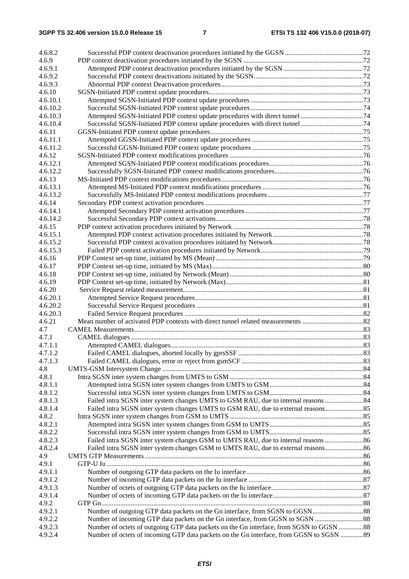| 4.6.8.2          |                                                                                         |  |
|------------------|-----------------------------------------------------------------------------------------|--|
| 4.6.9            |                                                                                         |  |
| 4.6.9.1          |                                                                                         |  |
| 4.6.9.2          |                                                                                         |  |
| 4.6.9.3          |                                                                                         |  |
| 4.6.10           |                                                                                         |  |
| 4.6.10.1         |                                                                                         |  |
| 4.6.10.2         |                                                                                         |  |
| 4.6.10.3         |                                                                                         |  |
| 4.6.10.4         |                                                                                         |  |
| 4.6.11           |                                                                                         |  |
| 4.6.11.1         |                                                                                         |  |
| 4.6.11.2         |                                                                                         |  |
| 4.6.12           |                                                                                         |  |
| 4.6.12.1         |                                                                                         |  |
| 4.6.12.2         |                                                                                         |  |
| 4.6.13           |                                                                                         |  |
| 4.6.13.1         |                                                                                         |  |
| 4.6.13.2         |                                                                                         |  |
| 4.6.14           |                                                                                         |  |
| 4.6.14.1         |                                                                                         |  |
| 4.6.14.2         |                                                                                         |  |
| 4.6.15           |                                                                                         |  |
| 4.6.15.1         |                                                                                         |  |
| 4.6.15.2         |                                                                                         |  |
| 4.6.15.3         |                                                                                         |  |
| 4.6.16           |                                                                                         |  |
| 4.6.17           |                                                                                         |  |
| 4.6.18           |                                                                                         |  |
| 4.6.19           |                                                                                         |  |
| 4.6.20           |                                                                                         |  |
| 4.6.20.1         |                                                                                         |  |
| 4.6.20.2         |                                                                                         |  |
| 4.6.20.3         |                                                                                         |  |
| 4.6.21           |                                                                                         |  |
| 4.7              |                                                                                         |  |
| 4.7.1            |                                                                                         |  |
| 4.7.1.1          |                                                                                         |  |
| 4.7.1.2          |                                                                                         |  |
| 4.7.1.3          |                                                                                         |  |
| 4.8              |                                                                                         |  |
| 4.8.1            |                                                                                         |  |
| 4.8.1.1          |                                                                                         |  |
| 4.8.1.2          |                                                                                         |  |
| 4.8.1.3          |                                                                                         |  |
| 4.8.1.4          |                                                                                         |  |
| 4.8.2            |                                                                                         |  |
| 4.8.2.1          |                                                                                         |  |
| 4.8.2.2          |                                                                                         |  |
| 4.8.2.3          | Failed intra SGSN inter system changes GSM to UMTS RAU, due to internal reasons 86      |  |
| 4.8.2.4          | Failed intra SGSN inter system changes GSM to UMTS RAU, due to external reasons86       |  |
| 4.9              |                                                                                         |  |
| 4.9.1            |                                                                                         |  |
| 4.9.1.1          |                                                                                         |  |
| 4.9.1.2          |                                                                                         |  |
| 4.9.1.3          |                                                                                         |  |
| 4.9.1.4<br>4.9.2 |                                                                                         |  |
| 4.9.2.1          |                                                                                         |  |
| 4.9.2.2          |                                                                                         |  |
| 4.9.2.3          | Number of octets of outgoing GTP data packets on the Gn interface, from SGSN to GGSN 88 |  |
| 4.9.2.4          | Number of octets of incoming GTP data packets on the Gn interface, from GGSN to SGSN 89 |  |
|                  |                                                                                         |  |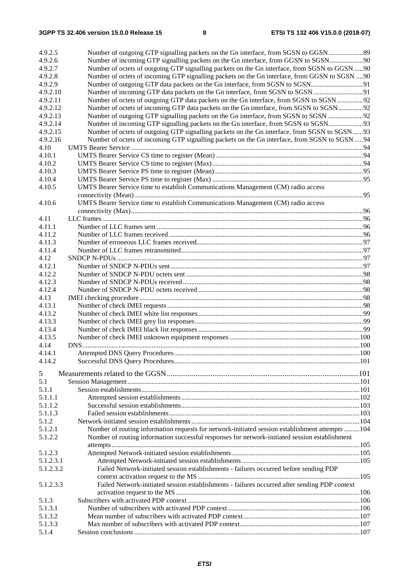| 4.9.2.5<br>4.9.2.6  | Number of incoming GTP signalling packets on the Gn interface, from GGSN to SGSN                 |  |
|---------------------|--------------------------------------------------------------------------------------------------|--|
| 4.9.2.7             | Number of octets of outgoing GTP signalling packets on the Gn interface, from SGSN to GGSN 90    |  |
| 4.9.2.8             | Number of octets of incoming GTP signalling packets on the Gn interface, from GGSN to SGSN 90    |  |
| 4.9.2.9<br>4.9.2.10 |                                                                                                  |  |
| 4.9.2.11            | Number of octets of outgoing GTP data packets on the Gn interface, from SGSN to SGSN 92          |  |
| 4.9.2.12            | Number of octets of incoming GTP data packets on the Gn interface, from SGSN to SGSN 92          |  |
| 4.9.2.13            |                                                                                                  |  |
| 4.9.2.14            |                                                                                                  |  |
| 4.9.2.15            | Number of octets of outgoing GTP signalling packets on the Gn interface, from SGSN to SGSN 93    |  |
| 4.9.2.16            | Number of octets of incoming GTP signalling packets on the Gn interface, from SGSN to SGSN  94   |  |
| 4.10                |                                                                                                  |  |
| 4.10.1              |                                                                                                  |  |
| 4.10.2              |                                                                                                  |  |
| 4.10.3              |                                                                                                  |  |
| 4.10.4              |                                                                                                  |  |
| 4.10.5              | UMTS Bearer Service time to establish Communications Management (CM) radio access                |  |
|                     |                                                                                                  |  |
| 4.10.6              | UMTS Bearer Service time to establish Communications Management (CM) radio access                |  |
|                     |                                                                                                  |  |
| 4.11<br>4.11.1      |                                                                                                  |  |
| 4.11.2              |                                                                                                  |  |
| 4.11.3              |                                                                                                  |  |
| 4.11.4              |                                                                                                  |  |
| 4.12                |                                                                                                  |  |
| 4.12.1              |                                                                                                  |  |
| 4.12.2              |                                                                                                  |  |
| 4.12.3              |                                                                                                  |  |
| 4.12.4              |                                                                                                  |  |
| 4.13                |                                                                                                  |  |
| 4.13.1              |                                                                                                  |  |
| 4.13.2              |                                                                                                  |  |
| 4.13.3              |                                                                                                  |  |
| 4.13.4              |                                                                                                  |  |
| 4.13.5              |                                                                                                  |  |
| 4.14                |                                                                                                  |  |
| 4.14.1              | Attempted DNS Query Procedures                                                                   |  |
| 4.14.2              |                                                                                                  |  |
| 5                   |                                                                                                  |  |
| 5.1                 |                                                                                                  |  |
| 5.1.1               |                                                                                                  |  |
| 5.1.1.1             |                                                                                                  |  |
| 5.1.1.2             |                                                                                                  |  |
| 5.1.1.3             |                                                                                                  |  |
| 5.1.2               |                                                                                                  |  |
| 5.1.2.1             | Number of routing information requests for network-initiated session establishment attempts  104 |  |
| 5.1.2.2             | Number of routing information successful responses for network-initiated session establishment   |  |
|                     |                                                                                                  |  |
| 5.1.2.3             |                                                                                                  |  |
| 5.1.2.3.1           |                                                                                                  |  |
| 5.1.2.3.2           | Failed Network-initiated session establishments - failures occurred before sending PDP           |  |
| 5.1.2.3.3           | Failed Network-initiated session establishments - failures occurred after sending PDP context    |  |
|                     |                                                                                                  |  |
| 5.1.3               |                                                                                                  |  |
| 5.1.3.1             |                                                                                                  |  |
| 5.1.3.2<br>5.1.3.3  |                                                                                                  |  |
| 5.1.4               |                                                                                                  |  |
|                     |                                                                                                  |  |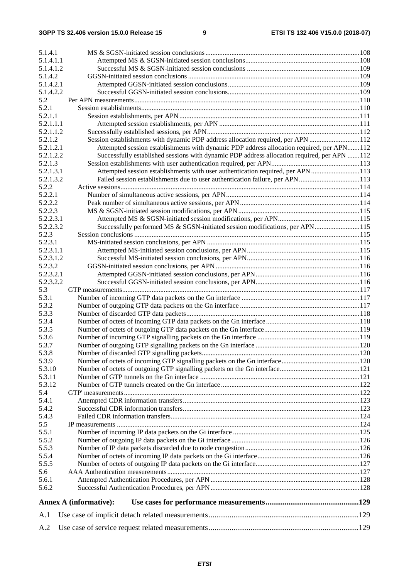| 5.1.4.1              |                                                                                             |  |
|----------------------|---------------------------------------------------------------------------------------------|--|
| 5.1.4.1.1            |                                                                                             |  |
| 5.1.4.1.2            |                                                                                             |  |
| 5.1.4.2              |                                                                                             |  |
| 5.1.4.2.1            |                                                                                             |  |
| 5.1.4.2.2            |                                                                                             |  |
| 5.2                  |                                                                                             |  |
| 5.2.1                |                                                                                             |  |
| 5.2.1.1              |                                                                                             |  |
| 5.2.1.1.1            |                                                                                             |  |
| 5.2.1.1.2            |                                                                                             |  |
| 5.2.1.2              | Session establishments with dynamic PDP address allocation required, per APN 112            |  |
| 5.2.1.2.1            | Attempted session establishments with dynamic PDP address allocation required, per APN112   |  |
| 5.2.1.2.2<br>5.2.1.3 | Successfully established sessions with dynamic PDP address allocation required, per APN 112 |  |
| 5.2.1.3.1            | Attempted session establishments with user authentication required, per APN113              |  |
| 5.2.1.3.2            | Failed session establishments due to user authentication failure, per APN113                |  |
| 5.2.2                |                                                                                             |  |
| 5.2.2.1              |                                                                                             |  |
| 5.2.2.2              |                                                                                             |  |
| 5.2.2.3              |                                                                                             |  |
| 5.2.2.3.1            |                                                                                             |  |
| 5.2.2.3.2            | Successfully performed MS & SGSN-initiated session modifications, per APN115                |  |
| 5.2.3                |                                                                                             |  |
| 5.2.3.1              |                                                                                             |  |
| 5.2.3.1.1            |                                                                                             |  |
| 5.2.3.1.2            |                                                                                             |  |
| 5.2.3.2              |                                                                                             |  |
| 5.2.3.2.1            |                                                                                             |  |
| 5.2.3.2.2            |                                                                                             |  |
| 5.3                  |                                                                                             |  |
| 5.3.1                |                                                                                             |  |
| 5.3.2                |                                                                                             |  |
| 5.3.3                |                                                                                             |  |
| 5.3.4                |                                                                                             |  |
| 5.3.5                |                                                                                             |  |
| 5.3.6                |                                                                                             |  |
| 5.3.7                |                                                                                             |  |
| 5.3.8                |                                                                                             |  |
| 5.3.9                |                                                                                             |  |
| 5.3.10<br>5.3.11     |                                                                                             |  |
| 5.3.12               |                                                                                             |  |
| 5.4                  |                                                                                             |  |
| 5.4.1                |                                                                                             |  |
| 5.4.2                |                                                                                             |  |
| 5.4.3                |                                                                                             |  |
| 5.5                  |                                                                                             |  |
| 5.5.1                |                                                                                             |  |
| 5.5.2                |                                                                                             |  |
| 5.5.3                |                                                                                             |  |
| 5.5.4                |                                                                                             |  |
| 5.5.5                |                                                                                             |  |
| 5.6                  |                                                                                             |  |
| 5.6.1                |                                                                                             |  |
| 5.6.2                |                                                                                             |  |
|                      | <b>Annex A (informative):</b>                                                               |  |
| A.1                  |                                                                                             |  |
| A.2                  |                                                                                             |  |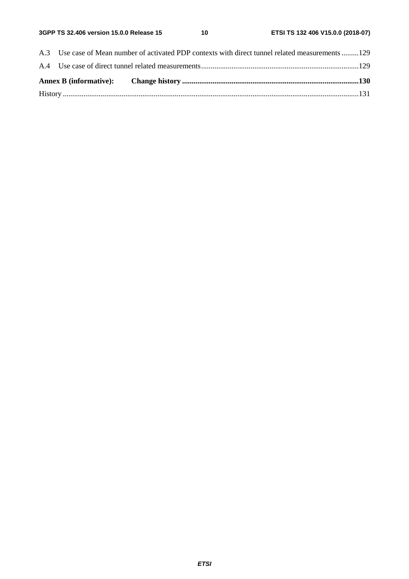| A.3 Use case of Mean number of activated PDP contexts with direct tunnel related measurements 129 |  |  |
|---------------------------------------------------------------------------------------------------|--|--|
|                                                                                                   |  |  |
|                                                                                                   |  |  |
|                                                                                                   |  |  |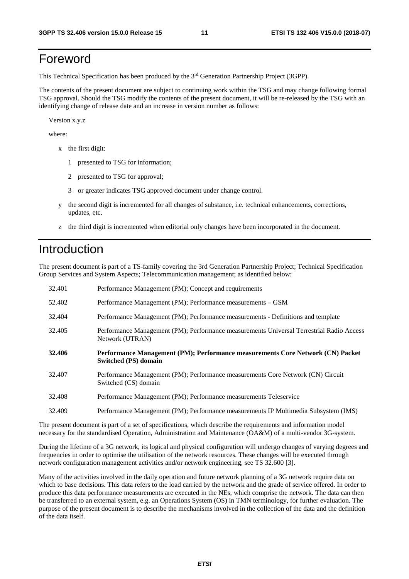### Foreword

This Technical Specification has been produced by the 3rd Generation Partnership Project (3GPP).

The contents of the present document are subject to continuing work within the TSG and may change following formal TSG approval. Should the TSG modify the contents of the present document, it will be re-released by the TSG with an identifying change of release date and an increase in version number as follows:

Version x.y.z

where:

- x the first digit:
	- 1 presented to TSG for information;
	- 2 presented to TSG for approval;
	- 3 or greater indicates TSG approved document under change control.
- y the second digit is incremented for all changes of substance, i.e. technical enhancements, corrections, updates, etc.
- z the third digit is incremented when editorial only changes have been incorporated in the document.

### Introduction

The present document is part of a TS-family covering the 3rd Generation Partnership Project; Technical Specification Group Services and System Aspects; Telecommunication management; as identified below:

| 32.401 | Performance Management (PM); Concept and requirements                                                       |
|--------|-------------------------------------------------------------------------------------------------------------|
| 52.402 | Performance Management (PM); Performance measurements - GSM                                                 |
| 32.404 | Performance Management (PM); Performance measurements - Definitions and template                            |
| 32.405 | Performance Management (PM); Performance measurements Universal Terrestrial Radio Access<br>Network (UTRAN) |
| 32.406 | Performance Management (PM); Performance measurements Core Network (CN) Packet<br>Switched (PS) domain      |
| 32.407 | Performance Management (PM); Performance measurements Core Network (CN) Circuit<br>Switched (CS) domain     |
| 32.408 | Performance Management (PM); Performance measurements Teleservice                                           |
| 32.409 | Performance Management (PM); Performance measurements IP Multimedia Subsystem (IMS)                         |

The present document is part of a set of specifications, which describe the requirements and information model necessary for the standardised Operation, Administration and Maintenance (OA&M) of a multi-vendor 3G-system.

During the lifetime of a 3G network, its logical and physical configuration will undergo changes of varying degrees and frequencies in order to optimise the utilisation of the network resources. These changes will be executed through network configuration management activities and/or network engineering, see TS 32.600 [3].

Many of the activities involved in the daily operation and future network planning of a 3G network require data on which to base decisions. This data refers to the load carried by the network and the grade of service offered. In order to produce this data performance measurements are executed in the NEs, which comprise the network. The data can then be transferred to an external system, e.g. an Operations System (OS) in TMN terminology, for further evaluation. The purpose of the present document is to describe the mechanisms involved in the collection of the data and the definition of the data itself.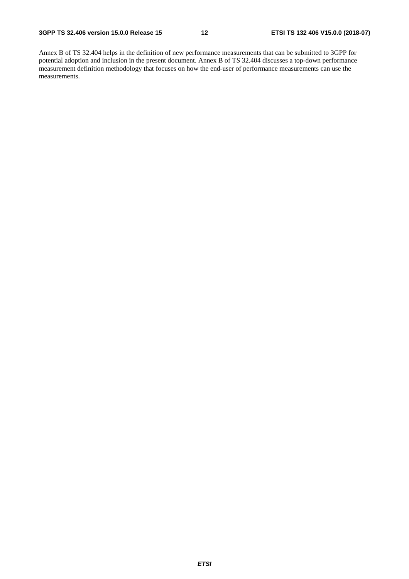Annex B of TS 32.404 helps in the definition of new performance measurements that can be submitted to 3GPP for potential adoption and inclusion in the present document. Annex B of TS 32.404 discusses a top-down performance measurement definition methodology that focuses on how the end-user of performance measurements can use the measurements.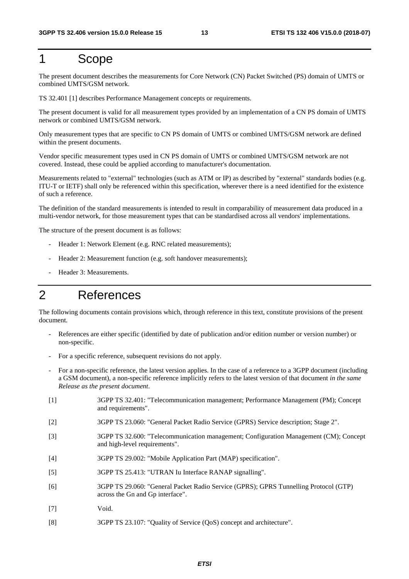### 1 Scope

The present document describes the measurements for Core Network (CN) Packet Switched (PS) domain of UMTS or combined UMTS/GSM network.

TS 32.401 [1] describes Performance Management concepts or requirements.

The present document is valid for all measurement types provided by an implementation of a CN PS domain of UMTS network or combined UMTS/GSM network.

Only measurement types that are specific to CN PS domain of UMTS or combined UMTS/GSM network are defined within the present documents.

Vendor specific measurement types used in CN PS domain of UMTS or combined UMTS/GSM network are not covered. Instead, these could be applied according to manufacturer's documentation.

Measurements related to "external" technologies (such as ATM or IP) as described by "external" standards bodies (e.g. ITU-T or IETF) shall only be referenced within this specification, wherever there is a need identified for the existence of such a reference.

The definition of the standard measurements is intended to result in comparability of measurement data produced in a multi-vendor network, for those measurement types that can be standardised across all vendors' implementations.

The structure of the present document is as follows:

- Header 1: Network Element (e.g. RNC related measurements);
- Header 2: Measurement function (e.g. soft handover measurements);
- Header 3: Measurements.

### 2 References

The following documents contain provisions which, through reference in this text, constitute provisions of the present document.

- References are either specific (identified by date of publication and/or edition number or version number) or non-specific.
- For a specific reference, subsequent revisions do not apply.
- For a non-specific reference, the latest version applies. In the case of a reference to a 3GPP document (including a GSM document), a non-specific reference implicitly refers to the latest version of that document *in the same Release as the present document*.
- [1] 3GPP TS 32.401: "Telecommunication management; Performance Management (PM); Concept and requirements".
- [2] 3GPP TS 23.060: "General Packet Radio Service (GPRS) Service description; Stage 2".
- [3] 3GPP TS 32.600: "Telecommunication management; Configuration Management (CM); Concept and high-level requirements".
- [4] 3GPP TS 29.002: "Mobile Application Part (MAP) specification".
- [5] 3GPP TS 25.413: "UTRAN Iu Interface RANAP signalling".
- [6] 3GPP TS 29.060: "General Packet Radio Service (GPRS); GPRS Tunnelling Protocol (GTP) across the Gn and Gp interface".
- [7] Void.
- [8] 3GPP TS 23.107: "Quality of Service (QoS) concept and architecture".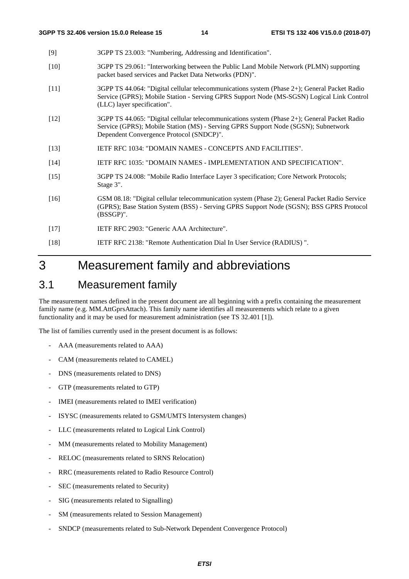- [9] 3GPP TS 23.003: "Numbering, Addressing and Identification".
- [10] 3GPP TS 29.061: "Interworking between the Public Land Mobile Network (PLMN) supporting packet based services and Packet Data Networks (PDN)".
- [11] 3GPP TS 44.064: "Digital cellular telecommunications system (Phase 2+); General Packet Radio Service (GPRS); Mobile Station - Serving GPRS Support Node (MS-SGSN) Logical Link Control (LLC) layer specification".
- [12] 3GPP TS 44.065: "Digital cellular telecommunications system (Phase 2+); General Packet Radio Service (GPRS); Mobile Station (MS) - Serving GPRS Support Node (SGSN); Subnetwork Dependent Convergence Protocol (SNDCP)".
- [13] IETF RFC 1034: "DOMAIN NAMES CONCEPTS AND FACILITIES".
- [14] IETF RFC 1035: "DOMAIN NAMES IMPLEMENTATION AND SPECIFICATION".
- [15] 3GPP TS 24.008: "Mobile Radio Interface Layer 3 specification; Core Network Protocols; Stage 3".
- [16] GSM 08.18: "Digital cellular telecommunication system (Phase 2); General Packet Radio Service (GPRS); Base Station System (BSS) - Serving GPRS Support Node (SGSN); BSS GPRS Protocol (BSSGP)".
- [17] IETF RFC 2903: "Generic AAA Architecture".
- [18] IETF RFC 2138: "Remote Authentication Dial In User Service (RADIUS) ".

### 3 Measurement family and abbreviations

### 3.1 Measurement family

The measurement names defined in the present document are all beginning with a prefix containing the measurement family name (e.g. MM.AttGprsAttach). This family name identifies all measurements which relate to a given functionality and it may be used for measurement administration (see TS 32.401 [1]).

The list of families currently used in the present document is as follows:

- AAA (measurements related to AAA)
- CAM (measurements related to CAMEL)
- DNS (measurements related to DNS)
- GTP (measurements related to GTP)
- IMEI (measurements related to IMEI verification)
- ISYSC (measurements related to GSM/UMTS Intersystem changes)
- LLC (measurements related to Logical Link Control)
- MM (measurements related to Mobility Management)
- RELOC (measurements related to SRNS Relocation)
- RRC (measurements related to Radio Resource Control)
- SEC (measurements related to Security)
- SIG (measurements related to Signalling)
- SM (measurements related to Session Management)
- SNDCP (measurements related to Sub-Network Dependent Convergence Protocol)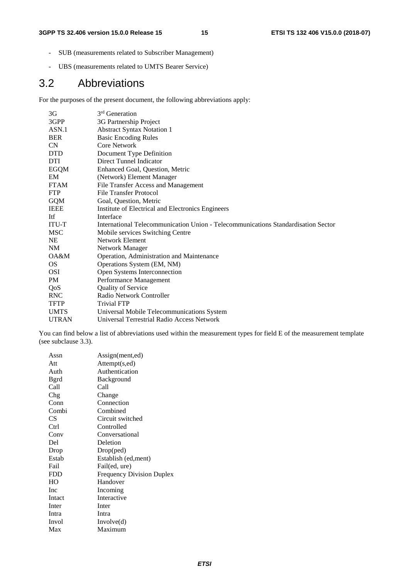- SUB (measurements related to Subscriber Management)
- UBS (measurements related to UMTS Bearer Service)

### 3.2 Abbreviations

For the purposes of the present document, the following abbreviations apply:

| 3 <sub>G</sub>    | 3 <sup>rd</sup> Generation                                                        |
|-------------------|-----------------------------------------------------------------------------------|
| 3GPP              | 3G Partnership Project                                                            |
| ASN <sub>.1</sub> | <b>Abstract Syntax Notation 1</b>                                                 |
| <b>BER</b>        | <b>Basic Encoding Rules</b>                                                       |
| <b>CN</b>         | Core Network                                                                      |
| <b>DTD</b>        | Document Type Definition                                                          |
| <b>DTI</b>        | Direct Tunnel Indicator                                                           |
| <b>EGQM</b>       | Enhanced Goal, Question, Metric                                                   |
| EM                | (Network) Element Manager                                                         |
| <b>FTAM</b>       | File Transfer Access and Management                                               |
| <b>FTP</b>        | <b>File Transfer Protocol</b>                                                     |
| <b>GQM</b>        | Goal, Question, Metric                                                            |
| <b>IEEE</b>       | Institute of Electrical and Electronics Engineers                                 |
| Itf               | Interface                                                                         |
| <b>ITU-T</b>      | International Telecommunication Union - Telecommunications Standardisation Sector |
| <b>MSC</b>        | Mobile services Switching Centre                                                  |
| <b>NE</b>         | Network Element                                                                   |
| <b>NM</b>         | Network Manager                                                                   |
| OA&M              | Operation, Administration and Maintenance                                         |
| OS.               | Operations System (EM, NM)                                                        |
| <b>OSI</b>        | Open Systems Interconnection                                                      |
| <b>PM</b>         | Performance Management                                                            |
| QoS               | <b>Quality of Service</b>                                                         |
| RNC               | Radio Network Controller                                                          |
| <b>TFTP</b>       | <b>Trivial FTP</b>                                                                |
| <b>UMTS</b>       | Universal Mobile Telecommunications System                                        |
| <b>UTRAN</b>      | Universal Terrestrial Radio Access Network                                        |

You can find below a list of abbreviations used within the measurement types for field E of the measurement template (see subclause 3.3).

| Assn         | Assign(ment,ed)                  |
|--------------|----------------------------------|
| Att          | Attempt(s,ed)                    |
| Auth         | Authentication                   |
| <b>B</b> grd | Background                       |
| Call         | Call                             |
| Chg          | Change                           |
| Conn         | Connection                       |
| Combi        | Combined                         |
| CS           | Circuit switched                 |
| Ctrl         | Controlled                       |
| Conv         | Conversational                   |
| Del          | Deletion                         |
| Drop         | Drop(ped)                        |
| Estab        | Establish (ed, ment)             |
| Fail         | Fail(ed, ure)                    |
| <b>FDD</b>   | <b>Frequency Division Duplex</b> |
| HО           | Handover                         |
| <b>Inc</b>   | Incoming                         |
| Intact       | Interactive                      |
| Inter        | Inter                            |
| Intra        | Intra                            |
| Invol        | Involve(d)                       |
| Max          | Maximum                          |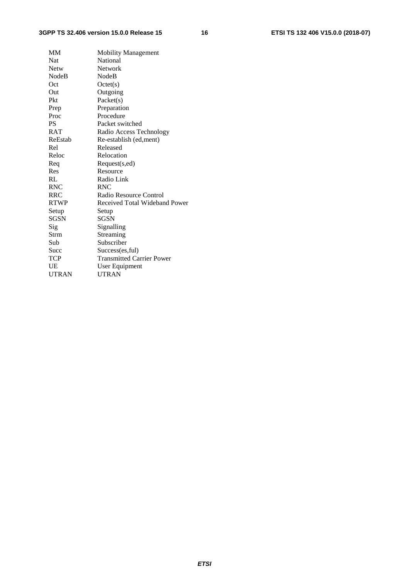#### **3GPP TS 32.406 version 15.0.0 Release 15 16 ETSI TS 132 406 V15.0.0 (2018-07)**

| <b>MM</b>    | <b>Mobility Management</b>       |
|--------------|----------------------------------|
| Nat          | National                         |
| <b>Netw</b>  | Network                          |
| <b>NodeB</b> | NodeB                            |
| Oct          | Octet(s)                         |
| Out          | Outgoing                         |
| Pkt          | Packet(s)                        |
| Prep         | Preparation                      |
| Proc         | Procedure                        |
| <b>PS</b>    | Packet switched                  |
| <b>RAT</b>   | Radio Access Technology          |
| ReEstab      | Re-establish (ed, ment)          |
| Rel          | Released                         |
| Reloc        | Relocation                       |
| Req          | Request(s,ed)                    |
| Res          | Resource                         |
| RL           | Radio Link                       |
| <b>RNC</b>   | <b>RNC</b>                       |
| <b>RRC</b>   | Radio Resource Control           |
| <b>RTWP</b>  | Received Total Wideband Power    |
| Setup        | Setup                            |
| SGSN         | <b>SGSN</b>                      |
| Sig          | Signalling                       |
| Strm         | Streaming                        |
| Sub          | Subscriber                       |
| Succ         | Success(es, ful)                 |
| TCP          | <b>Transmitted Carrier Power</b> |
| UE           | User Equipment                   |
| <b>UTRAN</b> | <b>UTRAN</b>                     |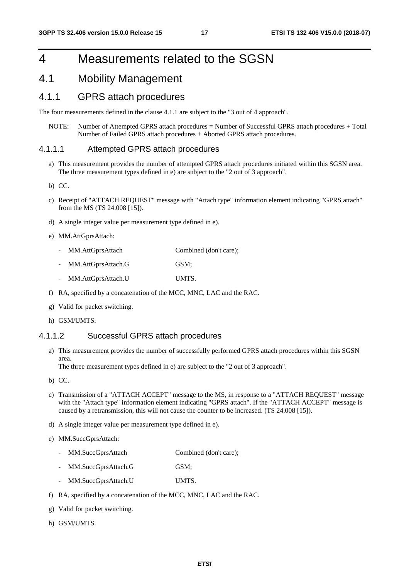### 4 Measurements related to the SGSN

### 4.1 Mobility Management

#### 4.1.1 GPRS attach procedures

The four measurements defined in the clause 4.1.1 are subject to the "3 out of 4 approach".

NOTE: Number of Attempted GPRS attach procedures = Number of Successful GPRS attach procedures + Total Number of Failed GPRS attach procedures + Aborted GPRS attach procedures.

#### 4.1.1.1 Attempted GPRS attach procedures

- a) This measurement provides the number of attempted GPRS attach procedures initiated within this SGSN area. The three measurement types defined in e) are subject to the "2 out of 3 approach".
- b) CC.
- c) Receipt of "ATTACH REQUEST" message with "Attach type" information element indicating "GPRS attach" from the MS (TS 24.008 [15]).
- d) A single integer value per measurement type defined in e).
- e) MM.AttGprsAttach:
	- MM.AttGprsAttach Combined (don't care);
	- MM.AttGprsAttach.G GSM; - MM.AttGprsAttach.U UMTS.
- f) RA, specified by a concatenation of the MCC, MNC, LAC and the RAC.
- g) Valid for packet switching.
- h) GSM/UMTS.

#### 4.1.1.2 Successful GPRS attach procedures

a) This measurement provides the number of successfully performed GPRS attach procedures within this SGSN area.

The three measurement types defined in e) are subject to the "2 out of 3 approach".

b) CC.

- c) Transmission of a "ATTACH ACCEPT" message to the MS, in response to a "ATTACH REQUEST" message with the "Attach type" information element indicating "GPRS attach". If the "ATTACH ACCEPT" message is caused by a retransmission, this will not cause the counter to be increased. (TS 24.008 [15]).
- d) A single integer value per measurement type defined in e).
- e) MM.SuccGprsAttach:
	- MM.SuccGprsAttach Combined (don't care);
	- MM.SuccGprsAttach.G GSM;
	- MM.SuccGprsAttach.U UMTS.
- f) RA, specified by a concatenation of the MCC, MNC, LAC and the RAC.
- g) Valid for packet switching.
- h) GSM/UMTS.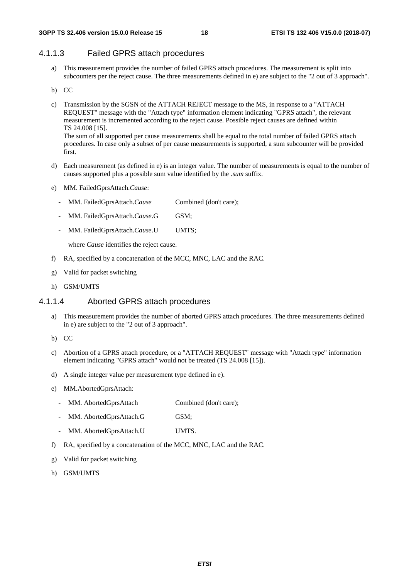#### 4.1.1.3 Failed GPRS attach procedures

- a) This measurement provides the number of failed GPRS attach procedures. The measurement is split into subcounters per the reject cause. The three measurements defined in e) are subject to the "2 out of 3 approach".
- b) CC
- c) Transmission by the SGSN of the ATTACH REJECT message to the MS, in response to a "ATTACH REQUEST" message with the "Attach type" information element indicating "GPRS attach", the relevant measurement is incremented according to the reject cause. Possible reject causes are defined within TS 24.008 [15]. The sum of all supported per cause measurements shall be equal to the total number of failed GPRS attach

procedures. In case only a subset of per cause measurements is supported, a sum subcounter will be provided first.

- d) Each measurement (as defined in e) is an integer value. The number of measurements is equal to the number of causes supported plus a possible sum value identified by the *.sum* suffix.
- e) MM. FailedGprsAttach.*Cause*:
	- MM. FailedGprsAttach.*Cause* Combined (don't care);
	- MM. FailedGprsAttach.*Cause*.G GSM;
	- MM. FailedGprsAttach.*Cause*.U UMTS;

where *Cause* identifies the reject cause.

- f) RA, specified by a concatenation of the MCC, MNC, LAC and the RAC.
- g) Valid for packet switching
- h) GSM/UMTS

#### 4.1.1.4 Aborted GPRS attach procedures

- a) This measurement provides the number of aborted GPRS attach procedures. The three measurements defined in e) are subject to the "2 out of 3 approach".
- b) CC
- c) Abortion of a GPRS attach procedure, or a "ATTACH REQUEST" message with "Attach type" information element indicating "GPRS attach" would not be treated (TS 24.008 [15]).
- d) A single integer value per measurement type defined in e).

#### e) MM.AbortedGprsAttach:

- MM. AbortedGprsAttach Combined (don't care);
- MM. AbortedGprsAttach.G GSM;
- MM. AbortedGprsAttach.U UMTS.
- f) RA, specified by a concatenation of the MCC, MNC, LAC and the RAC.
- g) Valid for packet switching
- h) GSM/UMTS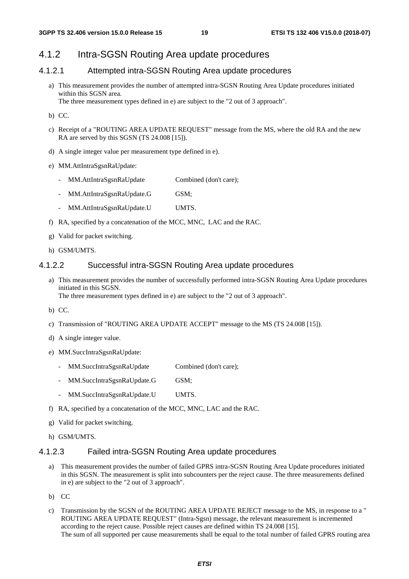#### 4.1.2 Intra-SGSN Routing Area update procedures

#### 4.1.2.1 Attempted intra-SGSN Routing Area update procedures

- a) This measurement provides the number of attempted intra-SGSN Routing Area Update procedures initiated within this SGSN area. The three measurement types defined in e) are subject to the "2 out of 3 approach".
- b) CC.
- c) Receipt of a "ROUTING AREA UPDATE REQUEST" message from the MS, where the old RA and the new RA are served by this SGSN (TS 24.008 [15]).
- d) A single integer value per measurement type defined in e).
- e) MM.AttIntraSgsnRaUpdate:
	- MM.AttIntraSgsnRaUpdate Combined (don't care);
	- MM.AttIntraSgsnRaUpdate.G GSM;
	- MM.AttIntraSgsnRaUpdate.U UMTS.
- f) RA, specified by a concatenation of the MCC, MNC, LAC and the RAC.
- g) Valid for packet switching.
- h) GSM/UMTS.

#### 4.1.2.2 Successful intra-SGSN Routing Area update procedures

- a) This measurement provides the number of successfully performed intra-SGSN Routing Area Update procedures initiated in this SGSN. The three measurement types defined in e) are subject to the "2 out of 3 approach".
- b) CC.
- c) Transmission of "ROUTING AREA UPDATE ACCEPT" message to the MS (TS 24.008 [15]).
- d) A single integer value.
- e) MM.SuccIntraSgsnRaUpdate:
	- MM.SuccIntraSgsnRaUpdate Combined (don't care);
	- MM.SuccIntraSgsnRaUpdate.G GSM;
	- MM.SuccIntraSgsnRaUpdate.U UMTS.
- f) RA, specified by a concatenation of the MCC, MNC, LAC and the RAC.
- g) Valid for packet switching.
- h) GSM/UMTS.

#### 4.1.2.3 Failed intra-SGSN Routing Area update procedures

- a) This measurement provides the number of failed GPRS intra-SGSN Routing Area Update procedures initiated in this SGSN. The measurement is split into subcounters per the reject cause. The three measurements defined in e) are subject to the "2 out of 3 approach".
- b) CC
- c) Transmission by the SGSN of the ROUTING AREA UPDATE REJECT message to the MS, in response to a " ROUTING AREA UPDATE REQUEST" (Intra-Sgsn) message, the relevant measurement is incremented according to the reject cause. Possible reject causes are defined within TS 24.008 [15]. The sum of all supported per cause measurements shall be equal to the total number of failed GPRS routing area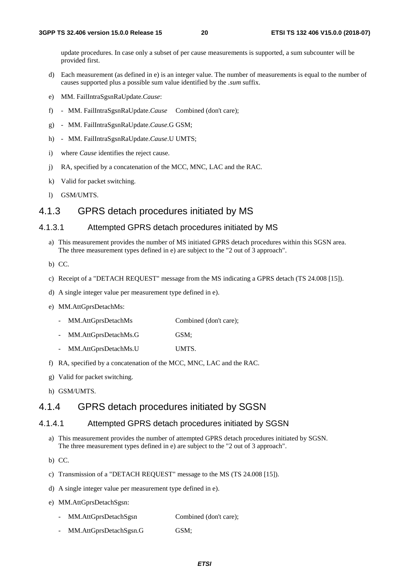update procedures. In case only a subset of per cause measurements is supported, a sum subcounter will be provided first.

- d) Each measurement (as defined in e) is an integer value. The number of measurements is equal to the number of causes supported plus a possible sum value identified by the *.sum* suffix.
- e) MM. FailIntraSgsnRaUpdate.*Cause*:
- f) MM. FailIntraSgsnRaUpdate.*Cause* Combined (don't care);
- g) MM. FailIntraSgsnRaUpdate.*Cause*.G GSM;
- h) MM. FailIntraSgsnRaUpdate.*Cause*.U UMTS;
- i) where *Cause* identifies the reject cause.
- j) RA, specified by a concatenation of the MCC, MNC, LAC and the RAC.
- k) Valid for packet switching.
- l) GSM/UMTS.

#### 4.1.3 GPRS detach procedures initiated by MS

#### 4.1.3.1 Attempted GPRS detach procedures initiated by MS

- a) This measurement provides the number of MS initiated GPRS detach procedures within this SGSN area. The three measurement types defined in e) are subject to the "2 out of 3 approach".
- b) CC.
- c) Receipt of a "DETACH REQUEST" message from the MS indicating a GPRS detach (TS 24.008 [15]).
- d) A single integer value per measurement type defined in e).
- e) MM.AttGprsDetachMs:
	- MM.AttGprsDetachMs Combined (don't care):
	- MM.AttGprsDetachMs.G GSM;
	- MM.AttGprsDetachMs.U UMTS.
- f) RA, specified by a concatenation of the MCC, MNC, LAC and the RAC.
- g) Valid for packet switching.
- h) GSM/UMTS.

#### 4.1.4 GPRS detach procedures initiated by SGSN

#### 4.1.4.1 Attempted GPRS detach procedures initiated by SGSN

- a) This measurement provides the number of attempted GPRS detach procedures initiated by SGSN. The three measurement types defined in e) are subject to the "2 out of 3 approach".
- b) CC.
- c) Transmission of a "DETACH REQUEST" message to the MS (TS 24.008 [15]).
- d) A single integer value per measurement type defined in e).
- e) MM.AttGprsDetachSgsn:
	- MM.AttGprsDetachSgsn Combined (don't care);
	- MM.AttGprsDetachSgsn.G GSM;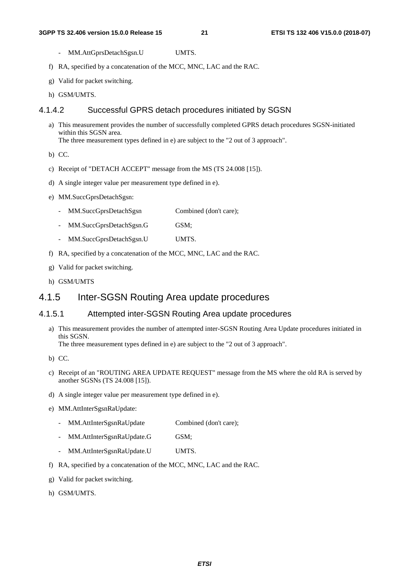- MM.AttGprsDetachSgsn.U UMTS.
- f) RA, specified by a concatenation of the MCC, MNC, LAC and the RAC.
- g) Valid for packet switching.
- h) GSM/UMTS.

#### 4.1.4.2 Successful GPRS detach procedures initiated by SGSN

a) This measurement provides the number of successfully completed GPRS detach procedures SGSN-initiated within this SGSN area. The three measurement types defined in e) are subject to the "2 out of 3 approach".

- b) CC.
- c) Receipt of "DETACH ACCEPT" message from the MS (TS 24.008 [15]).
- d) A single integer value per measurement type defined in e).
- e) MM.SuccGprsDetachSgsn:
	- MM.SuccGprsDetachSgsn Combined (don't care);
	- MM.SuccGprsDetachSgsn.G GSM;
	- MM.SuccGprsDetachSgsn.U UMTS.
- f) RA, specified by a concatenation of the MCC, MNC, LAC and the RAC.
- g) Valid for packet switching.
- h) GSM/UMTS

#### 4.1.5 Inter-SGSN Routing Area update procedures

#### 4.1.5.1 Attempted inter-SGSN Routing Area update procedures

a) This measurement provides the number of attempted inter-SGSN Routing Area Update procedures initiated in this SGSN.

The three measurement types defined in e) are subject to the "2 out of 3 approach".

- b) CC.
- c) Receipt of an "ROUTING AREA UPDATE REQUEST" message from the MS where the old RA is served by another SGSNs (TS 24.008 [15]).
- d) A single integer value per measurement type defined in e).

#### e) MM.AttInterSgsnRaUpdate:

- MM.AttInterSgsnRaUpdate Combined (don't care);
- MM.AttInterSgsnRaUpdate.G GSM;
- MM.AttInterSgsnRaUpdate.U UMTS.
- f) RA, specified by a concatenation of the MCC, MNC, LAC and the RAC.
- g) Valid for packet switching.
- h) GSM/UMTS.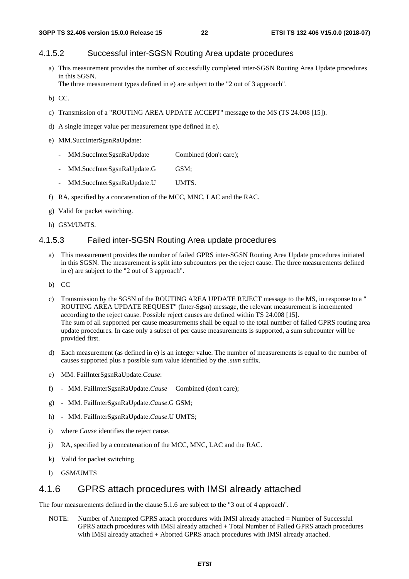#### 4.1.5.2 Successful inter-SGSN Routing Area update procedures

a) This measurement provides the number of successfully completed inter-SGSN Routing Area Update procedures in this SGSN.

The three measurement types defined in e) are subject to the "2 out of 3 approach".

- b) CC.
- c) Transmission of a "ROUTING AREA UPDATE ACCEPT" message to the MS (TS 24.008 [15]).
- d) A single integer value per measurement type defined in e).
- e) MM.SuccInterSgsnRaUpdate:
	- MM.SuccInterSgsnRaUpdate Combined (don't care);
	- MM.SuccInterSgsnRaUpdate.G GSM;
	- MM.SuccInterSgsnRaUpdate.U UMTS.
- f) RA, specified by a concatenation of the MCC, MNC, LAC and the RAC.
- g) Valid for packet switching.
- h) GSM/UMTS.

#### 4.1.5.3 Failed inter-SGSN Routing Area update procedures

- a) This measurement provides the number of failed GPRS inter-SGSN Routing Area Update procedures initiated in this SGSN. The measurement is split into subcounters per the reject cause. The three measurements defined in e) are subject to the "2 out of 3 approach".
- b) CC
- c) Transmission by the SGSN of the ROUTING AREA UPDATE REJECT message to the MS, in response to a " ROUTING AREA UPDATE REQUEST" (Inter-Sgsn) message, the relevant measurement is incremented according to the reject cause. Possible reject causes are defined within TS 24.008 [15]. The sum of all supported per cause measurements shall be equal to the total number of failed GPRS routing area update procedures. In case only a subset of per cause measurements is supported, a sum subcounter will be provided first.
- d) Each measurement (as defined in e) is an integer value. The number of measurements is equal to the number of causes supported plus a possible sum value identified by the *.sum* suffix.
- e) MM. FailInterSgsnRaUpdate.*Cause*:
- f) MM. FailInterSgsnRaUpdate.*Cause* Combined (don't care);
- g) MM. FailInterSgsnRaUpdate.*Cause*.G GSM;
- h) MM. FailInterSgsnRaUpdate.*Cause*.U UMTS;
- i) where *Cause* identifies the reject cause.
- j) RA, specified by a concatenation of the MCC, MNC, LAC and the RAC.
- k) Valid for packet switching
- l) GSM/UMTS

#### 4.1.6 GPRS attach procedures with IMSI already attached

The four measurements defined in the clause 5.1.6 are subject to the "3 out of 4 approach".

NOTE: Number of Attempted GPRS attach procedures with IMSI already attached = Number of Successful GPRS attach procedures with IMSI already attached + Total Number of Failed GPRS attach procedures with IMSI already attached + Aborted GPRS attach procedures with IMSI already attached.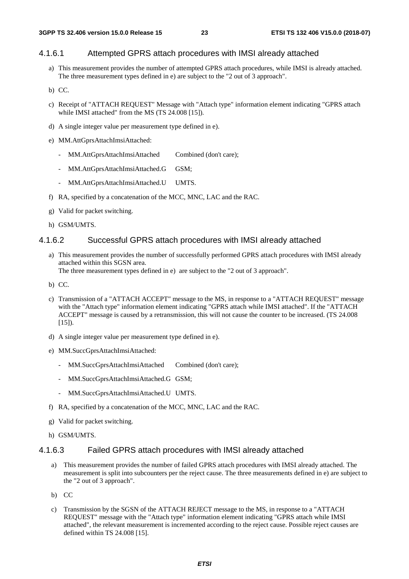#### 4.1.6.1 Attempted GPRS attach procedures with IMSI already attached

- a) This measurement provides the number of attempted GPRS attach procedures, while IMSI is already attached. The three measurement types defined in e) are subject to the "2 out of 3 approach".
- b) CC.
- c) Receipt of "ATTACH REQUEST" Message with "Attach type" information element indicating "GPRS attach while IMSI attached" from the MS (TS 24.008 [15]).
- d) A single integer value per measurement type defined in e).
- e) MM.AttGprsAttachImsiAttached:
	- MM.AttGprsAttachImsiAttached Combined (don't care);
	- MM.AttGprsAttachImsiAttached.G GSM;
	- MM.AttGprsAttachImsiAttached.U UMTS.
- f) RA, specified by a concatenation of the MCC, MNC, LAC and the RAC.
- g) Valid for packet switching.
- h) GSM/UMTS.

#### 4.1.6.2 Successful GPRS attach procedures with IMSI already attached

a) This measurement provides the number of successfully performed GPRS attach procedures with IMSI already attached within this SGSN area.

The three measurement types defined in e) are subject to the "2 out of 3 approach".

- b) CC.
- c) Transmission of a "ATTACH ACCEPT" message to the MS, in response to a "ATTACH REQUEST" message with the "Attach type" information element indicating "GPRS attach while IMSI attached". If the "ATTACH ACCEPT" message is caused by a retransmission, this will not cause the counter to be increased. (TS 24.008  $[15]$ ).
- d) A single integer value per measurement type defined in e).
- e) MM.SuccGprsAttachImsiAttached:
	- MM.SuccGprsAttachImsiAttached Combined (don't care);
	- MM.SuccGprsAttachImsiAttached.G GSM;
	- MM.SuccGprsAttachImsiAttached.U UMTS.
- f) RA, specified by a concatenation of the MCC, MNC, LAC and the RAC.
- g) Valid for packet switching.
- h) GSM/UMTS.

#### 4.1.6.3 Failed GPRS attach procedures with IMSI already attached

- a) This measurement provides the number of failed GPRS attach procedures with IMSI already attached. The measurement is split into subcounters per the reject cause. The three measurements defined in e) are subject to the "2 out of 3 approach".
- b) CC
- c) Transmission by the SGSN of the ATTACH REJECT message to the MS, in response to a "ATTACH REQUEST" message with the "Attach type" information element indicating "GPRS attach while IMSI attached", the relevant measurement is incremented according to the reject cause. Possible reject causes are defined within TS 24.008 [15].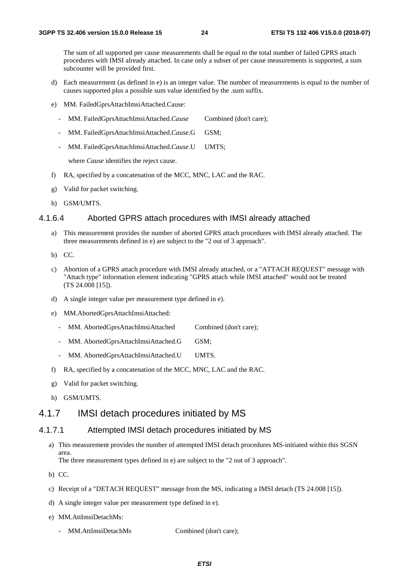The sum of all supported per cause measurements shall be equal to the total number of failed GPRS attach procedures with IMSI already attached. In case only a subset of per cause measurements is supported, a sum subcounter will be provided first.

- d) Each measurement (as defined in e) is an integer value. The number of measurements is equal to the number of causes supported plus a possible sum value identified by the .sum suffix.
- e) MM. FailedGprsAttachImsiAttached.Cause:
	- MM. FailedGprsAttachImsiAttached.*Cause* Combined (don't care);
	- MM. FailedGprsAttachImsiAttached.*Cause*.G GSM;
	- MM. FailedGprsAttachImsiAttached.*Cause*.U UMTS;

where *Cause* identifies the reject cause.

- f) RA, specified by a concatenation of the MCC, MNC, LAC and the RAC.
- g) Valid for packet switching.
- h) GSM/UMTS.

#### 4.1.6.4 Aborted GPRS attach procedures with IMSI already attached

- a) This measurement provides the number of aborted GPRS attach procedures with IMSI already attached. The three measurements defined in e) are subject to the "2 out of 3 approach".
- b) CC.
- c) Abortion of a GPRS attach procedure with IMSI already attached, or a "ATTACH REQUEST" message with "Attach type" information element indicating "GPRS attach while IMSI attached" would not be treated (TS 24.008 [15]).
- d) A single integer value per measurement type defined in e).
- e) MM.AbortedGprsAttachImsiAttached:
	- MM. AbortedGprsAttachImsiAttached Combined (don't care);
	- MM. AbortedGprsAttachImsiAttached.G GSM;
	- MM. AbortedGprsAttachImsiAttached.U UMTS.
- f) RA, specified by a concatenation of the MCC, MNC, LAC and the RAC.
- g) Valid for packet switching.
- h) GSM/UMTS.

#### 4.1.7 IMSI detach procedures initiated by MS

#### 4.1.7.1 Attempted IMSI detach procedures initiated by MS

a) This measurement provides the number of attempted IMSI detach procedures MS-initiated within this SGSN area.

The three measurement types defined in e) are subject to the "2 out of 3 approach".

- b) CC.
- c) Receipt of a "DETACH REQUEST" message from the MS, indicating a IMSI detach (TS 24.008 [15]).
- d) A single integer value per measurement type defined in e).
- e) MM.AttImsiDetachMs:
	- MM.AttImsiDetachMs Combined (don't care);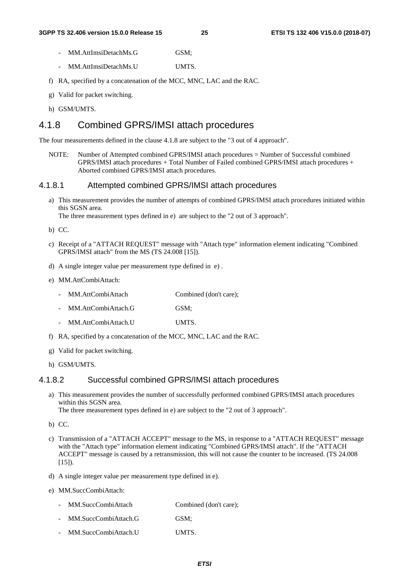- MM.AttImsiDetachMs.G GSM:
- MM.AttImsiDetachMs.U UMTS.
- f) RA, specified by a concatenation of the MCC, MNC, LAC and the RAC.
- g) Valid for packet switching.
- h) GSM/UMTS.

### 4.1.8 Combined GPRS/IMSI attach procedures

The four measurements defined in the clause 4.1.8 are subject to the "3 out of 4 approach".

NOTE: Number of Attempted combined GPRS/IMSI attach procedures = Number of Successful combined GPRS/IMSI attach procedures + Total Number of Failed combined GPRS/IMSI attach procedures + Aborted combined GPRS/IMSI attach procedures.

#### 4.1.8.1 Attempted combined GPRS/IMSI attach procedures

a) This measurement provides the number of attempts of combined GPRS/IMSI attach procedures initiated within this SGSN area.

The three measurement types defined in e) are subject to the "2 out of 3 approach".

- b) CC.
- c) Receipt of a "ATTACH REQUEST" message with "Attach type" information element indicating "Combined GPRS/IMSI attach" from the MS (TS 24.008 [15]).
- d) A single integer value per measurement type defined in e) .
- e) MM.AttCombiAttach:
	- MM.AttCombiAttach Combined (don't care);
	- MM.AttCombiAttach.G GSM;
	- MM.AttCombiAttach.U UMTS.
- f) RA, specified by a concatenation of the MCC, MNC, LAC and the RAC.
- g) Valid for packet switching.
- h) GSM/UMTS.

#### 4.1.8.2 Successful combined GPRS/IMSI attach procedures

a) This measurement provides the number of successfully performed combined GPRS/IMSI attach procedures within this SGSN area.

The three measurement types defined in e) are subject to the "2 out of 3 approach".

b) CC.

- c) Transmission of a "ATTACH ACCEPT" message to the MS, in response to a "ATTACH REQUEST" message with the "Attach type" information element indicating "Combined GPRS/IMSI attach". If the "ATTACH ACCEPT" message is caused by a retransmission, this will not cause the counter to be increased. (TS 24.008  $[15]$ ).
- d) A single integer value per measurement type defined in e).
- e) MM.SuccCombiAttach:

| MM.SuccCombiAttach   | Combined (don't care); |
|----------------------|------------------------|
| MM.SuccCombiAttach.G | GSM:                   |

MM.SuccCombiAttach.U UMTS.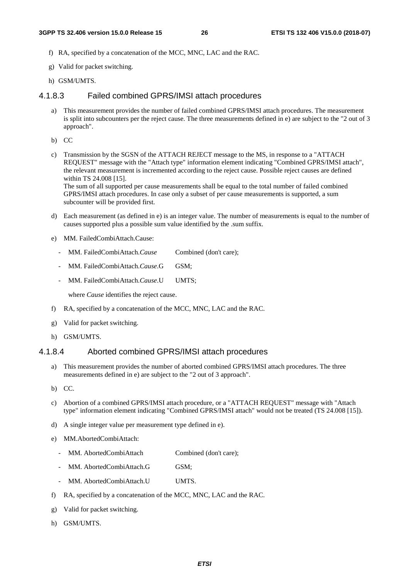- f) RA, specified by a concatenation of the MCC, MNC, LAC and the RAC.
- g) Valid for packet switching.
- h) GSM/UMTS.

#### 4.1.8.3 Failed combined GPRS/IMSI attach procedures

a) This measurement provides the number of failed combined GPRS/IMSI attach procedures. The measurement is split into subcounters per the reject cause. The three measurements defined in e) are subject to the "2 out of 3 approach".

b) CC

c) Transmission by the SGSN of the ATTACH REJECT message to the MS, in response to a "ATTACH REQUEST" message with the "Attach type" information element indicating "Combined GPRS/IMSI attach", the relevant measurement is incremented according to the reject cause. Possible reject causes are defined within TS 24.008 [15].

The sum of all supported per cause measurements shall be equal to the total number of failed combined GPRS/IMSI attach procedures. In case only a subset of per cause measurements is supported, a sum subcounter will be provided first.

- d) Each measurement (as defined in e) is an integer value. The number of measurements is equal to the number of causes supported plus a possible sum value identified by the .sum suffix.
- e) MM. FailedCombiAttach.Cause:
	- MM. FailedCombiAttach.*Cause* Combined (don't care);
	- MM. FailedCombiAttach.*Cause*.G GSM;
	- MM. FailedCombiAttach.*Cause*.U UMTS;

where *Cause* identifies the reject cause.

- f) RA, specified by a concatenation of the MCC, MNC, LAC and the RAC.
- g) Valid for packet switching.
- h) GSM/UMTS.

#### 4.1.8.4 Aborted combined GPRS/IMSI attach procedures

- a) This measurement provides the number of aborted combined GPRS/IMSI attach procedures. The three measurements defined in e) are subject to the "2 out of 3 approach".
- b) CC.
- c) Abortion of a combined GPRS/IMSI attach procedure, or a "ATTACH REQUEST" message with "Attach type" information element indicating "Combined GPRS/IMSI attach" would not be treated (TS 24.008 [15]).
- d) A single integer value per measurement type defined in e).
- e) MM.AbortedCombiAttach:
	- MM. AbortedCombiAttach Combined (don't care);
	- MM. AbortedCombiAttach.G GSM;
	- MM. AbortedCombiAttach.U UMTS.
- f) RA, specified by a concatenation of the MCC, MNC, LAC and the RAC.
- g) Valid for packet switching.
- h) GSM/UMTS.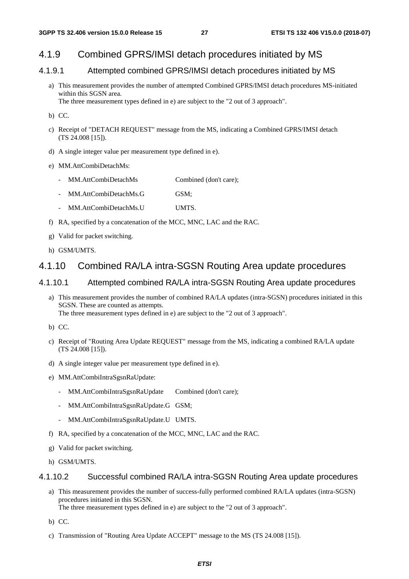#### 4.1.9 Combined GPRS/IMSI detach procedures initiated by MS

#### 4.1.9.1 Attempted combined GPRS/IMSI detach procedures initiated by MS

- a) This measurement provides the number of attempted Combined GPRS/IMSI detach procedures MS-initiated within this SGSN area. The three measurement types defined in e) are subject to the "2 out of 3 approach".
- b) CC.
- c) Receipt of "DETACH REQUEST" message from the MS, indicating a Combined GPRS/IMSI detach (TS 24.008 [15]).
- d) A single integer value per measurement type defined in e).
- e) MM.AttCombiDetachMs:
	- MM.AttCombiDetachMs Combined (don't care);
	- MM.AttCombiDetachMs.G GSM:
	- MM.AttCombiDetachMs.U UMTS.
- f) RA, specified by a concatenation of the MCC, MNC, LAC and the RAC.
- g) Valid for packet switching.
- h) GSM/UMTS.

#### 4.1.10 Combined RA/LA intra-SGSN Routing Area update procedures

#### 4.1.10.1 Attempted combined RA/LA intra-SGSN Routing Area update procedures

- a) This measurement provides the number of combined RA/LA updates (intra-SGSN) procedures initiated in this SGSN. These are counted as attempts. The three measurement types defined in e) are subject to the "2 out of 3 approach".
- b) CC.
- c) Receipt of "Routing Area Update REQUEST" message from the MS, indicating a combined RA/LA update (TS 24.008 [15]).
- d) A single integer value per measurement type defined in e).
- e) MM.AttCombiIntraSgsnRaUpdate:
	- MM.AttCombiIntraSgsnRaUpdate Combined (don't care);
	- MM.AttCombiIntraSgsnRaUpdate.G GSM;
	- MM.AttCombiIntraSgsnRaUpdate.U UMTS.
- f) RA, specified by a concatenation of the MCC, MNC, LAC and the RAC.
- g) Valid for packet switching.
- h) GSM/UMTS.

#### 4.1.10.2 Successful combined RA/LA intra-SGSN Routing Area update procedures

- a) This measurement provides the number of success-fully performed combined RA/LA updates (intra-SGSN) procedures initiated in this SGSN. The three measurement types defined in e) are subject to the "2 out of 3 approach".
- b) CC.
- c) Transmission of "Routing Area Update ACCEPT" message to the MS (TS 24.008 [15]).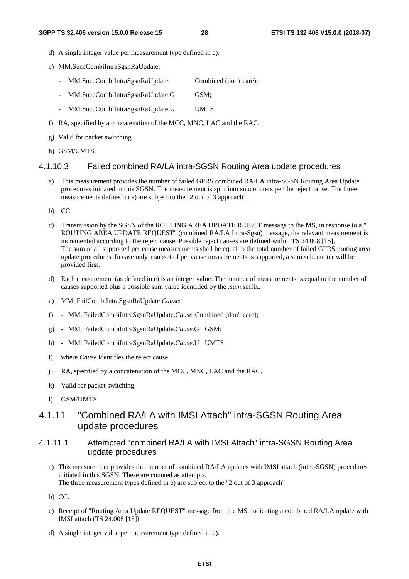- d) A single integer value per measurement type defined in e).
- e) MM.SuccCombiIntraSgsnRaUpdate:
	- MM.SuccCombiIntraSgsnRaUpdate Combined (don't care);
	- MM.SuccCombiIntraSgsnRaUpdate.G GSM;
	- MM.SuccCombiIntraSgsnRaUpdate.U UMTS.
- f) RA, specified by a concatenation of the MCC, MNC, LAC and the RAC.
- g) Valid for packet switching.
- h) GSM/UMTS.

#### 4.1.10.3 Failed combined RA/LA intra-SGSN Routing Area update procedures

- a) This measurement provides the number of failed GPRS combined RA/LA intra-SGSN Routing Area Update procedures initiated in this SGSN. The measurement is split into subcounters per the reject cause. The three measurements defined in e) are subject to the "2 out of 3 approach".
- b) CC
- c) Transmission by the SGSN of the ROUTING AREA UPDATE REJECT message to the MS, in response to a " ROUTING AREA UPDATE REQUEST" (combined RA/LA Intra-Sgsn) message, the relevant measurement is incremented according to the reject cause. Possible reject causes are defined within TS 24.008 [15]. The sum of all supported per cause measurements shall be equal to the total number of failed GPRS routing area update procedures. In case only a subset of per cause measurements is supported, a sum subcounter will be provided first.
- d) Each measurement (as defined in e) is an integer value. The number of measurements is equal to the number of causes supported plus a possible sum value identified by the *.sum* suffix.
- e) MM. FailCombiIntraSgsnRaUpdate.*Cause*:
- f) MM. FailedCombiIntraSgsnRaUpdate.*Cause* Combined (don't care);
- g) MM. FailedCombiIntraSgsnRaUpdate.*Cause*.G GSM;
- h) MM. FailedCombiIntraSgsnRaUpdate.*Cause*.U UMTS;
- i) where *Cause* identifies the reject cause.
- j) RA, specified by a concatenation of the MCC, MNC, LAC and the RAC.
- k) Valid for packet switching
- l) GSM/UMTS

#### 4.1.11 "Combined RA/LA with IMSI Attach" intra-SGSN Routing Area update procedures

#### 4.1.11.1 Attempted "combined RA/LA with IMSI Attach" intra-SGSN Routing Area update procedures

- a) This measurement provides the number of combined RA/LA updates with IMSI attach (intra-SGSN) procedures initiated in this SGSN. These are counted as attempts. The three measurement types defined in e) are subject to the "2 out of 3 approach".
- b) CC.
- c) Receipt of "Routing Area Update REQUEST" message from the MS, indicating a combined RA/LA update with IMSI attach (TS 24.008 [15]).
- d) A single integer value per measurement type defined in e).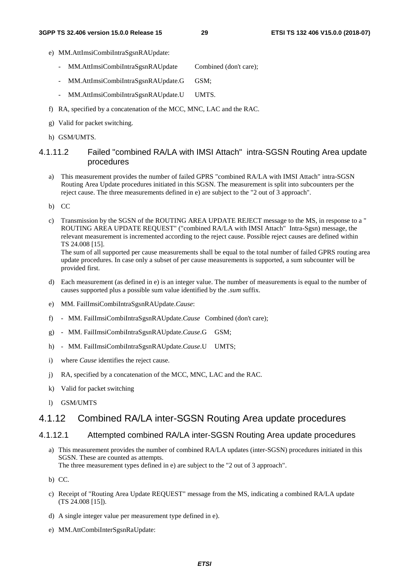- e) MM.AttImsiCombiIntraSgsnRAUpdate:
	- MM.AttImsiCombiIntraSgsnRAUpdate Combined (don't care);
	- MM.AttImsiCombiIntraSgsnRAUpdate.G GSM;
	- MM.AttImsiCombiIntraSgsnRAUpdate.U UMTS.
- f) RA, specified by a concatenation of the MCC, MNC, LAC and the RAC.
- g) Valid for packet switching.
- h) GSM/UMTS.

#### 4.1.11.2 Failed "combined RA/LA with IMSI Attach" intra-SGSN Routing Area update procedures

- a) This measurement provides the number of failed GPRS "combined RA/LA with IMSI Attach" intra-SGSN Routing Area Update procedures initiated in this SGSN. The measurement is split into subcounters per the reject cause. The three measurements defined in e) are subject to the "2 out of 3 approach".
- b) CC
- c) Transmission by the SGSN of the ROUTING AREA UPDATE REJECT message to the MS, in response to a " ROUTING AREA UPDATE REQUEST" ("combined RA/LA with IMSI Attach" Intra-Sgsn) message, the relevant measurement is incremented according to the reject cause. Possible reject causes are defined within TS 24.008 [15].

The sum of all supported per cause measurements shall be equal to the total number of failed GPRS routing area update procedures. In case only a subset of per cause measurements is supported, a sum subcounter will be provided first.

- d) Each measurement (as defined in e) is an integer value. The number of measurements is equal to the number of causes supported plus a possible sum value identified by the *.sum* suffix.
- e) MM. FailImsiCombiIntraSgsnRAUpdate.*Cause*:
- f) MM. FailImsiCombiIntraSgsnRAUpdate.*Cause* Combined (don't care);
- g) MM. FailImsiCombiIntraSgsnRAUpdate.*Cause*.G GSM;
- h) MM. FailImsiCombiIntraSgsnRAUpdate.*Cause*.U UMTS;
- i) where *Cause* identifies the reject cause.
- j) RA, specified by a concatenation of the MCC, MNC, LAC and the RAC.
- k) Valid for packet switching
- l) GSM/UMTS

#### 4.1.12 Combined RA/LA inter-SGSN Routing Area update procedures

#### 4.1.12.1 Attempted combined RA/LA inter-SGSN Routing Area update procedures

a) This measurement provides the number of combined RA/LA updates (inter-SGSN) procedures initiated in this SGSN. These are counted as attempts. The three measurement types defined in e) are subject to the "2 out of 3 approach".

b) CC.

- c) Receipt of "Routing Area Update REQUEST" message from the MS, indicating a combined RA/LA update (TS 24.008 [15]).
- d) A single integer value per measurement type defined in e).
- e) MM.AttCombiInterSgsnRaUpdate: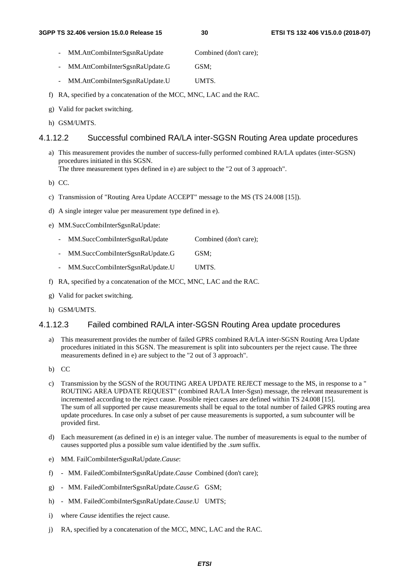- MM.AttCombiInterSgsnRaUpdate Combined (don't care);
- MM.AttCombiInterSgsnRaUpdate.G GSM;
- MM.AttCombiInterSgsnRaUpdate.U UMTS.
- f) RA, specified by a concatenation of the MCC, MNC, LAC and the RAC.
- g) Valid for packet switching.
- h) GSM/UMTS.

#### 4.1.12.2 Successful combined RA/LA inter-SGSN Routing Area update procedures

a) This measurement provides the number of success-fully performed combined RA/LA updates (inter-SGSN) procedures initiated in this SGSN.

The three measurement types defined in e) are subject to the "2 out of 3 approach".

b) CC.

- c) Transmission of "Routing Area Update ACCEPT" message to the MS (TS 24.008 [15]).
- d) A single integer value per measurement type defined in e).
- e) MM.SuccCombiInterSgsnRaUpdate:
	- MM.SuccCombiInterSgsnRaUpdate Combined (don't care):
	- MM.SuccCombiInterSgsnRaUpdate.G GSM;
	- MM.SuccCombiInterSgsnRaUpdate.U UMTS.
- f) RA, specified by a concatenation of the MCC, MNC, LAC and the RAC.
- g) Valid for packet switching.
- h) GSM/UMTS.

#### 4.1.12.3 Failed combined RA/LA inter-SGSN Routing Area update procedures

- a) This measurement provides the number of failed GPRS combined RA/LA inter-SGSN Routing Area Update procedures initiated in this SGSN. The measurement is split into subcounters per the reject cause. The three measurements defined in e) are subject to the "2 out of 3 approach".
- b) CC
- c) Transmission by the SGSN of the ROUTING AREA UPDATE REJECT message to the MS, in response to a " ROUTING AREA UPDATE REQUEST" (combined RA/LA Inter-Sgsn) message, the relevant measurement is incremented according to the reject cause. Possible reject causes are defined within TS 24.008 [15]. The sum of all supported per cause measurements shall be equal to the total number of failed GPRS routing area update procedures. In case only a subset of per cause measurements is supported, a sum subcounter will be provided first.
- d) Each measurement (as defined in e) is an integer value. The number of measurements is equal to the number of causes supported plus a possible sum value identified by the *.sum* suffix.
- e) MM. FailCombiInterSgsnRaUpdate.*Cause*:
- f) MM. FailedCombiInterSgsnRaUpdate.*Cause* Combined (don't care);
- g) MM. FailedCombiInterSgsnRaUpdate.*Cause*.G GSM;
- h) MM. FailedCombiInterSgsnRaUpdate.*Cause*.U UMTS;
- i) where *Cause* identifies the reject cause.
- j) RA, specified by a concatenation of the MCC, MNC, LAC and the RAC.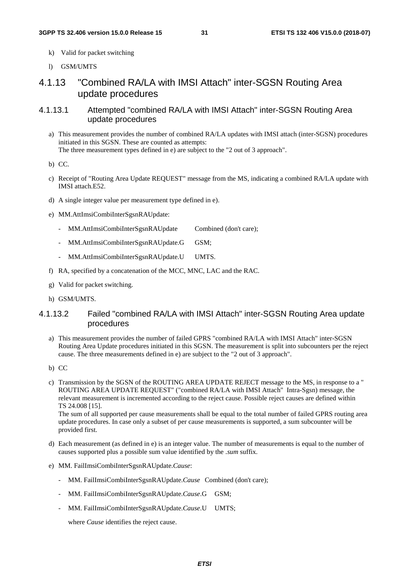- k) Valid for packet switching
- l) GSM/UMTS

### 4.1.13 "Combined RA/LA with IMSI Attach" inter-SGSN Routing Area update procedures

- 4.1.13.1 Attempted "combined RA/LA with IMSI Attach" inter-SGSN Routing Area update procedures
	- a) This measurement provides the number of combined RA/LA updates with IMSI attach (inter-SGSN) procedures initiated in this SGSN. These are counted as attempts: The three measurement types defined in e) are subject to the "2 out of 3 approach".

b) CC.

- c) Receipt of "Routing Area Update REQUEST" message from the MS, indicating a combined RA/LA update with IMSI attach.E52.
- d) A single integer value per measurement type defined in e).
- e) MM.AttImsiCombiInterSgsnRAUpdate:
	- MM.AttImsiCombiInterSgsnRAUpdate Combined (don't care);
	- MM.AttImsiCombiInterSgsnRAUpdate.G GSM;
	- MM.AttImsiCombiInterSgsnRAUpdate.U UMTS.
- f) RA, specified by a concatenation of the MCC, MNC, LAC and the RAC.
- g) Valid for packet switching.
- h) GSM/UMTS.

#### 4.1.13.2 Failed "combined RA/LA with IMSI Attach" inter-SGSN Routing Area update procedures

- a) This measurement provides the number of failed GPRS "combined RA/LA with IMSI Attach" inter-SGSN Routing Area Update procedures initiated in this SGSN. The measurement is split into subcounters per the reject cause. The three measurements defined in e) are subject to the "2 out of 3 approach".
- b) CC
- c) Transmission by the SGSN of the ROUTING AREA UPDATE REJECT message to the MS, in response to a " ROUTING AREA UPDATE REQUEST" ("combined RA/LA with IMSI Attach" Intra-Sgsn) message, the relevant measurement is incremented according to the reject cause. Possible reject causes are defined within TS 24.008 [15].

The sum of all supported per cause measurements shall be equal to the total number of failed GPRS routing area update procedures. In case only a subset of per cause measurements is supported, a sum subcounter will be provided first.

- d) Each measurement (as defined in e) is an integer value. The number of measurements is equal to the number of causes supported plus a possible sum value identified by the *.sum* suffix.
- e) MM. FailImsiCombiInterSgsnRAUpdate.*Cause*:
	- MM. FailImsiCombiInterSgsnRAUpdate.*Cause* Combined (don't care);
	- MM. FailImsiCombiInterSgsnRAUpdate.*Cause*.G GSM;
	- MM. FailImsiCombiInterSgsnRAUpdate.*Cause*.U UMTS;

where *Cause* identifies the reject cause.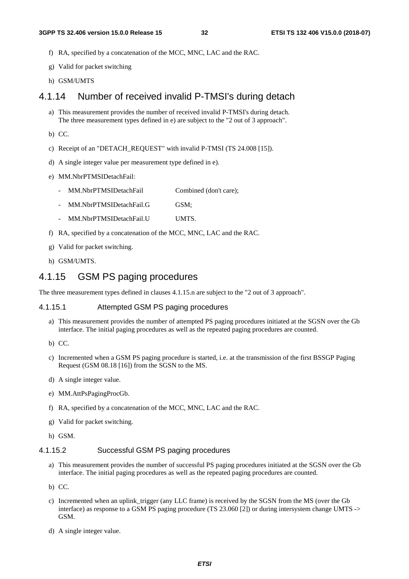- f) RA, specified by a concatenation of the MCC, MNC, LAC and the RAC.
- g) Valid for packet switching
- h) GSM/UMTS

#### 4.1.14 Number of received invalid P-TMSI's during detach

- a) This measurement provides the number of received invalid P-TMSI's during detach. The three measurement types defined in e) are subject to the "2 out of 3 approach".
- b) CC.
- c) Receipt of an "DETACH\_REQUEST" with invalid P-TMSI (TS 24.008 [15]).
- d) A single integer value per measurement type defined in e).
- e) MM.NbrPTMSIDetachFail:
	- MM.NbrPTMSIDetachFail Combined (don't care);
	- MM.NbrPTMSIDetachFail.G GSM;
	- MM.NbrPTMSIDetachFail.U UMTS.
- f) RA, specified by a concatenation of the MCC, MNC, LAC and the RAC.
- g) Valid for packet switching.
- h) GSM/UMTS.

#### 4.1.15 GSM PS paging procedures

The three measurement types defined in clauses 4.1.15.n are subject to the "2 out of 3 approach".

#### 4.1.15.1 Attempted GSM PS paging procedures

- a) This measurement provides the number of attempted PS paging procedures initiated at the SGSN over the Gb interface. The initial paging procedures as well as the repeated paging procedures are counted.
- b) CC.
- c) Incremented when a GSM PS paging procedure is started, i.e. at the transmission of the first BSSGP Paging Request (GSM 08.18 [16]) from the SGSN to the MS.
- d) A single integer value.
- e) MM.AttPsPagingProcGb.
- f) RA, specified by a concatenation of the MCC, MNC, LAC and the RAC.
- g) Valid for packet switching.
- h) GSM.

#### 4.1.15.2 Successful GSM PS paging procedures

- a) This measurement provides the number of successful PS paging procedures initiated at the SGSN over the Gb interface. The initial paging procedures as well as the repeated paging procedures are counted.
- b) CC.
- c) Incremented when an uplink\_trigger (any LLC frame) is received by the SGSN from the MS (over the Gb interface) as response to a GSM PS paging procedure (TS 23.060 [2]) or during intersystem change UMTS -> GSM.
- d) A single integer value.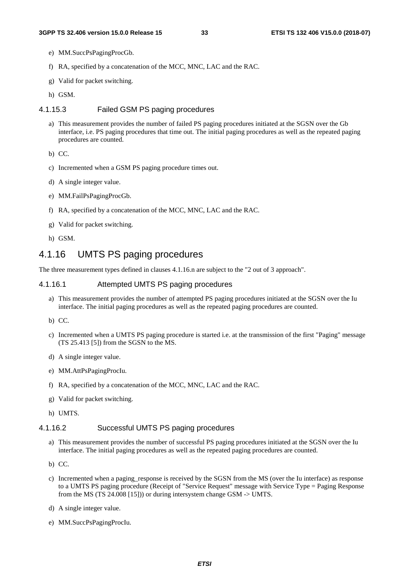- e) MM.SuccPsPagingProcGb.
- f) RA, specified by a concatenation of the MCC, MNC, LAC and the RAC.
- g) Valid for packet switching.
- h) GSM.

#### 4.1.15.3 Failed GSM PS paging procedures

a) This measurement provides the number of failed PS paging procedures initiated at the SGSN over the Gb interface, i.e. PS paging procedures that time out. The initial paging procedures as well as the repeated paging procedures are counted.

b) CC.

- c) Incremented when a GSM PS paging procedure times out.
- d) A single integer value.
- e) MM.FailPsPagingProcGb.
- f) RA, specified by a concatenation of the MCC, MNC, LAC and the RAC.
- g) Valid for packet switching.
- h) GSM.

#### 4.1.16 UMTS PS paging procedures

The three measurement types defined in clauses 4.1.16.n are subject to the "2 out of 3 approach".

#### 4.1.16.1 Attempted UMTS PS paging procedures

a) This measurement provides the number of attempted PS paging procedures initiated at the SGSN over the Iu interface. The initial paging procedures as well as the repeated paging procedures are counted.

b) CC.

- c) Incremented when a UMTS PS paging procedure is started i.e. at the transmission of the first "Paging" message (TS 25.413 [5]) from the SGSN to the MS.
- d) A single integer value.
- e) MM.AttPsPagingProcIu.
- f) RA, specified by a concatenation of the MCC, MNC, LAC and the RAC.
- g) Valid for packet switching.
- h) UMTS.

#### 4.1.16.2 Successful UMTS PS paging procedures

- a) This measurement provides the number of successful PS paging procedures initiated at the SGSN over the Iu interface. The initial paging procedures as well as the repeated paging procedures are counted.
- b) CC.
- c) Incremented when a paging\_response is received by the SGSN from the MS (over the Iu interface) as response to a UMTS PS paging procedure (Receipt of "Service Request" message with Service Type = Paging Response from the MS (TS 24.008 [15])) or during intersystem change GSM -> UMTS.
- d) A single integer value.
- e) MM.SuccPsPagingProcIu.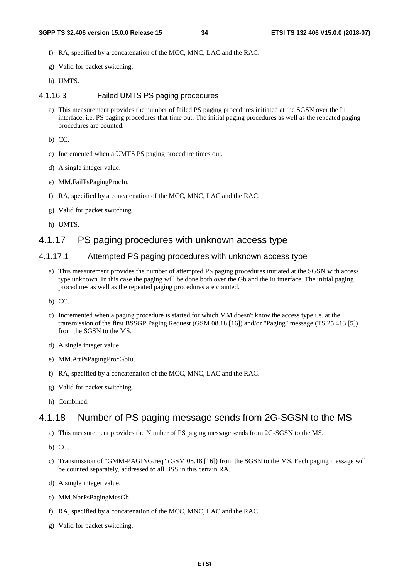- f) RA, specified by a concatenation of the MCC, MNC, LAC and the RAC.
- g) Valid for packet switching.
- h) UMTS.

#### 4.1.16.3 Failed UMTS PS paging procedures

a) This measurement provides the number of failed PS paging procedures initiated at the SGSN over the Iu interface, i.e. PS paging procedures that time out. The initial paging procedures as well as the repeated paging procedures are counted.

b) CC.

- c) Incremented when a UMTS PS paging procedure times out.
- d) A single integer value.
- e) MM.FailPsPagingProcIu.
- f) RA, specified by a concatenation of the MCC, MNC, LAC and the RAC.
- g) Valid for packet switching.
- h) UMTS.

#### 4.1.17 PS paging procedures with unknown access type

#### 4.1.17.1 Attempted PS paging procedures with unknown access type

- a) This measurement provides the number of attempted PS paging procedures initiated at the SGSN with access type unknown. In this case the paging will be done both over the Gb and the Iu interface. The initial paging procedures as well as the repeated paging procedures are counted.
- b) CC.
- c) Incremented when a paging procedure is started for which MM doesn't know the access type i.e. at the transmission of the first BSSGP Paging Request (GSM 08.18 [16]) and/or "Paging" message (TS 25.413 [5]) from the SGSN to the MS.
- d) A single integer value.
- e) MM.AttPsPagingProcGbIu.
- f) RA, specified by a concatenation of the MCC, MNC, LAC and the RAC.
- g) Valid for packet switching.
- h) Combined.

#### 4.1.18 Number of PS paging message sends from 2G-SGSN to the MS

- a) This measurement provides the Number of PS paging message sends from 2G-SGSN to the MS.
- b) CC.
- c) Transmission of "GMM-PAGING.req" (GSM 08.18 [16]) from the SGSN to the MS. Each paging message will be counted separately, addressed to all BSS in this certain RA.
- d) A single integer value.
- e) MM.NbrPsPagingMesGb.
- f) RA, specified by a concatenation of the MCC, MNC, LAC and the RAC.
- g) Valid for packet switching.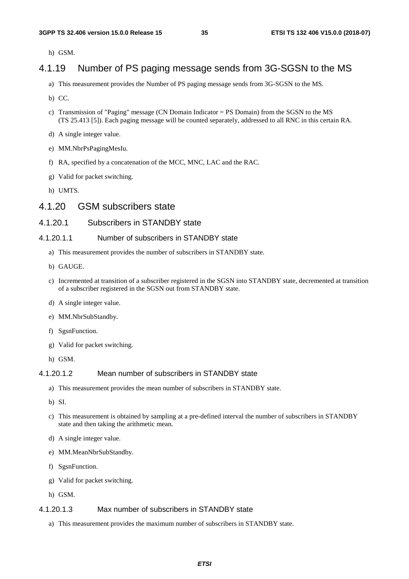h) GSM.

### 4.1.19 Number of PS paging message sends from 3G-SGSN to the MS

- a) This measurement provides the Number of PS paging message sends from 3G-SGSN to the MS.
- b) CC.
- c) Transmission of "Paging" message (CN Domain Indicator = PS Domain) from the SGSN to the MS (TS 25.413 [5]). Each paging message will be counted separately, addressed to all RNC in this certain RA.
- d) A single integer value.
- e) MM.NbrPsPagingMesIu.
- f) RA, specified by a concatenation of the MCC, MNC, LAC and the RAC.
- g) Valid for packet switching.
- h) UMTS.

#### 4.1.20 GSM subscribers state

#### 4.1.20.1 Subscribers in STANDBY state

#### 4.1.20.1.1 Number of subscribers in STANDBY state

- a) This measurement provides the number of subscribers in STANDBY state.
- b) GAUGE.
- c) Incremented at transition of a subscriber registered in the SGSN into STANDBY state, decremented at transition of a subscriber registered in the SGSN out from STANDBY state.
- d) A single integer value.
- e) MM.NbrSubStandby.
- f) SgsnFunction.
- g) Valid for packet switching.
- h) GSM.

#### 4.1.20.1.2 Mean number of subscribers in STANDBY state

- a) This measurement provides the mean number of subscribers in STANDBY state.
- b) SI.
- c) This measurement is obtained by sampling at a pre-defined interval the number of subscribers in STANDBY state and then taking the arithmetic mean.
- d) A single integer value.
- e) MM.MeanNbrSubStandby.
- f) SgsnFunction.
- g) Valid for packet switching.
- h) GSM.

#### 4.1.20.1.3 Max number of subscribers in STANDBY state

a) This measurement provides the maximum number of subscribers in STANDBY state.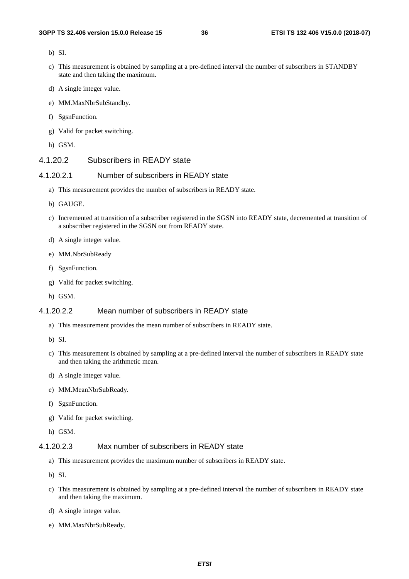- b) SI.
- c) This measurement is obtained by sampling at a pre-defined interval the number of subscribers in STANDBY state and then taking the maximum.
- d) A single integer value.
- e) MM.MaxNbrSubStandby.
- f) SgsnFunction.
- g) Valid for packet switching.
- h) GSM.

### 4.1.20.2 Subscribers in READY state

#### 4.1.20.2.1 Number of subscribers in READY state

- a) This measurement provides the number of subscribers in READY state.
- b) GAUGE.
- c) Incremented at transition of a subscriber registered in the SGSN into READY state, decremented at transition of a subscriber registered in the SGSN out from READY state.
- d) A single integer value.
- e) MM.NbrSubReady
- f) SgsnFunction.
- g) Valid for packet switching.
- h) GSM.

#### 4.1.20.2.2 Mean number of subscribers in READY state

- a) This measurement provides the mean number of subscribers in READY state.
- b) SI.
- c) This measurement is obtained by sampling at a pre-defined interval the number of subscribers in READY state and then taking the arithmetic mean.
- d) A single integer value.
- e) MM.MeanNbrSubReady.
- f) SgsnFunction.
- g) Valid for packet switching.
- h) GSM.

#### 4.1.20.2.3 Max number of subscribers in READY state

- a) This measurement provides the maximum number of subscribers in READY state.
- b) SI.
- c) This measurement is obtained by sampling at a pre-defined interval the number of subscribers in READY state and then taking the maximum.
- d) A single integer value.
- e) MM.MaxNbrSubReady.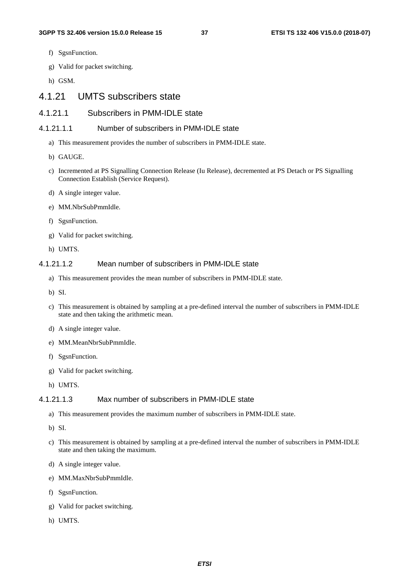- f) SgsnFunction.
- g) Valid for packet switching.
- h) GSM.

# 4.1.21 UMTS subscribers state

# 4.1.21.1 Subscribers in PMM-IDLE state

#### 4.1.21.1.1 Number of subscribers in PMM-IDLE state

- a) This measurement provides the number of subscribers in PMM-IDLE state.
- b) GAUGE.
- c) Incremented at PS Signalling Connection Release (Iu Release), decremented at PS Detach or PS Signalling Connection Establish (Service Request).
- d) A single integer value.
- e) MM.NbrSubPmmIdle.
- f) SgsnFunction.
- g) Valid for packet switching.
- h) UMTS.

#### 4.1.21.1.2 Mean number of subscribers in PMM-IDLE state

- a) This measurement provides the mean number of subscribers in PMM-IDLE state.
- b) SI.
- c) This measurement is obtained by sampling at a pre-defined interval the number of subscribers in PMM-IDLE state and then taking the arithmetic mean.
- d) A single integer value.
- e) MM.MeanNbrSubPmmIdle.
- f) SgsnFunction.
- g) Valid for packet switching.
- h) UMTS.

#### 4.1.21.1.3 Max number of subscribers in PMM-IDLE state

- a) This measurement provides the maximum number of subscribers in PMM-IDLE state.
- b) SI.
- c) This measurement is obtained by sampling at a pre-defined interval the number of subscribers in PMM-IDLE state and then taking the maximum.
- d) A single integer value.
- e) MM.MaxNbrSubPmmIdle.
- f) SgsnFunction.
- g) Valid for packet switching.
- h) UMTS.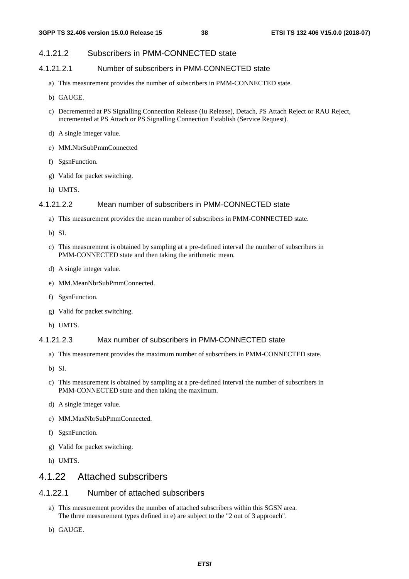### 4.1.21.2 Subscribers in PMM-CONNECTED state

### 4.1.21.2.1 Number of subscribers in PMM-CONNECTED state

- a) This measurement provides the number of subscribers in PMM-CONNECTED state.
- b) GAUGE.
- c) Decremented at PS Signalling Connection Release (Iu Release), Detach, PS Attach Reject or RAU Reject, incremented at PS Attach or PS Signalling Connection Establish (Service Request).
- d) A single integer value.
- e) MM.NbrSubPmmConnected
- f) SgsnFunction.
- g) Valid for packet switching.
- h) UMTS.

#### 4.1.21.2.2 Mean number of subscribers in PMM-CONNECTED state

- a) This measurement provides the mean number of subscribers in PMM-CONNECTED state.
- b) SI.
- c) This measurement is obtained by sampling at a pre-defined interval the number of subscribers in PMM-CONNECTED state and then taking the arithmetic mean.
- d) A single integer value.
- e) MM.MeanNbrSubPmmConnected.
- f) SgsnFunction.
- g) Valid for packet switching.
- h) UMTS.

#### 4.1.21.2.3 Max number of subscribers in PMM-CONNECTED state

- a) This measurement provides the maximum number of subscribers in PMM-CONNECTED state.
- b) SI.
- c) This measurement is obtained by sampling at a pre-defined interval the number of subscribers in PMM-CONNECTED state and then taking the maximum.
- d) A single integer value.
- e) MM.MaxNbrSubPmmConnected.
- f) SgsnFunction.
- g) Valid for packet switching.
- h) UMTS.

# 4.1.22 Attached subscribers

### 4.1.22.1 Number of attached subscribers

- a) This measurement provides the number of attached subscribers within this SGSN area. The three measurement types defined in e) are subject to the "2 out of 3 approach".
- b) GAUGE.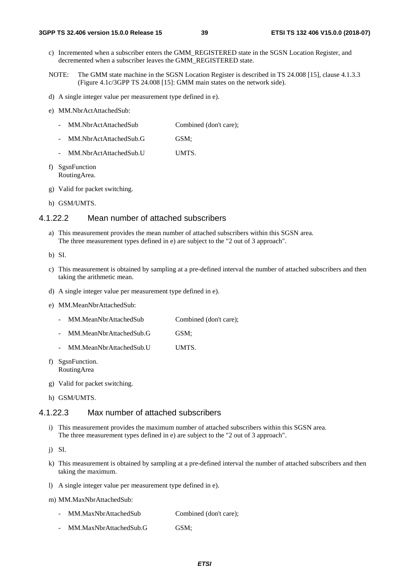- c) Incremented when a subscriber enters the GMM\_REGISTERED state in the SGSN Location Register, and decremented when a subscriber leaves the GMM\_REGISTERED state.
- NOTE: The GMM state machine in the SGSN Location Register is described in TS 24.008 [15], clause 4.1.3.3 (Figure 4.1c/3GPP TS 24.008 [15]: GMM main states on the network side).
- d) A single integer value per measurement type defined in e).
- e) MM.NbrActAttachedSub:
	- MM.NbrActAttachedSub Combined (don't care);
	- MM.NbrActAttachedSub.G GSM;
	- MM.NbrActAttachedSub.U UMTS.
- f) SgsnFunction RoutingArea.
- g) Valid for packet switching.
- h) GSM/UMTS.

#### 4.1.22.2 Mean number of attached subscribers

- a) This measurement provides the mean number of attached subscribers within this SGSN area. The three measurement types defined in e) are subject to the "2 out of 3 approach".
- b) SI.
- c) This measurement is obtained by sampling at a pre-defined interval the number of attached subscribers and then taking the arithmetic mean.
- d) A single integer value per measurement type defined in e).
- e) MM.MeanNbrAttachedSub:
	- MM.MeanNbrAttachedSub Combined (don't care);
	- MM.MeanNbrAttachedSub.G GSM;
	- MM.MeanNbrAttachedSub.U UMTS.
- f) SgsnFunction. RoutingArea
- g) Valid for packet switching.
- h) GSM/UMTS.

#### 4.1.22.3 Max number of attached subscribers

i) This measurement provides the maximum number of attached subscribers within this SGSN area. The three measurement types defined in e) are subject to the "2 out of 3 approach".

j) SI.

- k) This measurement is obtained by sampling at a pre-defined interval the number of attached subscribers and then taking the maximum.
- l) A single integer value per measurement type defined in e).
- m) MM.MaxNbrAttachedSub:
	- MM.MaxNbrAttachedSub Combined (don't care);
	- MM.MaxNbrAttachedSub.G GSM;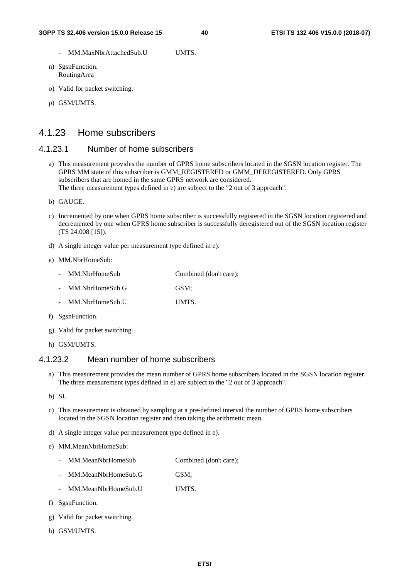- MM.MaxNbrAttachedSub.U UMTS.
- n) SgsnFunction. RoutingArea
- o) Valid for packet switching.
- p) GSM/UMTS.

# 4.1.23 Home subscribers

# 4.1.23.1 Number of home subscribers

- a) This measurement provides the number of GPRS home subscribers located in the SGSN location register. The GPRS MM state of this subscriber is GMM\_REGISTERED or GMM\_DEREGISTERED. Only GPRS subscribers that are homed in the same GPRS network are considered. The three measurement types defined in e) are subject to the "2 out of 3 approach".
- b) GAUGE.
- c) Incremented by one when GPRS home subscriber is successfully registered in the SGSN location registered and decremented by one when GPRS home subscriber is successfully deregistered out of the SGSN location register (TS 24.008 [15]).
- d) A single integer value per measurement type defined in e).

#### e) MM.NbrHomeSub:

- MM.NbrHomeSub Combined (don't care);
- MM.NbrHomeSub.G GSM;
- MM.NbrHomeSub.U UMTS.
- f) SgsnFunction.
- g) Valid for packet switching.
- h) GSM/UMTS.

# 4.1.23.2 Mean number of home subscribers

- a) This measurement provides the mean number of GPRS home subscribers located in the SGSN location register. The three measurement types defined in e) are subject to the "2 out of 3 approach".
- b) SI.
- c) This measurement is obtained by sampling at a pre-defined interval the number of GPRS home subscribers located in the SGSN location register and then taking the arithmetic mean.
- d) A single integer value per measurement type defined in e).
- e) MM.MeanNbrHomeSub:
	- MM.MeanNbrHomeSub Combined (don't care);
	- MM.MeanNbrHomeSub.G GSM;
	- MM.MeanNbrHomeSub.U UMTS.
- f) SgsnFunction.
- g) Valid for packet switching.
- h) GSM/UMTS.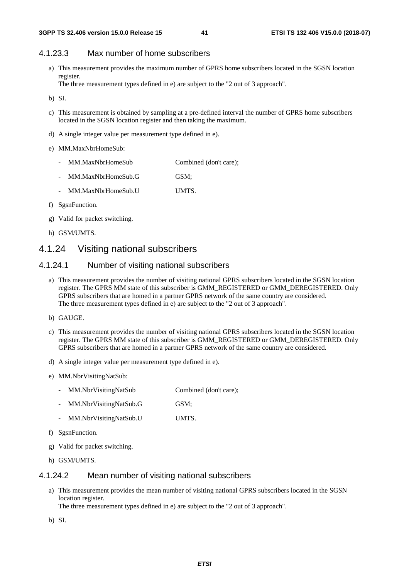### 4.1.23.3 Max number of home subscribers

a) This measurement provides the maximum number of GPRS home subscribers located in the SGSN location register.

The three measurement types defined in e) are subject to the "2 out of 3 approach".

- b) SI.
- c) This measurement is obtained by sampling at a pre-defined interval the number of GPRS home subscribers located in the SGSN location register and then taking the maximum.
- d) A single integer value per measurement type defined in e).
- e) MM.MaxNbrHomeSub:
	- MM.MaxNbrHomeSub Combined (don't care);
	- MM.MaxNbrHomeSub.G GSM;
	- MM.MaxNbrHomeSub.U UMTS.
- f) SgsnFunction.
- g) Valid for packet switching.
- h) GSM/UMTS.

# 4.1.24 Visiting national subscribers

#### 4.1.24.1 Number of visiting national subscribers

- a) This measurement provides the number of visiting national GPRS subscribers located in the SGSN location register. The GPRS MM state of this subscriber is GMM\_REGISTERED or GMM\_DEREGISTERED. Only GPRS subscribers that are homed in a partner GPRS network of the same country are considered. The three measurement types defined in e) are subject to the "2 out of 3 approach".
- b) GAUGE.
- c) This measurement provides the number of visiting national GPRS subscribers located in the SGSN location register. The GPRS MM state of this subscriber is GMM\_REGISTERED or GMM\_DEREGISTERED. Only GPRS subscribers that are homed in a partner GPRS network of the same country are considered.
- d) A single integer value per measurement type defined in e).
- e) MM.NbrVisitingNatSub:
	- MM.NbrVisitingNatSub Combined (don't care);
	- MM.NbrVisitingNatSub.G GSM;
	- MM.NbrVisitingNatSub.U UMTS.
- f) SgsnFunction.
- g) Valid for packet switching.
- h) GSM/UMTS.

#### 4.1.24.2 Mean number of visiting national subscribers

a) This measurement provides the mean number of visiting national GPRS subscribers located in the SGSN location register.

The three measurement types defined in e) are subject to the "2 out of 3 approach".

b) SI.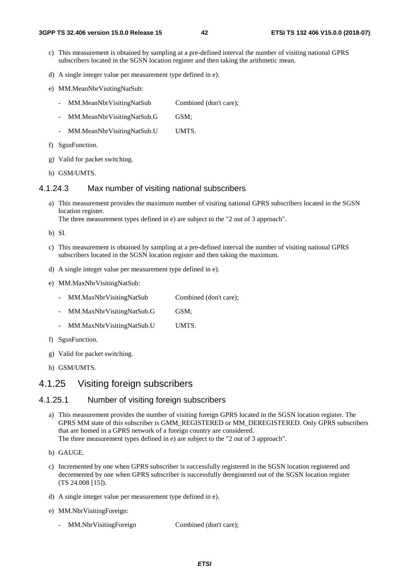- c) This measurement is obtained by sampling at a pre-defined interval the number of visiting national GPRS subscribers located in the SGSN location register and then taking the arithmetic mean.
- d) A single integer value per measurement type defined in e).
- e) MM.MeanNbrVisitingNatSub:
	- MM.MeanNbrVisitingNatSub Combined (don't care);
	- MM.MeanNbrVisitingNatSub.G GSM;
	- MM.MeanNbrVisitingNatSub.U UMTS.
- f) SgsnFunction.
- g) Valid for packet switching.
- h) GSM/UMTS.

#### 4.1.24.3 Max number of visiting national subscribers

a) This measurement provides the maximum number of visiting national GPRS subscribers located in the SGSN location register.

The three measurement types defined in e) are subject to the "2 out of 3 approach".

b) SI.

- c) This measurement is obtained by sampling at a pre-defined interval the number of visiting national GPRS subscribers located in the SGSN location register and then taking the maximum.
- d) A single integer value per measurement type defined in e).
- e) MM.MaxNbrVisitingNatSub:
	- MM.MaxNbrVisitingNatSub Combined (don't care);
	- MM.MaxNbrVisitingNatSub.G GSM;
	- MM.MaxNbrVisitingNatSub.U UMTS.
- f) SgsnFunction.
- g) Valid for packet switching.
- h) GSM/UMTS.

# 4.1.25 Visiting foreign subscribers

#### 4.1.25.1 Number of visiting foreign subscribers

- a) This measurement provides the number of visiting foreign GPRS located in the SGSN location register. The GPRS MM state of this subscriber is GMM\_REGISTERED or MM\_DEREGISTERED. Only GPRS subscribers that are homed in a GPRS network of a foreign country are considered. The three measurement types defined in e) are subject to the "2 out of 3 approach".
- b) GAUGE.
- c) Incremented by one when GPRS subscriber is successfully registered in the SGSN location registered and decremented by one when GPRS subscriber is successfully deregistered out of the SGSN location register (TS 24.008 [15]).
- d) A single integer value per measurement type defined in e).
- e) MM.NbrVisitingForeign:
	- MM.NbrVisitingForeign Combined (don't care);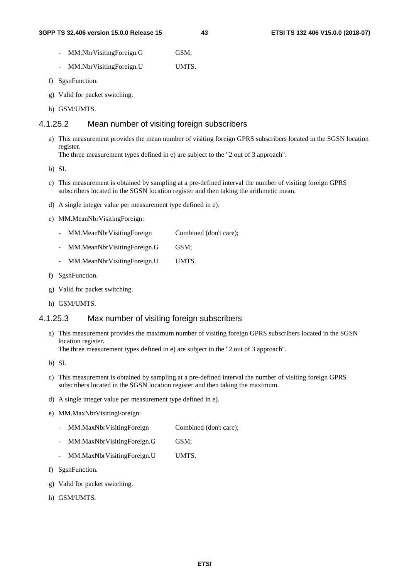- MM.NbrVisitingForeign.G GSM;
- MM.NbrVisitingForeign.U UMTS.
- f) SgsnFunction.
- g) Valid for packet switching.
- h) GSM/UMTS.

# 4.1.25.2 Mean number of visiting foreign subscribers

a) This measurement provides the mean number of visiting foreign GPRS subscribers located in the SGSN location register.

The three measurement types defined in e) are subject to the "2 out of 3 approach".

b) SI.

- c) This measurement is obtained by sampling at a pre-defined interval the number of visiting foreign GPRS subscribers located in the SGSN location register and then taking the arithmetic mean.
- d) A single integer value per measurement type defined in e).
- e) MM.MeanNbrVisitingForeign:
	- MM.MeanNbrVisitingForeign Combined (don't care);
	- MM.MeanNbrVisitingForeign.G GSM;
	- MM.MeanNbrVisitingForeign.U UMTS.
- f) SgsnFunction.
- g) Valid for packet switching.
- h) GSM/UMTS.

# 4.1.25.3 Max number of visiting foreign subscribers

a) This measurement provides the maximum number of visiting foreign GPRS subscribers located in the SGSN location register.

The three measurement types defined in e) are subject to the "2 out of 3 approach".

- b) SI.
- c) This measurement is obtained by sampling at a pre-defined interval the number of visiting foreign GPRS subscribers located in the SGSN location register and then taking the maximum.
- d) A single integer value per measurement type defined in e).
- e) MM.MaxNbrVisitingForeign:
	- MM.MaxNbrVisitingForeign Combined (don't care);
	- MM.MaxNbrVisitingForeign.G GSM;
	- MM.MaxNbrVisitingForeign.U UMTS.
- f) SgsnFunction.
- g) Valid for packet switching.
- h) GSM/UMTS.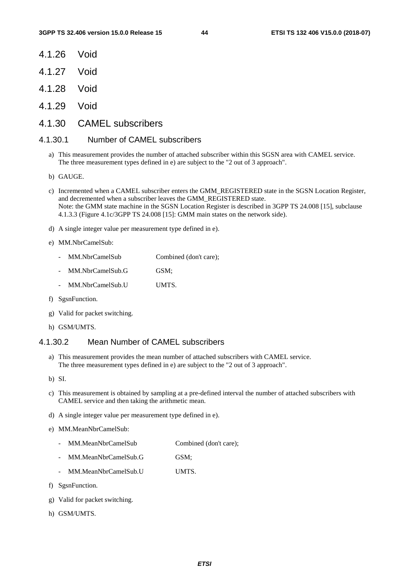- 4.1.26 Void
- 4.1.27 Void
- 4.1.28 Void
- 4.1.29 Void
- 4.1.30 CAMEL subscribers

# 4.1.30.1 Number of CAMEL subscribers

- a) This measurement provides the number of attached subscriber within this SGSN area with CAMEL service. The three measurement types defined in e) are subject to the "2 out of 3 approach".
- b) GAUGE.
- c) Incremented when a CAMEL subscriber enters the GMM\_REGISTERED state in the SGSN Location Register, and decremented when a subscriber leaves the GMM\_REGISTERED state. Note: the GMM state machine in the SGSN Location Register is described in 3GPP TS 24.008 [15], subclause 4.1.3.3 (Figure 4.1c/3GPP TS 24.008 [15]: GMM main states on the network side).
- d) A single integer value per measurement type defined in e).
- e) MM.NbrCamelSub:
	- MM.NbrCamelSub Combined (don't care):
	- MM.NbrCamelSub.G GSM;
	- MM.NbrCamelSub.U UMTS.
- f) SgsnFunction.
- g) Valid for packet switching.
- h) GSM/UMTS.

# 4.1.30.2 Mean Number of CAMEL subscribers

- a) This measurement provides the mean number of attached subscribers with CAMEL service. The three measurement types defined in e) are subject to the "2 out of 3 approach".
- b) SI.
- c) This measurement is obtained by sampling at a pre-defined interval the number of attached subscribers with CAMEL service and then taking the arithmetic mean.
- d) A single integer value per measurement type defined in e).
- e) MM.MeanNbrCamelSub:
	- MM.MeanNbrCamelSub Combined (don't care);
	- MM.MeanNbrCamelSub.G GSM;
	- MM.MeanNbrCamelSub.U UMTS
- f) SgsnFunction.
- g) Valid for packet switching.
- h) GSM/UMTS.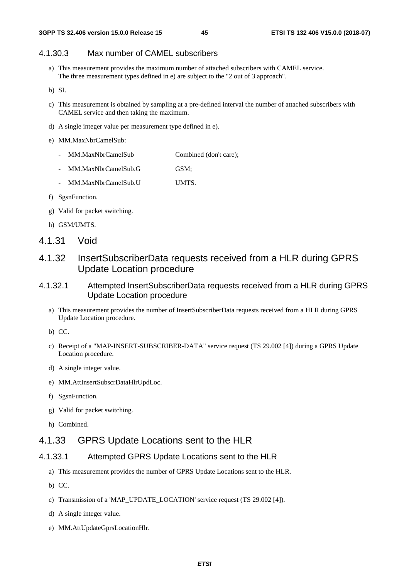# 4.1.30.3 Max number of CAMEL subscribers

- a) This measurement provides the maximum number of attached subscribers with CAMEL service. The three measurement types defined in e) are subject to the "2 out of 3 approach".
- b) SI.
- c) This measurement is obtained by sampling at a pre-defined interval the number of attached subscribers with CAMEL service and then taking the maximum.
- d) A single integer value per measurement type defined in e).
- e) MM.MaxNbrCamelSub:
	- MM.MaxNbrCamelSub Combined (don't care);
	- MM.MaxNbrCamelSub.G GSM;
	- MM.MaxNbrCamelSub.U UMTS.
- f) SgsnFunction.
- g) Valid for packet switching.
- h) GSM/UMTS.
- 4.1.31 Void
- 4.1.32 InsertSubscriberData requests received from a HLR during GPRS Update Location procedure

### 4.1.32.1 Attempted InsertSubscriberData requests received from a HLR during GPRS Update Location procedure

- a) This measurement provides the number of InsertSubscriberData requests received from a HLR during GPRS Update Location procedure.
- b) CC.
- c) Receipt of a "MAP-INSERT-SUBSCRIBER-DATA" service request (TS 29.002 [4]) during a GPRS Update Location procedure.
- d) A single integer value.
- e) MM.AttInsertSubscrDataHlrUpdLoc.
- f) SgsnFunction.
- g) Valid for packet switching.
- h) Combined.

### 4.1.33 GPRS Update Locations sent to the HLR

### 4.1.33.1 Attempted GPRS Update Locations sent to the HLR

- a) This measurement provides the number of GPRS Update Locations sent to the HLR.
- b) CC.
- c) Transmission of a 'MAP\_UPDATE\_LOCATION' service request (TS 29.002 [4]).
- d) A single integer value.
- e) MM.AttUpdateGprsLocationHlr.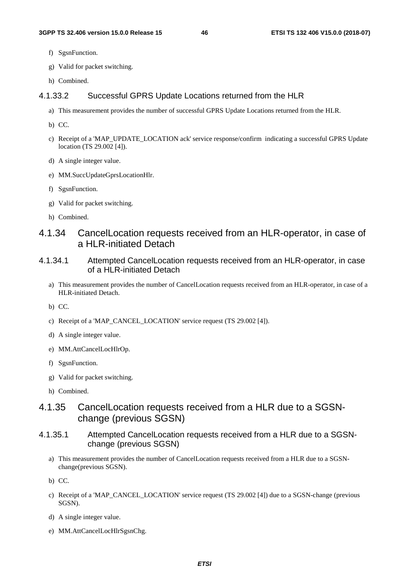- f) SgsnFunction.
- g) Valid for packet switching.
- h) Combined.

# 4.1.33.2 Successful GPRS Update Locations returned from the HLR

a) This measurement provides the number of successful GPRS Update Locations returned from the HLR.

b) CC.

- c) Receipt of a 'MAP\_UPDATE\_LOCATION ack' service response/confirm indicating a successful GPRS Update location (TS 29.002 [4]).
- d) A single integer value.
- e) MM.SuccUpdateGprsLocationHlr.
- f) SgsnFunction.
- g) Valid for packet switching.
- h) Combined.

# 4.1.34 CancelLocation requests received from an HLR-operator, in case of a HLR-initiated Detach

- 4.1.34.1 Attempted CancelLocation requests received from an HLR-operator, in case of a HLR-initiated Detach
	- a) This measurement provides the number of CancelLocation requests received from an HLR-operator, in case of a HLR-initiated Detach.
	- b) CC.
	- c) Receipt of a 'MAP\_CANCEL\_LOCATION' service request (TS 29.002 [4]).
	- d) A single integer value.
	- e) MM.AttCancelLocHlrOp.
	- f) SgsnFunction.
	- g) Valid for packet switching.
	- h) Combined.

# 4.1.35 CancelLocation requests received from a HLR due to a SGSNchange (previous SGSN)

- 4.1.35.1 Attempted CancelLocation requests received from a HLR due to a SGSNchange (previous SGSN)
	- a) This measurement provides the number of CancelLocation requests received from a HLR due to a SGSNchange(previous SGSN).
	- b) CC.
	- c) Receipt of a 'MAP\_CANCEL\_LOCATION' service request (TS 29.002 [4]) due to a SGSN-change (previous SGSN).
	- d) A single integer value.
	- e) MM.AttCancelLocHlrSgsnChg.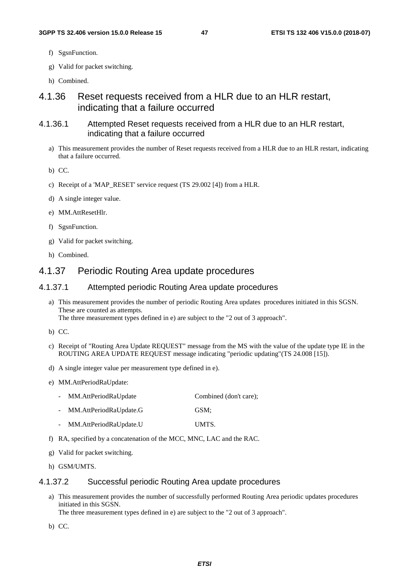- f) SgsnFunction.
- g) Valid for packet switching.
- h) Combined.

# 4.1.36 Reset requests received from a HLR due to an HLR restart, indicating that a failure occurred

- 4.1.36.1 Attempted Reset requests received from a HLR due to an HLR restart, indicating that a failure occurred
	- a) This measurement provides the number of Reset requests received from a HLR due to an HLR restart, indicating that a failure occurred.

b) CC.

- c) Receipt of a 'MAP\_RESET' service request (TS 29.002 [4]) from a HLR.
- d) A single integer value.
- e) MM.AttResetHlr.
- f) SgsnFunction.
- g) Valid for packet switching.
- h) Combined.

# 4.1.37 Periodic Routing Area update procedures

### 4.1.37.1 Attempted periodic Routing Area update procedures

a) This measurement provides the number of periodic Routing Area updates procedures initiated in this SGSN. These are counted as attempts.

The three measurement types defined in e) are subject to the "2 out of 3 approach".

- b) CC.
- c) Receipt of "Routing Area Update REQUEST" message from the MS with the value of the update type IE in the ROUTING AREA UPDATE REQUEST message indicating "periodic updating"(TS 24.008 [15]).
- d) A single integer value per measurement type defined in e).
- e) MM.AttPeriodRaUpdate:
	- MM.AttPeriodRaUpdate Combined (don't care);
	- MM.AttPeriodRaUpdate.G GSM;
	- MM.AttPeriodRaUpdate.U UMTS.
- f) RA, specified by a concatenation of the MCC, MNC, LAC and the RAC.
- g) Valid for packet switching.
- h) GSM/UMTS.

### 4.1.37.2 Successful periodic Routing Area update procedures

a) This measurement provides the number of successfully performed Routing Area periodic updates procedures initiated in this SGSN.

The three measurement types defined in e) are subject to the "2 out of 3 approach".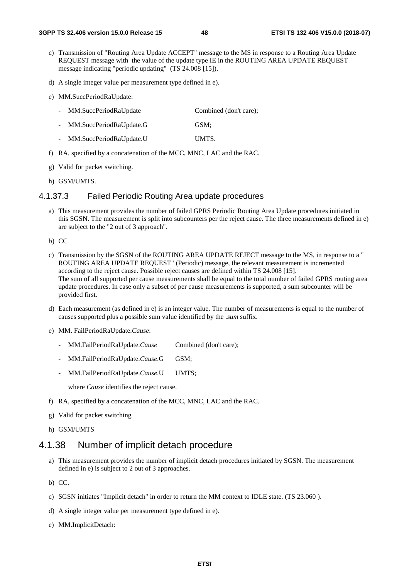- c) Transmission of "Routing Area Update ACCEPT" message to the MS in response to a Routing Area Update REQUEST message with the value of the update type IE in the ROUTING AREA UPDATE REQUEST message indicating "periodic updating" (TS 24.008 [15]).
- d) A single integer value per measurement type defined in e).
- e) MM.SuccPeriodRaUpdate:
	- MM.SuccPeriodRaUpdate Combined (don't care);
	- MM.SuccPeriodRaUpdate.G GSM;
	- MM.SuccPeriodRaUpdate.U UMTS.
- f) RA, specified by a concatenation of the MCC, MNC, LAC and the RAC.
- g) Valid for packet switching.
- h) GSM/UMTS.

#### 4.1.37.3 Failed Periodic Routing Area update procedures

- a) This measurement provides the number of failed GPRS Periodic Routing Area Update procedures initiated in this SGSN. The measurement is split into subcounters per the reject cause. The three measurements defined in e) are subject to the "2 out of 3 approach".
- b) CC
- c) Transmission by the SGSN of the ROUTING AREA UPDATE REJECT message to the MS, in response to a " ROUTING AREA UPDATE REQUEST" (Periodic) message, the relevant measurement is incremented according to the reject cause. Possible reject causes are defined within TS 24.008 [15]. The sum of all supported per cause measurements shall be equal to the total number of failed GPRS routing area update procedures. In case only a subset of per cause measurements is supported, a sum subcounter will be provided first.
- d) Each measurement (as defined in e) is an integer value. The number of measurements is equal to the number of causes supported plus a possible sum value identified by the *.sum* suffix.
- e) MM. FailPeriodRaUpdate.*Cause*:
	- MM.FailPeriodRaUpdate.*Cause* Combined (don't care);
	- MM.FailPeriodRaUpdate.*Cause*.G GSM;
	- MM.FailPeriodRaUpdate.*Cause*.U UMTS;

where *Cause* identifies the reject cause.

- f) RA, specified by a concatenation of the MCC, MNC, LAC and the RAC.
- g) Valid for packet switching
- h) GSM/UMTS

# 4.1.38 Number of implicit detach procedure

- a) This measurement provides the number of implicit detach procedures initiated by SGSN. The measurement defined in e) is subject to 2 out of 3 approaches.
- b) CC.
- c) SGSN initiates "Implicit detach" in order to return the MM context to IDLE state. (TS 23.060 ).
- d) A single integer value per measurement type defined in e).
- e) MM.ImplicitDetach: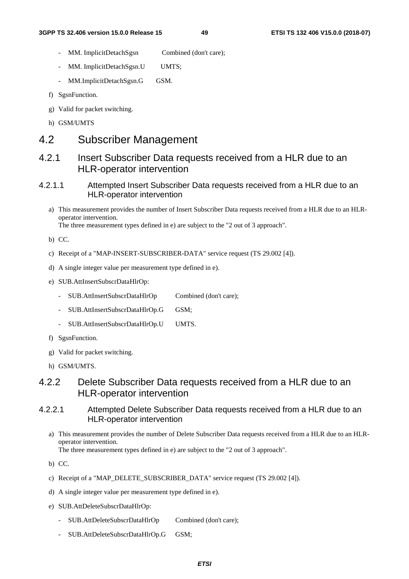- MM. ImplicitDetachSgsn Combined (don't care);
- MM. ImplicitDetachSgsn.U UMTS;
- MM.ImplicitDetachSgsn.G GSM.
- f) SgsnFunction.
- g) Valid for packet switching.
- h) GSM/UMTS

# 4.2 Subscriber Management

# 4.2.1 Insert Subscriber Data requests received from a HLR due to an HLR-operator intervention

# 4.2.1.1 Attempted Insert Subscriber Data requests received from a HLR due to an HLR-operator intervention

a) This measurement provides the number of Insert Subscriber Data requests received from a HLR due to an HLRoperator intervention.

The three measurement types defined in e) are subject to the "2 out of 3 approach".

- b) CC.
- c) Receipt of a "MAP-INSERT-SUBSCRIBER-DATA" service request (TS 29.002 [4]).
- d) A single integer value per measurement type defined in e).
- e) SUB.AttInsertSubscrDataHlrOp:
	- SUB.AttInsertSubscrDataHlrOp Combined (don't care);
	- SUB.AttInsertSubscrDataHlrOp.G GSM;
	- SUB.AttInsertSubscrDataHlrOp.U UMTS.
- f) SgsnFunction.
- g) Valid for packet switching.
- h) GSM/UMTS.

# 4.2.2 Delete Subscriber Data requests received from a HLR due to an HLR-operator intervention

### 4.2.2.1 Attempted Delete Subscriber Data requests received from a HLR due to an HLR-operator intervention

- a) This measurement provides the number of Delete Subscriber Data requests received from a HLR due to an HLRoperator intervention. The three measurement types defined in e) are subject to the "2 out of 3 approach".
- b) CC.
- c) Receipt of a "MAP\_DELETE\_SUBSCRIBER\_DATA" service request (TS 29.002 [4]).
- d) A single integer value per measurement type defined in e).
- e) SUB.AttDeleteSubscrDataHlrOp:
	- SUB.AttDeleteSubscrDataHlrOp Combined (don't care);
	- SUB.AttDeleteSubscrDataHlrOp.G GSM;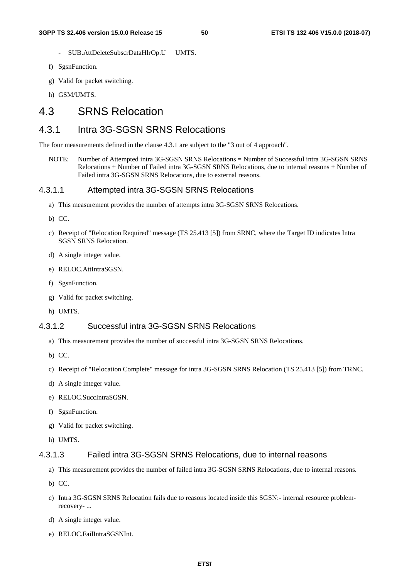- SUB.AttDeleteSubscrDataHlrOp.U UMTS.
- f) SgsnFunction.
- g) Valid for packet switching.
- h) GSM/UMTS.

# 4.3 SRNS Relocation

# 4.3.1 Intra 3G-SGSN SRNS Relocations

The four measurements defined in the clause 4.3.1 are subject to the "3 out of 4 approach".

NOTE: Number of Attempted intra 3G-SGSN SRNS Relocations = Number of Successful intra 3G-SGSN SRNS Relocations + Number of Failed intra 3G-SGSN SRNS Relocations, due to internal reasons + Number of Failed intra 3G-SGSN SRNS Relocations, due to external reasons.

### 4.3.1.1 Attempted intra 3G-SGSN SRNS Relocations

- a) This measurement provides the number of attempts intra 3G-SGSN SRNS Relocations.
- b) CC.
- c) Receipt of "Relocation Required" message (TS 25.413 [5]) from SRNC, where the Target ID indicates Intra SGSN SRNS Relocation.
- d) A single integer value.
- e) RELOC.AttIntraSGSN.
- f) SgsnFunction.
- g) Valid for packet switching.
- h) UMTS.

### 4.3.1.2 Successful intra 3G-SGSN SRNS Relocations

- a) This measurement provides the number of successful intra 3G-SGSN SRNS Relocations.
- b) CC.
- c) Receipt of "Relocation Complete" message for intra 3G-SGSN SRNS Relocation (TS 25.413 [5]) from TRNC.
- d) A single integer value.
- e) RELOC.SuccIntraSGSN.
- f) SgsnFunction.
- g) Valid for packet switching.
- h) UMTS.

### 4.3.1.3 Failed intra 3G-SGSN SRNS Relocations, due to internal reasons

- a) This measurement provides the number of failed intra 3G-SGSN SRNS Relocations, due to internal reasons.
- b) CC.
- c) Intra 3G-SGSN SRNS Relocation fails due to reasons located inside this SGSN:- internal resource problemrecovery- ...
- d) A single integer value.
- e) RELOC.FailIntraSGSNInt.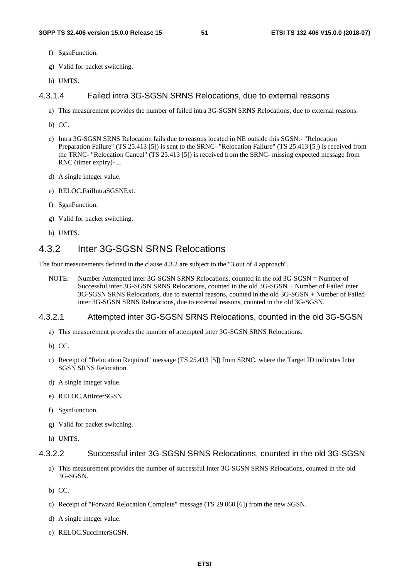- f) SgsnFunction.
- g) Valid for packet switching.
- h) UMTS.

# 4.3.1.4 Failed intra 3G-SGSN SRNS Relocations, due to external reasons

- a) This measurement provides the number of failed intra 3G-SGSN SRNS Relocations, due to external reasons.
- b) CC.
- c) Intra 3G-SGSN SRNS Relocation fails due to reasons located in NE outside this SGSN:- "Relocation Preparation Failure" (TS 25.413 [5]) is sent to the SRNC- "Relocation Failure" (TS 25.413 [5]) is received from the TRNC- "Relocation Cancel" (TS 25.413 [5]) is received from the SRNC- missing expected message from RNC (timer expiry)- ...
- d) A single integer value.
- e) RELOC.FailIntraSGSNExt.
- f) SgsnFunction.
- g) Valid for packet switching.
- h) UMTS.

# 4.3.2 Inter 3G-SGSN SRNS Relocations

The four measurements defined in the clause 4.3.2 are subject to the "3 out of 4 approach".

NOTE: Number Attempted inter 3G-SGSN SRNS Relocations, counted in the old 3G-SGSN = Number of Successful inter 3G-SGSN SRNS Relocations, counted in the old 3G-SGSN + Number of Failed inter 3G-SGSN SRNS Relocations, due to external reasons, counted in the old 3G-SGSN + Number of Failed inter 3G-SGSN SRNS Relocations, due to external reasons, counted in the old 3G-SGSN.

#### 4.3.2.1 Attempted inter 3G-SGSN SRNS Relocations, counted in the old 3G-SGSN

- a) This measurement provides the number of attempted inter 3G-SGSN SRNS Relocations.
- b) CC.
- c) Receipt of "Relocation Required" message (TS 25.413 [5]) from SRNC, where the Target ID indicates Inter SGSN SRNS Relocation.
- d) A single integer value.
- e) RELOC.AttInterSGSN.
- f) SgsnFunction.
- g) Valid for packet switching.
- h) UMTS.

#### 4.3.2.2 Successful inter 3G-SGSN SRNS Relocations, counted in the old 3G-SGSN

- a) This measurement provides the number of successful Inter 3G-SGSN SRNS Relocations, counted in the old 3G-SGSN.
- b) CC.
- c) Receipt of "Forward Relocation Complete" message (TS 29.060 [6]) from the new SGSN.
- d) A single integer value.
- e) RELOC.SuccInterSGSN.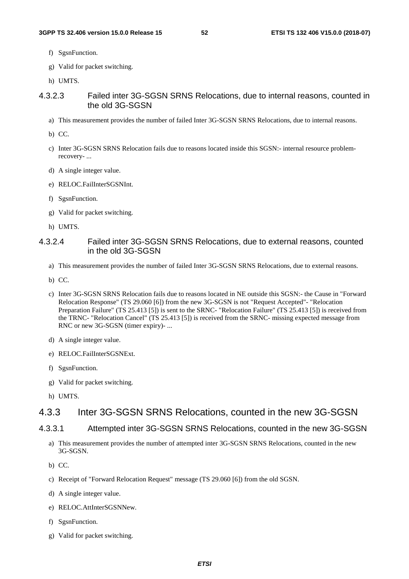- f) SgsnFunction.
- g) Valid for packet switching.
- h) UMTS.

### 4.3.2.3 Failed inter 3G-SGSN SRNS Relocations, due to internal reasons, counted in the old 3G-SGSN

- a) This measurement provides the number of failed Inter 3G-SGSN SRNS Relocations, due to internal reasons.
- b) CC.
- c) Inter 3G-SGSN SRNS Relocation fails due to reasons located inside this SGSN:- internal resource problemrecovery- ...
- d) A single integer value.
- e) RELOC.FailInterSGSNInt.
- f) SgsnFunction.
- g) Valid for packet switching.
- h) UMTS.

### 4.3.2.4 Failed inter 3G-SGSN SRNS Relocations, due to external reasons, counted in the old 3G-SGSN

- a) This measurement provides the number of failed Inter 3G-SGSN SRNS Relocations, due to external reasons.
- b) CC.
- c) Inter 3G-SGSN SRNS Relocation fails due to reasons located in NE outside this SGSN:- the Cause in "Forward Relocation Response" (TS 29.060 [6]) from the new 3G-SGSN is not "Request Accepted"- "Relocation Preparation Failure" (TS 25.413 [5]) is sent to the SRNC- "Relocation Failure" (TS 25.413 [5]) is received from the TRNC- "Relocation Cancel" (TS 25.413 [5]) is received from the SRNC- missing expected message from RNC or new 3G-SGSN (timer expiry)- ...
- d) A single integer value.
- e) RELOC.FailInterSGSNExt.
- f) SgsnFunction.
- g) Valid for packet switching.
- h) UMTS.

# 4.3.3 Inter 3G-SGSN SRNS Relocations, counted in the new 3G-SGSN

#### 4.3.3.1 Attempted inter 3G-SGSN SRNS Relocations, counted in the new 3G-SGSN

- a) This measurement provides the number of attempted inter 3G-SGSN SRNS Relocations, counted in the new 3G-SGSN.
- b) CC.
- c) Receipt of "Forward Relocation Request" message (TS 29.060 [6]) from the old SGSN.
- d) A single integer value.
- e) RELOC.AttInterSGSNNew.
- f) SgsnFunction.
- g) Valid for packet switching.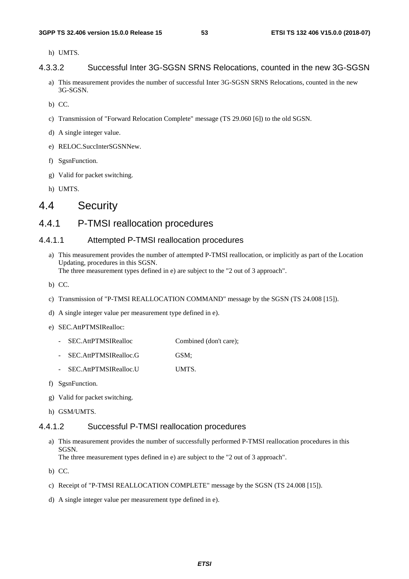h) UMTS.

#### 4.3.3.2 Successful Inter 3G-SGSN SRNS Relocations, counted in the new 3G-SGSN

- a) This measurement provides the number of successful Inter 3G-SGSN SRNS Relocations, counted in the new 3G-SGSN.
- b) CC.
- c) Transmission of "Forward Relocation Complete" message (TS 29.060 [6]) to the old SGSN.
- d) A single integer value.
- e) RELOC.SuccInterSGSNNew.
- f) SgsnFunction.
- g) Valid for packet switching.
- h) UMTS.

# 4.4 Security

# 4.4.1 P-TMSI reallocation procedures

### 4.4.1.1 Attempted P-TMSI reallocation procedures

a) This measurement provides the number of attempted P-TMSI reallocation, or implicitly as part of the Location Updating, procedures in this SGSN.

The three measurement types defined in e) are subject to the "2 out of 3 approach".

- b) CC.
- c) Transmission of "P-TMSI REALLOCATION COMMAND" message by the SGSN (TS 24.008 [15]).
- d) A single integer value per measurement type defined in e).
- e) SEC.AttPTMSIRealloc:
	- SEC.AttPTMSIRealloc Combined (don't care);
	- SEC.AttPTMSIRealloc.G GSM;
	- SEC.AttPTMSIRealloc.U UMTS.
- f) SgsnFunction.
- g) Valid for packet switching.
- h) GSM/UMTS.

### 4.4.1.2 Successful P-TMSI reallocation procedures

- a) This measurement provides the number of successfully performed P-TMSI reallocation procedures in this SGSN. The three measurement types defined in e) are subject to the "2 out of 3 approach".
- b) CC.
- c) Receipt of "P-TMSI REALLOCATION COMPLETE" message by the SGSN (TS 24.008 [15]).
- d) A single integer value per measurement type defined in e).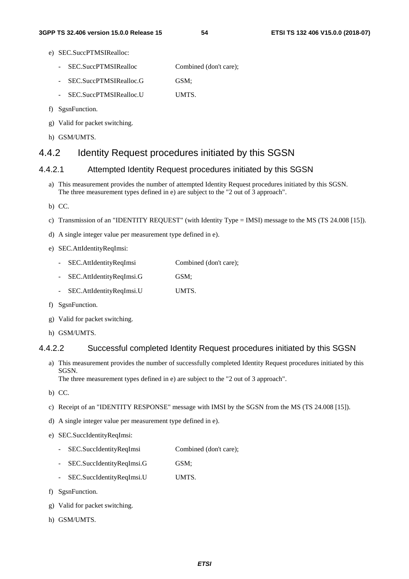- e) SEC.SuccPTMSIRealloc:
	- SEC.SuccPTMSIRealloc Combined (don't care);
	- SEC.SuccPTMSIRealloc.G GSM;
	- SEC.SuccPTMSIRealloc.U UMTS.
- f) SgsnFunction.
- g) Valid for packet switching.
- h) GSM/UMTS.

# 4.4.2 Identity Request procedures initiated by this SGSN

# 4.4.2.1 Attempted Identity Request procedures initiated by this SGSN

- a) This measurement provides the number of attempted Identity Request procedures initiated by this SGSN. The three measurement types defined in e) are subject to the "2 out of 3 approach".
- b) CC.
- c) Transmission of an "IDENTITY REQUEST" (with Identity Type = IMSI) message to the MS (TS 24.008 [15]).
- d) A single integer value per measurement type defined in e).
- e) SEC.AttIdentityReqImsi:
	- SEC.AttIdentityReqImsi Combined (don't care);
	- SEC.AttIdentityReqImsi.G GSM;
	- SEC.AttIdentityReqImsi.U UMTS.
- f) SgsnFunction.
- g) Valid for packet switching.
- h) GSM/UMTS.

### 4.4.2.2 Successful completed Identity Request procedures initiated by this SGSN

- a) This measurement provides the number of successfully completed Identity Request procedures initiated by this SGSN. The three measurement types defined in e) are subject to the "2 out of 3 approach".
- b) CC.
- c) Receipt of an "IDENTITY RESPONSE" message with IMSI by the SGSN from the MS (TS 24.008 [15]).
- d) A single integer value per measurement type defined in e).
- e) SEC.SuccIdentityReqImsi:
	- SEC.SuccIdentityReqImsi Combined (don't care);
	- SEC.SuccIdentityReqImsi.G GSM;
	- SEC.SuccIdentityReqImsi.U UMTS.
- f) SgsnFunction.
- g) Valid for packet switching.
- h) GSM/UMTS.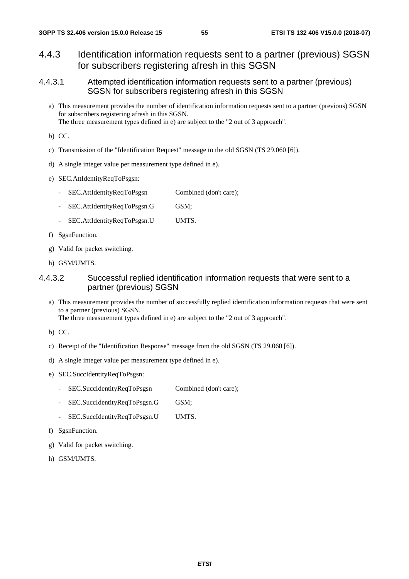# 4.4.3 Identification information requests sent to a partner (previous) SGSN for subscribers registering afresh in this SGSN

- 4.4.3.1 Attempted identification information requests sent to a partner (previous) SGSN for subscribers registering afresh in this SGSN
	- a) This measurement provides the number of identification information requests sent to a partner (previous) SGSN for subscribers registering afresh in this SGSN. The three measurement types defined in e) are subject to the "2 out of 3 approach".
	- b) CC.
	- c) Transmission of the "Identification Request" message to the old SGSN (TS 29.060 [6]).
	- d) A single integer value per measurement type defined in e).
	- e) SEC.AttIdentityReqToPsgsn:
		- SEC.AttIdentityReqToPsgsn Combined (don't care);
		- SEC.AttIdentityReqToPsgsn.G GSM;
		- SEC.AttIdentityReqToPsgsn.U UMTS.
	- f) SgsnFunction.
	- g) Valid for packet switching.
	- h) GSM/UMTS.

# 4.4.3.2 Successful replied identification information requests that were sent to a partner (previous) SGSN

- a) This measurement provides the number of successfully replied identification information requests that were sent to a partner (previous) SGSN. The three measurement types defined in e) are subject to the "2 out of 3 approach".
- b) CC.
- c) Receipt of the "Identification Response" message from the old SGSN (TS 29.060 [6]).
- d) A single integer value per measurement type defined in e).
- e) SEC.SuccIdentityReqToPsgsn:
	- SEC.SuccIdentityReqToPsgsn Combined (don't care);
	- SEC.SuccIdentityReqToPsgsn.G GSM;
	- SEC.SuccIdentityReqToPsgsn.U UMTS.
- f) SgsnFunction.
- g) Valid for packet switching.
- h) GSM/UMTS.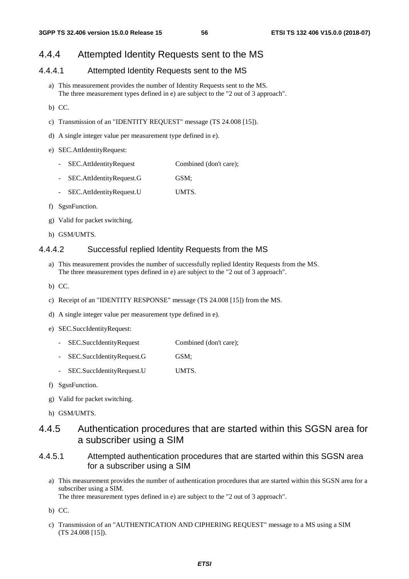# 4.4.4 Attempted Identity Requests sent to the MS

### 4.4.4.1 Attempted Identity Requests sent to the MS

- a) This measurement provides the number of Identity Requests sent to the MS. The three measurement types defined in e) are subject to the "2 out of 3 approach".
- b) CC.
- c) Transmission of an "IDENTITY REQUEST" message (TS 24.008 [15]).
- d) A single integer value per measurement type defined in e).

#### e) SEC.AttIdentityRequest:

- SEC. AttIdentityRequest Combined (don't care);
- SEC.AttIdentityRequest.G GSM;
- SEC.AttIdentityRequest.U UMTS.
- f) SgsnFunction.
- g) Valid for packet switching.
- h) GSM/UMTS.

#### 4.4.4.2 Successful replied Identity Requests from the MS

- a) This measurement provides the number of successfully replied Identity Requests from the MS. The three measurement types defined in e) are subject to the "2 out of 3 approach".
- b) CC.
- c) Receipt of an "IDENTITY RESPONSE" message (TS 24.008 [15]) from the MS.
- d) A single integer value per measurement type defined in e).
- e) SEC.SuccIdentityRequest:
	- SEC.SuccIdentityRequest Combined (don't care);
	- SEC.SuccIdentityRequest.G GSM;
	- SEC.SuccIdentityRequest.U UMTS.
- f) SgsnFunction.
- g) Valid for packet switching.
- h) GSM/UMTS.

# 4.4.5 Authentication procedures that are started within this SGSN area for a subscriber using a SIM

- 4.4.5.1 Attempted authentication procedures that are started within this SGSN area for a subscriber using a SIM
	- a) This measurement provides the number of authentication procedures that are started within this SGSN area for a subscriber using a SIM. The three measurement types defined in e) are subject to the "2 out of 3 approach".
	- b) CC.
	- c) Transmission of an "AUTHENTICATION AND CIPHERING REQUEST" message to a MS using a SIM (TS 24.008 [15]).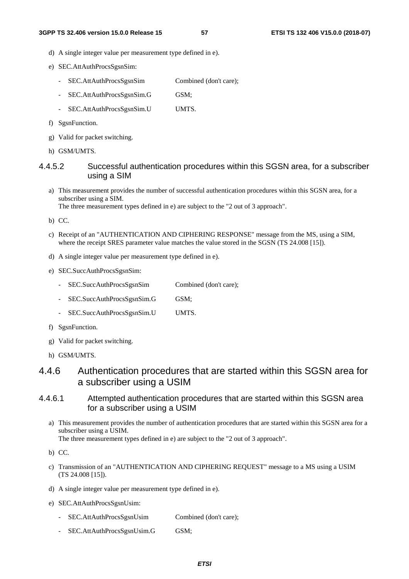- d) A single integer value per measurement type defined in e).
- e) SEC.AttAuthProcsSgsnSim:
	- SEC.AttAuthProcsSgsnSim Combined (don't care);
	- SEC.AttAuthProcsSgsnSim.G GSM;
	- SEC.AttAuthProcsSgsnSim.U UMTS.
- f) SgsnFunction.
- g) Valid for packet switching.
- h) GSM/UMTS.

4.4.5.2 Successful authentication procedures within this SGSN area, for a subscriber using a SIM

a) This measurement provides the number of successful authentication procedures within this SGSN area, for a subscriber using a SIM.

The three measurement types defined in e) are subject to the "2 out of 3 approach".

- b) CC.
- c) Receipt of an "AUTHENTICATION AND CIPHERING RESPONSE" message from the MS, using a SIM, where the receipt SRES parameter value matches the value stored in the SGSN (TS 24.008 [15]).
- d) A single integer value per measurement type defined in e).
- e) SEC.SuccAuthProcsSgsnSim:
	- SEC.SuccAuthProcsSgsnSim Combined (don't care);
	- SEC.SuccAuthProcsSgsnSim.G GSM;
	- SEC.SuccAuthProcsSgsnSim.U UMTS.
- f) SgsnFunction.
- g) Valid for packet switching.
- h) GSM/UMTS.

# 4.4.6 Authentication procedures that are started within this SGSN area for a subscriber using a USIM

### 4.4.6.1 Attempted authentication procedures that are started within this SGSN area for a subscriber using a USIM

a) This measurement provides the number of authentication procedures that are started within this SGSN area for a subscriber using a USIM.

The three measurement types defined in e) are subject to the "2 out of 3 approach".

- c) Transmission of an "AUTHENTICATION AND CIPHERING REQUEST" message to a MS using a USIM (TS 24.008 [15]).
- d) A single integer value per measurement type defined in e).
- e) SEC.AttAuthProcsSgsnUsim:
	- SEC.AttAuthProcsSgsnUsim Combined (don't care);
	- SEC.AttAuthProcsSgsnUsim.G GSM;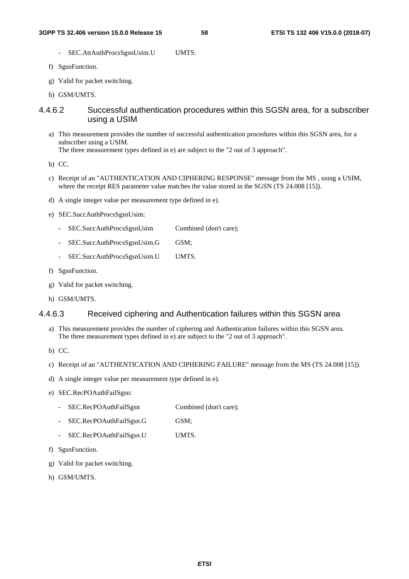- SEC.AttAuthProcsSgsnUsim.U UMTS.
- f) SgsnFunction.
- g) Valid for packet switching.
- h) GSM/UMTS.

### 4.4.6.2 Successful authentication procedures within this SGSN area, for a subscriber using a USIM

a) This measurement provides the number of successful authentication procedures within this SGSN area, for a subscriber using a USIM.

The three measurement types defined in e) are subject to the "2 out of 3 approach".

b) CC.

- c) Receipt of an "AUTHENTICATION AND CIPHERING RESPONSE" message from the MS , using a USIM, where the receipt RES parameter value matches the value stored in the SGSN (TS 24.008 [15]).
- d) A single integer value per measurement type defined in e).
- e) SEC.SuccAuthProcsSgsnUsim:
	- SEC.SuccAuthProcsSgsnUsim Combined (don't care);
	- SEC.SuccAuthProcsSgsnUsim.G GSM;
	- SEC.SuccAuthProcsSgsnUsim.U UMTS.
- f) SgsnFunction.
- g) Valid for packet switching.
- h) GSM/UMTS.

### 4.4.6.3 Received ciphering and Authentication failures within this SGSN area

- a) This measurement provides the number of ciphering and Authentication failures within this SGSN area. The three measurement types defined in e) are subject to the "2 out of 3 approach".
- b) CC.
- c) Receipt of an "AUTHENTICATION AND CIPHERING FAILURE" message from the MS (TS 24.008 [15]).
- d) A single integer value per measurement type defined in e).
- e) SEC.RecPOAuthFailSgsn:
	- SEC.RecPOAuthFailSgsn Combined (don't care);
	- SEC.RecPOAuthFailSgsn.G GSM;
	- SEC.RecPOAuthFailSgsn.U UMTS.
- f) SgsnFunction.
- g) Valid for packet switching.
- h) GSM/UMTS.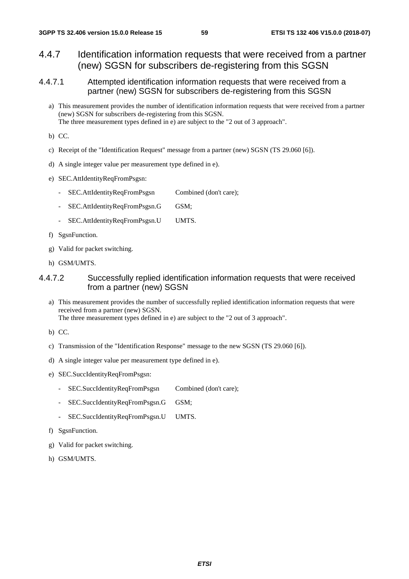- 4.4.7 Identification information requests that were received from a partner (new) SGSN for subscribers de-registering from this SGSN
- 4.4.7.1 Attempted identification information requests that were received from a partner (new) SGSN for subscribers de-registering from this SGSN
	- a) This measurement provides the number of identification information requests that were received from a partner (new) SGSN for subscribers de-registering from this SGSN. The three measurement types defined in e) are subject to the "2 out of 3 approach".
	- b) CC.
	- c) Receipt of the "Identification Request" message from a partner (new) SGSN (TS 29.060 [6]).
	- d) A single integer value per measurement type defined in e).
	- e) SEC.AttIdentityReqFromPsgsn:
		- SEC.AttIdentityReqFromPsgsn Combined (don't care);
		- SEC.AttIdentityReqFromPsgsn.G GSM;
		- SEC.AttIdentityReqFromPsgsn.U UMTS.
	- f) SgsnFunction.
	- g) Valid for packet switching.
	- h) GSM/UMTS.

# 4.4.7.2 Successfully replied identification information requests that were received from a partner (new) SGSN

- a) This measurement provides the number of successfully replied identification information requests that were received from a partner (new) SGSN. The three measurement types defined in e) are subject to the "2 out of 3 approach".
- b) CC.
- c) Transmission of the "Identification Response" message to the new SGSN (TS 29.060 [6]).
- d) A single integer value per measurement type defined in e).
- e) SEC.SuccIdentityReqFromPsgsn:
	- SEC.SuccIdentityReqFromPsgsn Combined (don't care);
	- SEC.SuccIdentityReqFromPsgsn.G GSM;
	- SEC.SuccIdentityReqFromPsgsn.U UMTS.
- f) SgsnFunction.
- g) Valid for packet switching.
- h) GSM/UMTS.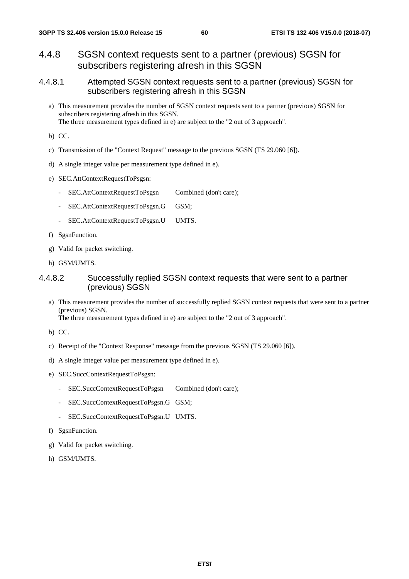# 4.4.8 SGSN context requests sent to a partner (previous) SGSN for subscribers registering afresh in this SGSN

- 4.4.8.1 Attempted SGSN context requests sent to a partner (previous) SGSN for subscribers registering afresh in this SGSN
	- a) This measurement provides the number of SGSN context requests sent to a partner (previous) SGSN for subscribers registering afresh in this SGSN. The three measurement types defined in e) are subject to the "2 out of 3 approach".
	- b) CC.
	- c) Transmission of the "Context Request" message to the previous SGSN (TS 29.060 [6]).
	- d) A single integer value per measurement type defined in e).
	- e) SEC.AttContextRequestToPsgsn:
		- SEC.AttContextRequestToPsgsn Combined (don't care);
		- SEC.AttContextRequestToPsgsn.G GSM;
		- SEC.AttContextRequestToPsgsn.U UMTS.
	- f) SgsnFunction.
	- g) Valid for packet switching.
	- h) GSM/UMTS.

### 4.4.8.2 Successfully replied SGSN context requests that were sent to a partner (previous) SGSN

- a) This measurement provides the number of successfully replied SGSN context requests that were sent to a partner (previous) SGSN. The three measurement types defined in e) are subject to the "2 out of 3 approach".
- b) CC.
- c) Receipt of the "Context Response" message from the previous SGSN (TS 29.060 [6]).
- d) A single integer value per measurement type defined in e).
- e) SEC.SuccContextRequestToPsgsn:
	- SEC.SuccContextRequestToPsgsn Combined (don't care);
	- SEC.SuccContextRequestToPsgsn.G GSM;
	- SEC.SuccContextRequestToPsgsn.U UMTS.
- f) SgsnFunction.
- g) Valid for packet switching.
- h) GSM/UMTS.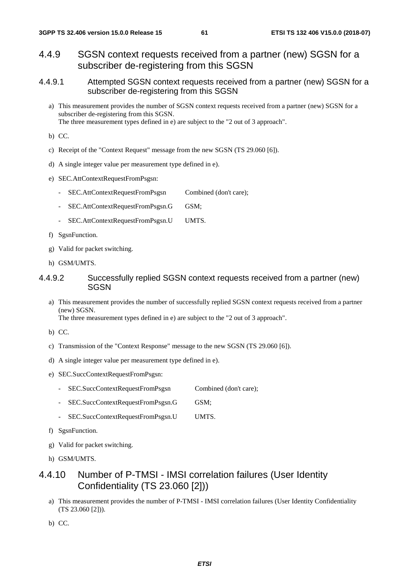- 4.4.9 SGSN context requests received from a partner (new) SGSN for a subscriber de-registering from this SGSN
- 4.4.9.1 Attempted SGSN context requests received from a partner (new) SGSN for a subscriber de-registering from this SGSN
	- a) This measurement provides the number of SGSN context requests received from a partner (new) SGSN for a subscriber de-registering from this SGSN. The three measurement types defined in e) are subject to the "2 out of 3 approach".
	- b) CC.
	- c) Receipt of the "Context Request" message from the new SGSN (TS 29.060 [6]).
	- d) A single integer value per measurement type defined in e).
	- e) SEC.AttContextRequestFromPsgsn:
		- SEC.AttContextRequestFromPsgsn Combined (don't care);
		- SEC.AttContextRequestFromPsgsn.G GSM;
		- SEC.AttContextRequestFromPsgsn.U UMTS.
	- f) SgsnFunction.
	- g) Valid for packet switching.
	- h) GSM/UMTS.

### 4.4.9.2 Successfully replied SGSN context requests received from a partner (new) SGSN

a) This measurement provides the number of successfully replied SGSN context requests received from a partner (new) SGSN. The three measurement types defined in e) are subject to the "2 out of 3 approach".

- b) CC.
- c) Transmission of the "Context Response" message to the new SGSN (TS 29.060 [6]).
- d) A single integer value per measurement type defined in e).
- e) SEC.SuccContextRequestFromPsgsn:
	- SEC.SuccContextRequestFromPsgsn Combined (don't care);
	- SEC.SuccContextRequestFromPsgsn.G GSM;
	- SEC.SuccContextRequestFromPsgsn.U UMTS.
- f) SgsnFunction.
- g) Valid for packet switching.
- h) GSM/UMTS.

# 4.4.10 Number of P-TMSI - IMSI correlation failures (User Identity Confidentiality (TS 23.060 [2]))

a) This measurement provides the number of P-TMSI - IMSI correlation failures (User Identity Confidentiality (TS 23.060 [2])).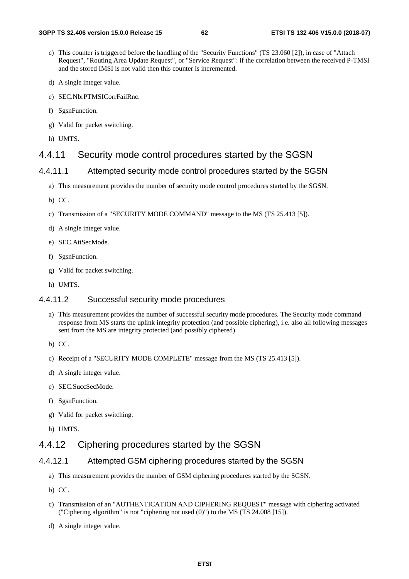- c) This counter is triggered before the handling of the "Security Functions" (TS 23.060 [2]), in case of "Attach Request", "Routing Area Update Request", or "Service Request": if the correlation between the received P-TMSI and the stored IMSI is not valid then this counter is incremented.
- d) A single integer value.
- e) SEC.NbrPTMSICorrFailRnc.
- f) SgsnFunction.
- g) Valid for packet switching.
- h) UMTS.

# 4.4.11 Security mode control procedures started by the SGSN

### 4.4.11.1 Attempted security mode control procedures started by the SGSN

- a) This measurement provides the number of security mode control procedures started by the SGSN.
- b) CC.
- c) Transmission of a "SECURITY MODE COMMAND" message to the MS (TS 25.413 [5]).
- d) A single integer value.
- e) SEC.AttSecMode.
- f) SgsnFunction.
- g) Valid for packet switching.
- h) UMTS.

### 4.4.11.2 Successful security mode procedures

- a) This measurement provides the number of successful security mode procedures. The Security mode command response from MS starts the uplink integrity protection (and possible ciphering), i.e. also all following messages sent from the MS are integrity protected (and possibly ciphered).
- b) CC.
- c) Receipt of a "SECURITY MODE COMPLETE" message from the MS (TS 25.413 [5]).
- d) A single integer value.
- e) SEC.SuccSecMode.
- f) SgsnFunction.
- g) Valid for packet switching.
- h) UMTS.

# 4.4.12 Ciphering procedures started by the SGSN

#### 4.4.12.1 Attempted GSM ciphering procedures started by the SGSN

- a) This measurement provides the number of GSM ciphering procedures started by the SGSN.
- b) CC.
- c) Transmission of an "AUTHENTICATION AND CIPHERING REQUEST" message with ciphering activated ("Ciphering algorithm" is not "ciphering not used (0)") to the MS (TS 24.008 [15]).
- d) A single integer value.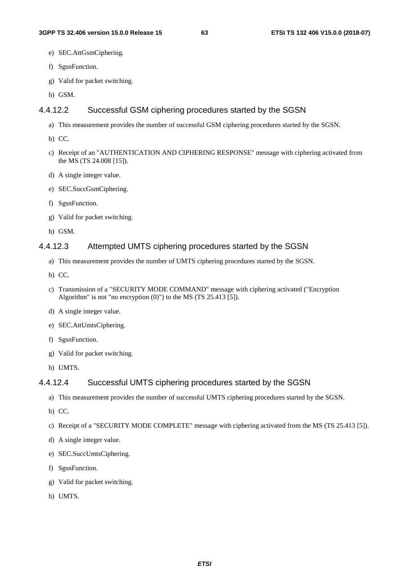- e) SEC.AttGsmCiphering.
- f) SgsnFunction.
- g) Valid for packet switching.
- h) GSM.

# 4.4.12.2 Successful GSM ciphering procedures started by the SGSN

- a) This measurement provides the number of successful GSM ciphering procedures started by the SGSN.
- b) CC.
- c) Receipt of an "AUTHENTICATION AND CIPHERING RESPONSE" message with ciphering activated from the MS (TS 24.008 [15]).
- d) A single integer value.
- e) SEC.SuccGsmCiphering.
- f) SgsnFunction.
- g) Valid for packet switching.
- h) GSM.

# 4.4.12.3 Attempted UMTS ciphering procedures started by the SGSN

- a) This measurement provides the number of UMTS ciphering procedures started by the SGSN.
- b) CC.
- c) Transmission of a "SECURITY MODE COMMAND" message with ciphering activated ("Encryption Algorithm" is not "no encryption  $(0)$ ") to the MS (TS 25.413 [5]).
- d) A single integer value.
- e) SEC.AttUmtsCiphering.
- f) SgsnFunction.
- g) Valid for packet switching.
- h) UMTS.

# 4.4.12.4 Successful UMTS ciphering procedures started by the SGSN

- a) This measurement provides the number of successful UMTS ciphering procedures started by the SGSN.
- b) CC.
- c) Receipt of a "SECURITY MODE COMPLETE" message with ciphering activated from the MS (TS 25.413 [5]).
- d) A single integer value.
- e) SEC.SuccUmtsCiphering.
- f) SgsnFunction.
- g) Valid for packet switching.
- h) UMTS.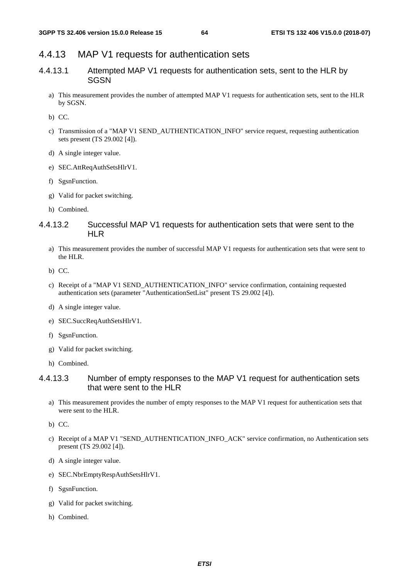# 4.4.13 MAP V1 requests for authentication sets

- 4.4.13.1 Attempted MAP V1 requests for authentication sets, sent to the HLR by **SGSN** 
	- a) This measurement provides the number of attempted MAP V1 requests for authentication sets, sent to the HLR by SGSN.

b) CC.

- c) Transmission of a "MAP V1 SEND\_AUTHENTICATION\_INFO" service request, requesting authentication sets present (TS 29.002 [4]).
- d) A single integer value.
- e) SEC.AttReqAuthSetsHlrV1.
- f) SgsnFunction.
- g) Valid for packet switching.
- h) Combined.

# 4.4.13.2 Successful MAP V1 requests for authentication sets that were sent to the HIR

- a) This measurement provides the number of successful MAP V1 requests for authentication sets that were sent to the HLR.
- b) CC.
- c) Receipt of a "MAP V1 SEND\_AUTHENTICATION\_INFO" service confirmation, containing requested authentication sets (parameter "AuthenticationSetList" present TS 29.002 [4]).
- d) A single integer value.
- e) SEC.SuccReqAuthSetsHlrV1.
- f) SgsnFunction.
- g) Valid for packet switching.
- h) Combined.

# 4.4.13.3 Number of empty responses to the MAP V1 request for authentication sets that were sent to the HLR

a) This measurement provides the number of empty responses to the MAP V1 request for authentication sets that were sent to the HLR.

- c) Receipt of a MAP V1 "SEND\_AUTHENTICATION\_INFO\_ACK" service confirmation, no Authentication sets present (TS 29.002 [4]).
- d) A single integer value.
- e) SEC.NbrEmptyRespAuthSetsHlrV1.
- f) SgsnFunction.
- g) Valid for packet switching.
- h) Combined.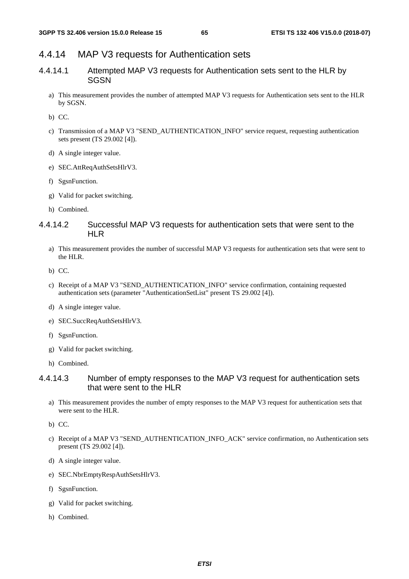# 4.4.14 MAP V3 requests for Authentication sets

- 4.4.14.1 Attempted MAP V3 requests for Authentication sets sent to the HLR by **SGSN** 
	- a) This measurement provides the number of attempted MAP V3 requests for Authentication sets sent to the HLR by SGSN.

b) CC.

- c) Transmission of a MAP V3 "SEND\_AUTHENTICATION\_INFO" service request, requesting authentication sets present (TS 29.002 [4]).
- d) A single integer value.
- e) SEC.AttReqAuthSetsHlrV3.
- f) SgsnFunction.
- g) Valid for packet switching.
- h) Combined.

# 4.4.14.2 Successful MAP V3 requests for authentication sets that were sent to the HIR

- a) This measurement provides the number of successful MAP V3 requests for authentication sets that were sent to the HLR.
- b) CC.
- c) Receipt of a MAP V3 "SEND\_AUTHENTICATION\_INFO" service confirmation, containing requested authentication sets (parameter "AuthenticationSetList" present TS 29.002 [4]).
- d) A single integer value.
- e) SEC.SuccReqAuthSetsHlrV3.
- f) SgsnFunction.
- g) Valid for packet switching.
- h) Combined.

### 4.4.14.3 Number of empty responses to the MAP V3 request for authentication sets that were sent to the HLR

a) This measurement provides the number of empty responses to the MAP V3 request for authentication sets that were sent to the HLR.

- c) Receipt of a MAP V3 "SEND\_AUTHENTICATION\_INFO\_ACK" service confirmation, no Authentication sets present (TS 29.002 [4]).
- d) A single integer value.
- e) SEC.NbrEmptyRespAuthSetsHlrV3.
- f) SgsnFunction.
- g) Valid for packet switching.
- h) Combined.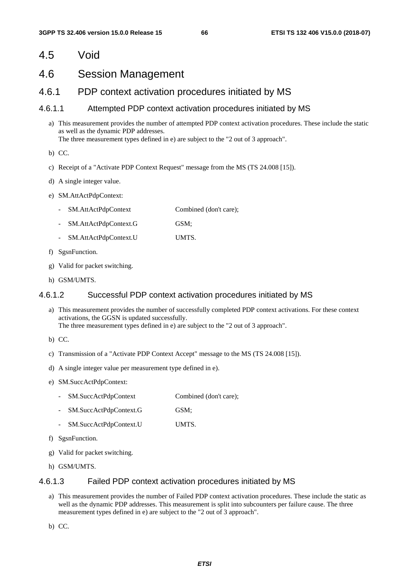# 4.5 Void

# 4.6 Session Management

# 4.6.1 PDP context activation procedures initiated by MS

#### 4.6.1.1 Attempted PDP context activation procedures initiated by MS

a) This measurement provides the number of attempted PDP context activation procedures. These include the static as well as the dynamic PDP addresses. The three measurement types defined in e) are subject to the "2 out of 3 approach".

b) CC.

- c) Receipt of a "Activate PDP Context Request" message from the MS (TS 24.008 [15]).
- d) A single integer value.
- e) SM.AttActPdpContext:
	- SM.AttActPdpContext Combined (don't care);
	- SM.AttActPdpContext.G GSM;
	- SM.AttActPdpContext.U UMTS.
- f) SgsnFunction.
- g) Valid for packet switching.
- h) GSM/UMTS.

#### 4.6.1.2 Successful PDP context activation procedures initiated by MS

- a) This measurement provides the number of successfully completed PDP context activations. For these context activations, the GGSN is updated successfully. The three measurement types defined in e) are subject to the "2 out of 3 approach".
- b) CC.
- c) Transmission of a "Activate PDP Context Accept" message to the MS (TS 24.008 [15]).
- d) A single integer value per measurement type defined in e).
- e) SM.SuccActPdpContext:
	- SM.SuccActPdpContext Combined (don't care);
	- SM.SuccActPdpContext.G GSM;
	- SM.SuccActPdpContext.U UMTS.
- f) SgsnFunction.
- g) Valid for packet switching.
- h) GSM/UMTS.

### 4.6.1.3 Failed PDP context activation procedures initiated by MS

a) This measurement provides the number of Failed PDP context activation procedures. These include the static as well as the dynamic PDP addresses. This measurement is split into subcounters per failure cause. The three measurement types defined in e) are subject to the "2 out of 3 approach".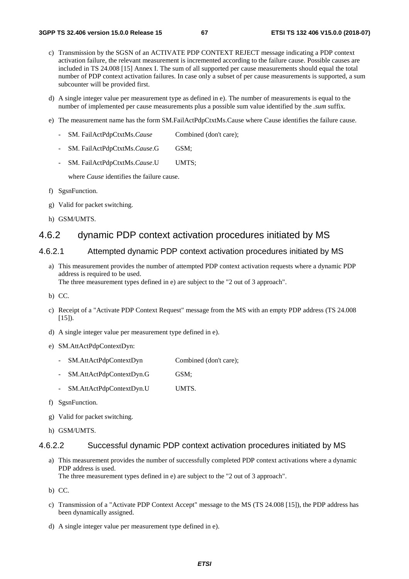- c) Transmission by the SGSN of an ACTIVATE PDP CONTEXT REJECT message indicating a PDP context activation failure, the relevant measurement is incremented according to the failure cause. Possible causes are included in TS 24.008 [15] Annex I. The sum of all supported per cause measurements should equal the total number of PDP context activation failures. In case only a subset of per cause measurements is supported, a sum subcounter will be provided first.
- d) A single integer value per measurement type as defined in e). The number of measurements is equal to the number of implemented per cause measurements plus a possible sum value identified by the *.sum* suffix.
- e) The measurement name has the form SM.FailActPdpCtxtMs.Cause where Cause identifies the failure cause.
	- SM. FailActPdpCtxtMs.*Cause* Combined (don't care);
	- SM. FailActPdpCtxtMs.*Cause*.G GSM;
	- SM. FailActPdpCtxtMs.*Cause*.U UMTS;

where *Cause* identifies the failure cause.

- f) SgsnFunction.
- g) Valid for packet switching.
- h) GSM/UMTS.

# 4.6.2 dynamic PDP context activation procedures initiated by MS

#### 4.6.2.1 Attempted dynamic PDP context activation procedures initiated by MS

- a) This measurement provides the number of attempted PDP context activation requests where a dynamic PDP address is required to be used. The three measurement types defined in e) are subject to the "2 out of 3 approach".
- b) CC.
- c) Receipt of a "Activate PDP Context Request" message from the MS with an empty PDP address (TS 24.008  $[15]$ ).
- d) A single integer value per measurement type defined in e).
- e) SM.AttActPdpContextDyn:
	- SM.AttActPdpContextDyn Combined (don't care);
	- SM.AttActPdpContextDyn.G GSM;
	- SM.AttActPdpContextDyn.U UMTS.
- f) SgsnFunction.
- g) Valid for packet switching.
- h) GSM/UMTS.

#### 4.6.2.2 Successful dynamic PDP context activation procedures initiated by MS

- a) This measurement provides the number of successfully completed PDP context activations where a dynamic PDP address is used. The three measurement types defined in e) are subject to the "2 out of 3 approach".
- b) CC.
- c) Transmission of a "Activate PDP Context Accept" message to the MS (TS 24.008 [15]), the PDP address has been dynamically assigned.
- d) A single integer value per measurement type defined in e).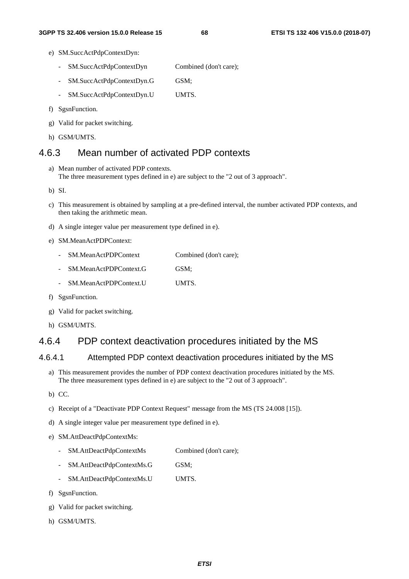- e) SM.SuccActPdpContextDyn:
	- SM.SuccActPdpContextDyn Combined (don't care);
	- SM.SuccActPdpContextDyn.G GSM;
	- SM.SuccActPdpContextDyn.U UMTS.
- f) SgsnFunction.
- g) Valid for packet switching.
- h) GSM/UMTS.

# 4.6.3 Mean number of activated PDP contexts

a) Mean number of activated PDP contexts. The three measurement types defined in e) are subject to the "2 out of 3 approach".

b) SI.

- c) This measurement is obtained by sampling at a pre-defined interval, the number activated PDP contexts, and then taking the arithmetic mean.
- d) A single integer value per measurement type defined in e).
- e) SM.MeanActPDPContext:
	- SM.MeanActPDPContext Combined (don't care);
	- SM.MeanActPDPContext.G GSM:
	- SM.MeanActPDPContext.U UMTS.
- f) SgsnFunction.
- g) Valid for packet switching.
- h) GSM/UMTS.

# 4.6.4 PDP context deactivation procedures initiated by the MS

### 4.6.4.1 Attempted PDP context deactivation procedures initiated by the MS

- a) This measurement provides the number of PDP context deactivation procedures initiated by the MS. The three measurement types defined in e) are subject to the "2 out of 3 approach".
- b) CC.
- c) Receipt of a "Deactivate PDP Context Request" message from the MS (TS 24.008 [15]).
- d) A single integer value per measurement type defined in e).
- e) SM.AttDeactPdpContextMs:
	- SM.AttDeactPdpContextMs Combined (don't care);
	- SM.AttDeactPdpContextMs.G GSM;
	- SM.AttDeactPdpContextMs.U UMTS.
- f) SgsnFunction.
- g) Valid for packet switching.
- h) GSM/UMTS.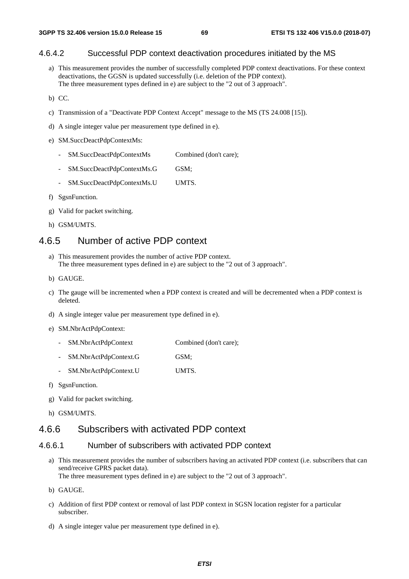# 4.6.4.2 Successful PDP context deactivation procedures initiated by the MS

- a) This measurement provides the number of successfully completed PDP context deactivations. For these context deactivations, the GGSN is updated successfully (i.e. deletion of the PDP context). The three measurement types defined in e) are subject to the "2 out of 3 approach".
- b) CC.
- c) Transmission of a "Deactivate PDP Context Accept" message to the MS (TS 24.008 [15]).
- d) A single integer value per measurement type defined in e).
- e) SM.SuccDeactPdpContextMs:
	- SM.SuccDeactPdpContextMs Combined (don't care);
	- SM.SuccDeactPdpContextMs.G GSM;
	- SM.SuccDeactPdpContextMs.U UMTS.
- f) SgsnFunction.
- g) Valid for packet switching.
- h) GSM/UMTS.

# 4.6.5 Number of active PDP context

- a) This measurement provides the number of active PDP context. The three measurement types defined in e) are subject to the "2 out of 3 approach".
- b) GAUGE.
- c) The gauge will be incremented when a PDP context is created and will be decremented when a PDP context is deleted.
- d) A single integer value per measurement type defined in e).
- e) SM.NbrActPdpContext:
	- SM.NbrActPdpContext Combined (don't care);
	- SM.NbrActPdpContext.G GSM;
	- SM.NbrActPdpContext.U UMTS.
- f) SgsnFunction.
- g) Valid for packet switching.
- h) GSM/UMTS.

# 4.6.6 Subscribers with activated PDP context

#### 4.6.6.1 Number of subscribers with activated PDP context

a) This measurement provides the number of subscribers having an activated PDP context (i.e. subscribers that can send/receive GPRS packet data).

The three measurement types defined in e) are subject to the "2 out of 3 approach".

- b) GAUGE.
- c) Addition of first PDP context or removal of last PDP context in SGSN location register for a particular subscriber.
- d) A single integer value per measurement type defined in e).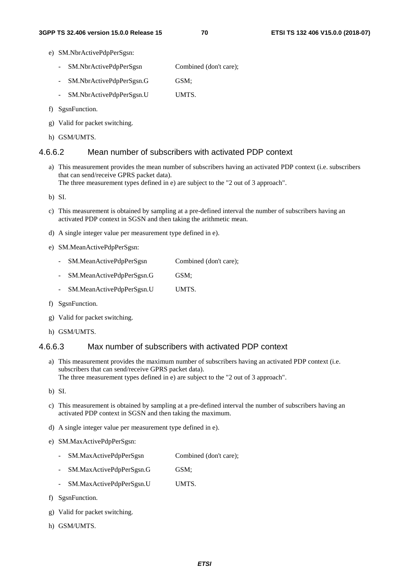- e) SM.NbrActivePdpPerSgsn:
	- SM.NbrActivePdpPerSgsn Combined (don't care);
	- SM.NbrActivePdpPerSgsn.G GSM;
	- SM.NbrActivePdpPerSgsn.U UMTS.
- f) SgsnFunction.
- g) Valid for packet switching.
- h) GSM/UMTS.

### 4.6.6.2 Mean number of subscribers with activated PDP context

a) This measurement provides the mean number of subscribers having an activated PDP context (i.e. subscribers that can send/receive GPRS packet data). The three measurement types defined in e) are subject to the "2 out of 3 approach".

b) SI.

- c) This measurement is obtained by sampling at a pre-defined interval the number of subscribers having an activated PDP context in SGSN and then taking the arithmetic mean.
- d) A single integer value per measurement type defined in e).
- e) SM.MeanActivePdpPerSgsn:
	- SM.MeanActivePdpPerSgsn Combined (don't care);
	- SM.MeanActivePdpPerSgsn.G GSM;
	- SM.MeanActivePdpPerSgsn.U UMTS.
- f) SgsnFunction.
- g) Valid for packet switching.
- h) GSM/UMTS.

### 4.6.6.3 Max number of subscribers with activated PDP context

a) This measurement provides the maximum number of subscribers having an activated PDP context (i.e. subscribers that can send/receive GPRS packet data). The three measurement types defined in e) are subject to the "2 out of 3 approach".

b) SI.

- c) This measurement is obtained by sampling at a pre-defined interval the number of subscribers having an activated PDP context in SGSN and then taking the maximum.
- d) A single integer value per measurement type defined in e).
- e) SM.MaxActivePdpPerSgsn:
	- SM.MaxActivePdpPerSgsn Combined (don't care);
	- SM.MaxActivePdpPerSgsn.G GSM;
	- SM.MaxActivePdpPerSgsn.U UMTS.
- f) SgsnFunction.
- g) Valid for packet switching.
- h) GSM/UMTS.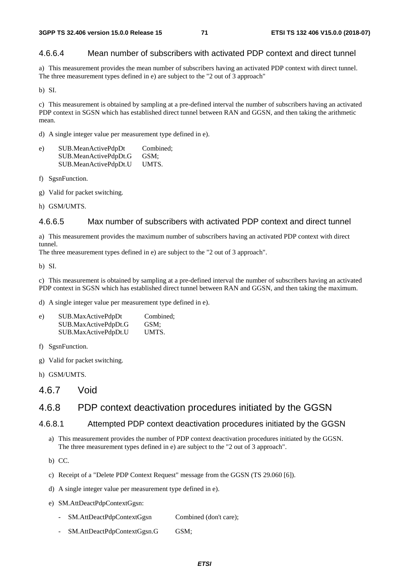# 4.6.6.4 Mean number of subscribers with activated PDP context and direct tunnel

a) This measurement provides the mean number of subscribers having an activated PDP context with direct tunnel. The three measurement types defined in e) are subject to the "2 out of 3 approach"

b) SI.

c) This measurement is obtained by sampling at a pre-defined interval the number of subscribers having an activated PDP context in SGSN which has established direct tunnel between RAN and GGSN, and then taking the arithmetic mean.

d) A single integer value per measurement type defined in e).

| e) | SUB.MeanActivePdpDt   | Combined: |
|----|-----------------------|-----------|
|    | SUB.MeanActivePdpDt.G | GSM:      |
|    | SUB.MeanActivePdpDt.U | UMTS.     |

f) SgsnFunction.

- g) Valid for packet switching.
- h) GSM/UMTS.

### 4.6.6.5 Max number of subscribers with activated PDP context and direct tunnel

a) This measurement provides the maximum number of subscribers having an activated PDP context with direct tunnel.

The three measurement types defined in e) are subject to the "2 out of 3 approach".

b) SI.

c) This measurement is obtained by sampling at a pre-defined interval the number of subscribers having an activated PDP context in SGSN which has established direct tunnel between RAN and GGSN, and then taking the maximum.

d) A single integer value per measurement type defined in e).

| e) | SUB.MaxActivePdpDt   | Combined: |
|----|----------------------|-----------|
|    | SUB.MaxActivePdpDt.G | GSM:      |
|    | SUB.MaxActivePdpDt.U | UMTS.     |

- f) SgsnFunction.
- g) Valid for packet switching.
- h) GSM/UMTS.
- 4.6.7 Void

# 4.6.8 PDP context deactivation procedures initiated by the GGSN

### 4.6.8.1 Attempted PDP context deactivation procedures initiated by the GGSN

a) This measurement provides the number of PDP context deactivation procedures initiated by the GGSN. The three measurement types defined in e) are subject to the "2 out of 3 approach".

- c) Receipt of a "Delete PDP Context Request" message from the GGSN (TS 29.060 [6]).
- d) A single integer value per measurement type defined in e).
- e) SM.AttDeactPdpContextGgsn:
	- SM.AttDeactPdpContextGgsn Combined (don't care);
	- SM.AttDeactPdpContextGgsn.G GSM;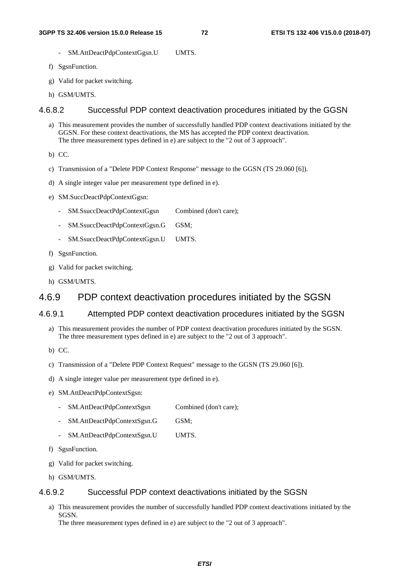- SM.AttDeactPdpContextGgsn.U UMTS.
- f) SgsnFunction.
- g) Valid for packet switching.
- h) GSM/UMTS.

#### 4.6.8.2 Successful PDP context deactivation procedures initiated by the GGSN

- a) This measurement provides the number of successfully handled PDP context deactivations initiated by the GGSN. For these context deactivations, the MS has accepted the PDP context deactivation. The three measurement types defined in e) are subject to the "2 out of 3 approach".
- b) CC.
- c) Transmission of a "Delete PDP Context Response" message to the GGSN (TS 29.060 [6]).
- d) A single integer value per measurement type defined in e).
- e) SM.SuccDeactPdpContextGgsn:
	- SM.SsuccDeactPdpContextGgsn Combined (don't care);
	- SM.SsuccDeactPdpContextGgsn.G GSM;
	- SM.SsuccDeactPdpContextGgsn.U UMTS.
- f) SgsnFunction.
- g) Valid for packet switching.
- h) GSM/UMTS.

## 4.6.9 PDP context deactivation procedures initiated by the SGSN

## 4.6.9.1 Attempted PDP context deactivation procedures initiated by the SGSN

- a) This measurement provides the number of PDP context deactivation procedures initiated by the SGSN. The three measurement types defined in e) are subject to the "2 out of 3 approach".
- b) CC.
- c) Transmission of a "Delete PDP Context Request" message to the GGSN (TS 29.060 [6]).
- d) A single integer value per measurement type defined in e).
- e) SM.AttDeactPdpContextSgsn:
	- SM.AttDeactPdpContextSgsn Combined (don't care);
	- SM.AttDeactPdpContextSgsn.G GSM;
	- SM.AttDeactPdpContextSgsn.U UMTS.
- f) SgsnFunction.
- g) Valid for packet switching.
- h) GSM/UMTS.

#### 4.6.9.2 Successful PDP context deactivations initiated by the SGSN

a) This measurement provides the number of successfully handled PDP context deactivations initiated by the SGSN.

The three measurement types defined in e) are subject to the "2 out of 3 approach".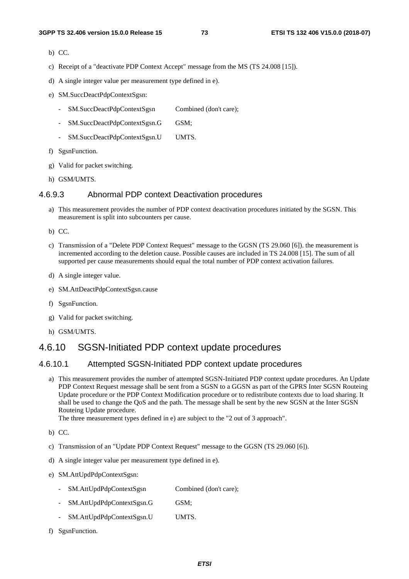- b) CC.
- c) Receipt of a "deactivate PDP Context Accept" message from the MS (TS 24.008 [15]).
- d) A single integer value per measurement type defined in e).
- e) SM.SuccDeactPdpContextSgsn:
	- SM.SuccDeactPdpContextSgsn Combined (don't care);
	- SM.SuccDeactPdpContextSgsn.G GSM;
	- SM.SuccDeactPdpContextSgsn.U UMTS.
- f) SgsnFunction.
- g) Valid for packet switching.
- h) GSM/UMTS.

#### 4.6.9.3 Abnormal PDP context Deactivation procedures

- a) This measurement provides the number of PDP context deactivation procedures initiated by the SGSN. This measurement is split into subcounters per cause.
- b) CC.
- c) Transmission of a "Delete PDP Context Request" message to the GGSN (TS 29.060 [6]). the measurement is incremented according to the deletion cause. Possible causes are included in TS 24.008 [15]. The sum of all supported per cause measurements should equal the total number of PDP context activation failures.
- d) A single integer value.
- e) SM.AttDeactPdpContextSgsn.cause
- f) SgsnFunction.
- g) Valid for packet switching.
- h) GSM/UMTS.

## 4.6.10 SGSN-Initiated PDP context update procedures

#### 4.6.10.1 Attempted SGSN-Initiated PDP context update procedures

a) This measurement provides the number of attempted SGSN-Initiated PDP context update procedures. An Update PDP Context Request message shall be sent from a SGSN to a GGSN as part of the GPRS Inter SGSN Routeing Update procedure or the PDP Context Modification procedure or to redistribute contexts due to load sharing. It shall be used to change the QoS and the path. The message shall be sent by the new SGSN at the Inter SGSN Routeing Update procedure.

The three measurement types defined in e) are subject to the "2 out of 3 approach".

b) CC.

- c) Transmission of an "Update PDP Context Request" message to the GGSN (TS 29.060 [6]).
- d) A single integer value per measurement type defined in e).
- e) SM.AttUpdPdpContextSgsn:
	- SM.AttUpdPdpContextSgsn Combined (don't care);
	- SM.AttUpdPdpContextSgsn.G GSM;
	- SM.AttUpdPdpContextSgsn.U UMTS.
- f) SgsnFunction.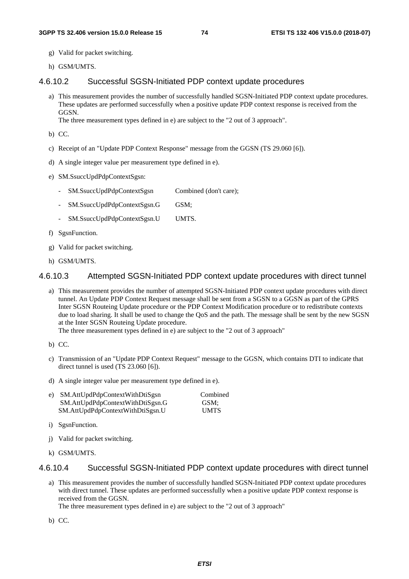- g) Valid for packet switching.
- h) GSM/UMTS.

#### 4.6.10.2 Successful SGSN-Initiated PDP context update procedures

a) This measurement provides the number of successfully handled SGSN-Initiated PDP context update procedures. These updates are performed successfully when a positive update PDP context response is received from the GGSN.

The three measurement types defined in e) are subject to the "2 out of 3 approach".

- b) CC.
- c) Receipt of an "Update PDP Context Response" message from the GGSN (TS 29.060 [6]).
- d) A single integer value per measurement type defined in e).
- e) SM.SsuccUpdPdpContextSgsn:
	- SM.SsuccUpdPdpContextSgsn Combined (don't care);
	- SM.SsuccUpdPdpContextSgsn.G GSM;
	- SM.SsuccUpdPdpContextSgsn.U UMTS.
- f) SgsnFunction.
- g) Valid for packet switching.
- h) GSM/UMTS.

#### 4.6.10.3 Attempted SGSN-Initiated PDP context update procedures with direct tunnel

a) This measurement provides the number of attempted SGSN-Initiated PDP context update procedures with direct tunnel. An Update PDP Context Request message shall be sent from a SGSN to a GGSN as part of the GPRS Inter SGSN Routeing Update procedure or the PDP Context Modification procedure or to redistribute contexts due to load sharing. It shall be used to change the QoS and the path. The message shall be sent by the new SGSN at the Inter SGSN Routeing Update procedure.

The three measurement types defined in e) are subject to the "2 out of 3 approach"

- b) CC.
- c) Transmission of an "Update PDP Context Request" message to the GGSN, which contains DTI to indicate that direct tunnel is used (TS 23.060 [6]).
- d) A single integer value per measurement type defined in e).

| e) SM.AttUpdPdpContextWithDtiSgsn | Combined    |
|-----------------------------------|-------------|
| SM.AttUpdPdpContextWithDtiSgsn.G  | GSM:        |
| SM.AttUpdPdpContextWithDtiSgsn.U  | <b>UMTS</b> |

- i) SgsnFunction.
- j) Valid for packet switching.
- k) GSM/UMTS.

#### 4.6.10.4 Successful SGSN-Initiated PDP context update procedures with direct tunnel

a) This measurement provides the number of successfully handled SGSN-Initiated PDP context update procedures with direct tunnel. These updates are performed successfully when a positive update PDP context response is received from the GGSN.

The three measurement types defined in e) are subject to the "2 out of 3 approach"

b) CC.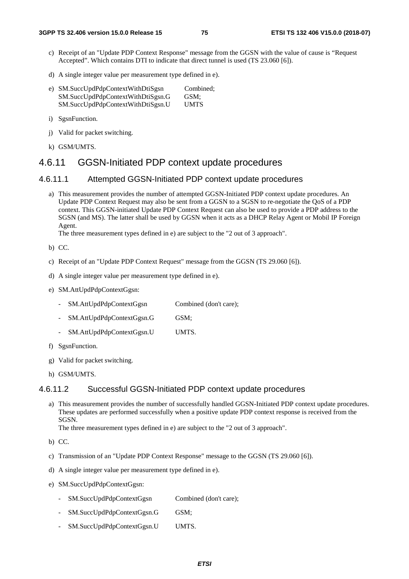- c) Receipt of an "Update PDP Context Response" message from the GGSN with the value of cause is "Request Accepted". Which contains DTI to indicate that direct tunnel is used (TS 23.060 [6]).
- d) A single integer value per measurement type defined in e).
- e) SM.SuccUpdPdpContextWithDtiSgsn Combined; SM.SuccUpdPdpContextWithDtiSgsn.G GSM; SM.SuccUpdPdpContextWithDtiSgsn.U UMTS
- i) SgsnFunction.
- j) Valid for packet switching.
- k) GSM/UMTS.

## 4.6.11 GGSN-Initiated PDP context update procedures

#### 4.6.11.1 Attempted GGSN-Initiated PDP context update procedures

a) This measurement provides the number of attempted GGSN-Initiated PDP context update procedures. An Update PDP Context Request may also be sent from a GGSN to a SGSN to re-negotiate the QoS of a PDP context. This GGSN-initiated Update PDP Context Request can also be used to provide a PDP address to the SGSN (and MS). The latter shall be used by GGSN when it acts as a DHCP Relay Agent or Mobil IP Foreign A gent.

The three measurement types defined in e) are subject to the "2 out of 3 approach".

b) CC.

- c) Receipt of an "Update PDP Context Request" message from the GGSN (TS 29.060 [6]).
- d) A single integer value per measurement type defined in e).
- e) SM.AttUpdPdpContextGgsn:
	- SM.AttUpdPdpContextGgsn Combined (don't care);
	- SM.AttUpdPdpContextGgsn.G GSM;
	- SM.AttUpdPdpContextGgsn.U UMTS.
- f) SgsnFunction.
- g) Valid for packet switching.
- h) GSM/UMTS.

### 4.6.11.2 Successful GGSN-Initiated PDP context update procedures

a) This measurement provides the number of successfully handled GGSN-Initiated PDP context update procedures. These updates are performed successfully when a positive update PDP context response is received from the SGSN.

The three measurement types defined in e) are subject to the "2 out of 3 approach".

- b) CC.
- c) Transmission of an "Update PDP Context Response" message to the GGSN (TS 29.060 [6]).
- d) A single integer value per measurement type defined in e).
- e) SM.SuccUpdPdpContextGgsn:
	- SM.SuccUpdPdpContextGgsn Combined (don't care);
	- SM.SuccUpdPdpContextGgsn.G GSM;
	- SM.SuccUpdPdpContextGgsn.U UMTS.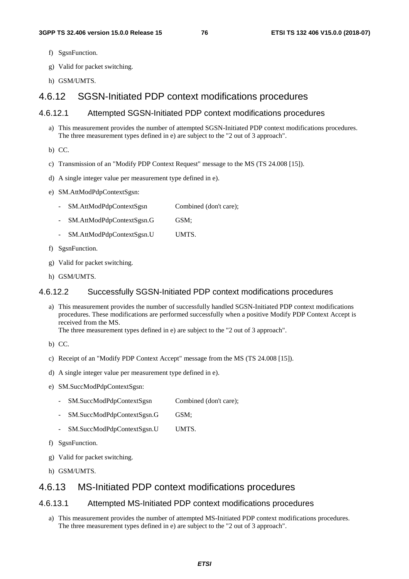- f) SgsnFunction.
- g) Valid for packet switching.
- h) GSM/UMTS.

## 4.6.12 SGSN-Initiated PDP context modifications procedures

### 4.6.12.1 Attempted SGSN-Initiated PDP context modifications procedures

- a) This measurement provides the number of attempted SGSN-Initiated PDP context modifications procedures. The three measurement types defined in e) are subject to the "2 out of 3 approach".
- b) CC.
- c) Transmission of an "Modify PDP Context Request" message to the MS (TS 24.008 [15]).
- d) A single integer value per measurement type defined in e).
- e) SM.AttModPdpContextSgsn:
	- SM.AttModPdpContextSgsn Combined (don't care);
	- SM.AttModPdpContextSgsn.G GSM;
	- SM.AttModPdpContextSgsn.U UMTS.
- f) SgsnFunction.
- g) Valid for packet switching.
- h) GSM/UMTS.

#### 4.6.12.2 Successfully SGSN-Initiated PDP context modifications procedures

a) This measurement provides the number of successfully handled SGSN-Initiated PDP context modifications procedures. These modifications are performed successfully when a positive Modify PDP Context Accept is received from the MS.

The three measurement types defined in e) are subject to the "2 out of 3 approach".

- b) CC.
- c) Receipt of an "Modify PDP Context Accept" message from the MS (TS 24.008 [15]).
- d) A single integer value per measurement type defined in e).
- e) SM.SuccModPdpContextSgsn:
	- SM.SuccModPdpContextSgsn Combined (don't care);
	- SM.SuccModPdpContextSgsn.G GSM;
	- SM.SuccModPdpContextSgsn.U UMTS.
- f) SgsnFunction.
- g) Valid for packet switching.
- h) GSM/UMTS.

## 4.6.13 MS-Initiated PDP context modifications procedures

#### 4.6.13.1 Attempted MS-Initiated PDP context modifications procedures

a) This measurement provides the number of attempted MS-Initiated PDP context modifications procedures. The three measurement types defined in e) are subject to the "2 out of 3 approach".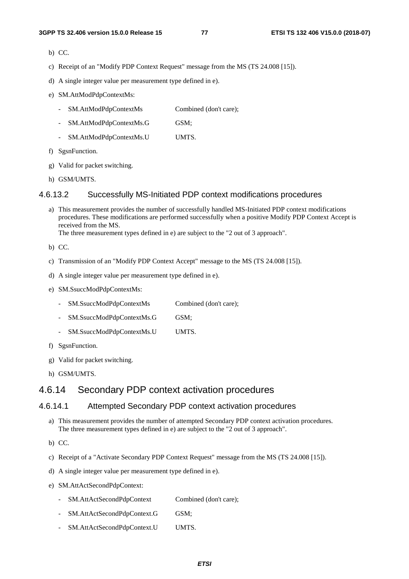- b) CC.
- c) Receipt of an "Modify PDP Context Request" message from the MS (TS 24.008 [15]).
- d) A single integer value per measurement type defined in e).
- e) SM.AttModPdpContextMs:
	- SM.AttModPdpContextMs Combined (don't care);
	- SM.AttModPdpContextMs.G GSM;
	- SM.AttModPdpContextMs.U UMTS.
- f) SgsnFunction.
- g) Valid for packet switching.
- h) GSM/UMTS.

#### 4.6.13.2 Successfully MS-Initiated PDP context modifications procedures

a) This measurement provides the number of successfully handled MS-Initiated PDP context modifications procedures. These modifications are performed successfully when a positive Modify PDP Context Accept is received from the MS.

The three measurement types defined in e) are subject to the "2 out of 3 approach".

- b) CC.
- c) Transmission of an "Modify PDP Context Accept" message to the MS (TS 24.008 [15]).
- d) A single integer value per measurement type defined in e).
- e) SM.SsuccModPdpContextMs:
	- SM.SsuccModPdpContextMs Combined (don't care);
	- SM.SsuccModPdpContextMs.G GSM;
	- SM.SsuccModPdpContextMs.U UMTS.
- f) SgsnFunction.
- g) Valid for packet switching.
- h) GSM/UMTS.

## 4.6.14 Secondary PDP context activation procedures

#### 4.6.14.1 Attempted Secondary PDP context activation procedures

- a) This measurement provides the number of attempted Secondary PDP context activation procedures. The three measurement types defined in e) are subject to the "2 out of 3 approach".
- b) CC.
- c) Receipt of a "Activate Secondary PDP Context Request" message from the MS (TS 24.008 [15]).
- d) A single integer value per measurement type defined in e).
- e) SM.AttActSecondPdpContext:
	- SM.AttActSecondPdpContext Combined (don't care);
	- SM.AttActSecondPdpContext.G GSM;
	- SM.AttActSecondPdpContext.U UMTS.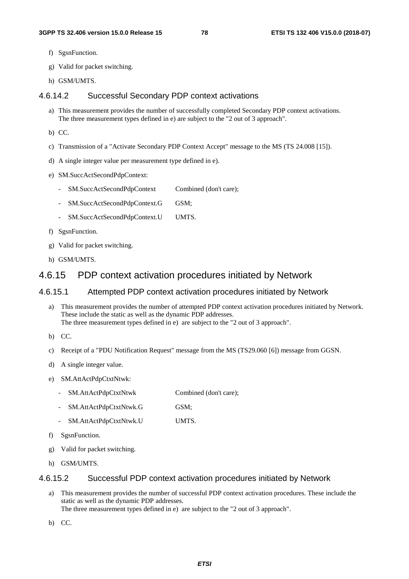- f) SgsnFunction.
- g) Valid for packet switching.
- h) GSM/UMTS.

### 4.6.14.2 Successful Secondary PDP context activations

- a) This measurement provides the number of successfully completed Secondary PDP context activations. The three measurement types defined in e) are subject to the "2 out of 3 approach".
- b) CC.
- c) Transmission of a "Activate Secondary PDP Context Accept" message to the MS (TS 24.008 [15]).
- d) A single integer value per measurement type defined in e).
- e) SM.SuccActSecondPdpContext:
	- SM.SuccActSecondPdpContext Combined (don't care);
	- SM.SuccActSecondPdpContext.G GSM;
	- SM.SuccActSecondPdpContext.U UMTS.
- f) SgsnFunction.
- g) Valid for packet switching.
- h) GSM/UMTS.

## 4.6.15 PDP context activation procedures initiated by Network

#### 4.6.15.1 Attempted PDP context activation procedures initiated by Network

- a) This measurement provides the number of attempted PDP context activation procedures initiated by Network. These include the static as well as the dynamic PDP addresses. The three measurement types defined in e) are subject to the "2 out of 3 approach".
- b) CC.
- c) Receipt of a "PDU Notification Request" message from the MS (TS29.060 [6]) message from GGSN.
- d) A single integer value.
- e) SM.AttActPdpCtxtNtwk:
	- SM.AttActPdpCtxtNtwk Combined (don't care);
	- SM.AttActPdpCtxtNtwk.G GSM;
	- SM.AttActPdpCtxtNtwk.U UMTS.
- f) SgsnFunction.
- g) Valid for packet switching.
- h) GSM/UMTS.

#### 4.6.15.2 Successful PDP context activation procedures initiated by Network

a) This measurement provides the number of successful PDP context activation procedures. These include the static as well as the dynamic PDP addresses. The three measurement types defined in e) are subject to the "2 out of 3 approach".

b) CC.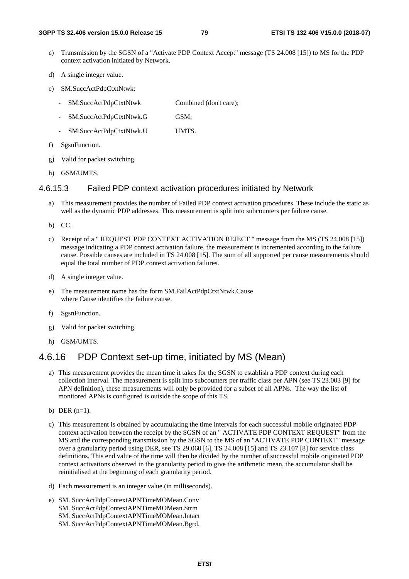- c) Transmission by the SGSN of a "Activate PDP Context Accept" message (TS 24.008 [15]) to MS for the PDP context activation initiated by Network.
- d) A single integer value.
- e) SM.SuccActPdpCtxtNtwk:
	- SM.SuccActPdpCtxtNtwk Combined (don't care);
	- SM.SuccActPdpCtxtNtwk.G GSM;
	- SM.SuccActPdpCtxtNtwk.U UMTS.
- f) SgsnFunction.
- g) Valid for packet switching.
- h) GSM/UMTS.

## 4.6.15.3 Failed PDP context activation procedures initiated by Network

- a) This measurement provides the number of Failed PDP context activation procedures. These include the static as well as the dynamic PDP addresses. This measurement is split into subcounters per failure cause.
- b) CC.
- c) Receipt of a " REQUEST PDP CONTEXT ACTIVATION REJECT " message from the MS (TS 24.008 [15]) message indicating a PDP context activation failure, the measurement is incremented according to the failure cause. Possible causes are included in TS 24.008 [15]. The sum of all supported per cause measurements should equal the total number of PDP context activation failures.
- d) A single integer value.
- e) The measurement name has the form SM.FailActPdpCtxtNtwk.Cause where Cause identifies the failure cause.
- f) SgsnFunction.
- g) Valid for packet switching.
- h) GSM/UMTS.

## 4.6.16 PDP Context set-up time, initiated by MS (Mean)

- a) This measurement provides the mean time it takes for the SGSN to establish a PDP context during each collection interval. The measurement is split into subcounters per traffic class per APN (see TS 23.003 [9] for APN definition), these measurements will only be provided for a subset of all APNs. The way the list of monitored APNs is configured is outside the scope of this TS.
- b) DER  $(n=1)$ .
- c) This measurement is obtained by accumulating the time intervals for each successful mobile originated PDP context activation between the receipt by the SGSN of an " ACTIVATE PDP CONTEXT REQUEST" from the MS and the corresponding transmission by the SGSN to the MS of an "ACTIVATE PDP CONTEXT" message over a granularity period using DER, see TS 29.060 [6], TS 24.008 [15] and TS 23.107 [8] for service class definitions. This end value of the time will then be divided by the number of successful mobile originated PDP context activations observed in the granularity period to give the arithmetic mean, the accumulator shall be reinitialised at the beginning of each granularity period.
- d) Each measurement is an integer value.(in milliseconds).
- e) SM. SuccActPdpContextAPNTimeMOMean.Conv SM. SuccActPdpContextAPNTimeMOMean.Strm SM. SuccActPdpContextAPNTimeMOMean.Intact SM. SuccActPdpContextAPNTimeMOMean.Bgrd.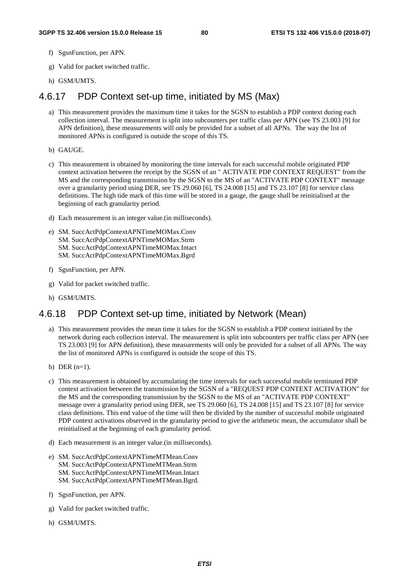- f) SgsnFunction, per APN.
- g) Valid for packet switched traffic.
- h) GSM/UMTS.

# 4.6.17 PDP Context set-up time, initiated by MS (Max)

- a) This measurement provides the maximum time it takes for the SGSN to establish a PDP context during each collection interval. The measurement is split into subcounters per traffic class per APN (see TS 23.003 [9] for APN definition), these measurements will only be provided for a subset of all APNs. The way the list of monitored APNs is configured is outside the scope of this TS.
- b) GAUGE.
- c) This measurement is obtained by monitoring the time intervals for each successful mobile originated PDP context activation between the receipt by the SGSN of an " ACTIVATE PDP CONTEXT REQUEST" from the MS and the corresponding transmission by the SGSN to the MS of an "ACTIVATE PDP CONTEXT" message over a granularity period using DER, see TS 29.060 [6], TS 24.008 [15] and TS 23.107 [8] for service class definitions. The high tide mark of this time will be stored in a gauge, the gauge shall be reinitialised at the beginning of each granularity period.
- d) Each measurement is an integer value.(in milliseconds).
- e) SM. SuccActPdpContextAPNTimeMOMax.Conv SM. SuccActPdpContextAPNTimeMOMax.Strm SM. SuccActPdpContextAPNTimeMOMax.Intact SM. SuccActPdpContextAPNTimeMOMax.Bgrd
- f) SgsnFunction, per APN.
- g) Valid for packet switched traffic.
- h) GSM/UMTS.

# 4.6.18 PDP Context set-up time, initiated by Network (Mean)

- a) This measurement provides the mean time it takes for the SGSN to establish a PDP context initiated by the network during each collection interval. The measurement is split into subcounters per traffic class per APN (see TS 23.003 [9] for APN definition), these measurements will only be provided for a subset of all APNs. The way the list of monitored APNs is configured is outside the scope of this TS.
- b) DER  $(n=1)$ .
- c) This measurement is obtained by accumulating the time intervals for each successful mobile terminated PDP context activation between the transmission by the SGSN of a "REQUEST PDP CONTEXT ACTIVATION" for the MS and the corresponding transmission by the SGSN to the MS of an "ACTIVATE PDP CONTEXT" message over a granularity period using DER, see TS 29.060 [6], TS 24.008 [15] and TS 23.107 [8] for service class definitions. This end value of the time will then be divided by the number of successful mobile originated PDP context activations observed in the granularity period to give the arithmetic mean, the accumulator shall be reinitialised at the beginning of each granularity period.
- d) Each measurement is an integer value.(in milliseconds).
- e) SM. SuccActPdpContextAPNTimeMTMean.Conv SM. SuccActPdpContextAPNTimeMTMean.Strm SM. SuccActPdpContextAPNTimeMTMean.Intact SM. SuccActPdpContextAPNTimeMTMean.Bgrd.
- f) SgsnFunction, per APN.
- g) Valid for packet switched traffic.
- h) GSM/UMTS.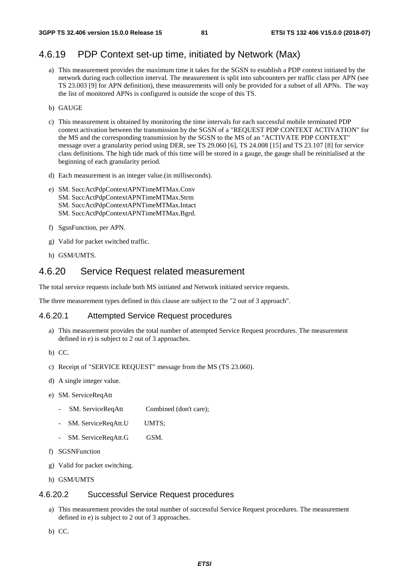# 4.6.19 PDP Context set-up time, initiated by Network (Max)

- a) This measurement provides the maximum time it takes for the SGSN to establish a PDP context initiated by the network during each collection interval. The measurement is split into subcounters per traffic class per APN (see TS 23.003 [9] for APN definition), these measurements will only be provided for a subset of all APNs. The way the list of monitored APNs is configured is outside the scope of this TS.
- b) GAUGE
- c) This measurement is obtained by monitoring the time intervals for each successful mobile terminated PDP context activation between the transmission by the SGSN of a "REQUEST PDP CONTEXT ACTIVATION" for the MS and the corresponding transmission by the SGSN to the MS of an "ACTIVATE PDP CONTEXT" message over a granularity period using DER, see TS 29.060 [6], TS 24.008 [15] and TS 23.107 [8] for service class definitions. The high tide mark of this time will be stored in a gauge, the gauge shall be reinitialised at the beginning of each granularity period.
- d) Each measurement is an integer value.(in milliseconds).
- e) SM. SuccActPdpContextAPNTimeMTMax.Conv SM. SuccActPdpContextAPNTimeMTMax.Strm SM. SuccActPdpContextAPNTimeMTMax.Intact SM. SuccActPdpContextAPNTimeMTMax.Bgrd.
- f) SgsnFunction, per APN.
- g) Valid for packet switched traffic.
- h) GSM/UMTS.

## 4.6.20 Service Request related measurement

The total service requests include both MS initiated and Network initiated service requests.

The three measurement types defined in this clause are subject to the "2 out of 3 approach".

#### 4.6.20.1 Attempted Service Request procedures

- a) This measurement provides the total number of attempted Service Request procedures. The measurement defined in e) is subject to 2 out of 3 approaches.
- b) CC.
- c) Receipt of "SERVICE REQUEST" message from the MS (TS 23.060).
- d) A single integer value.
- e) SM. ServiceReqAtt
	- SM. ServiceReqAtt Combined (don't care);
	- SM. ServiceReqAtt.U UMTS;
	- SM. ServiceReqAtt.G GSM.
- f) SGSNFunction
- g) Valid for packet switching.
- h) GSM/UMTS

#### 4.6.20.2 Successful Service Request procedures

- a) This measurement provides the total number of successful Service Request procedures. The measurement defined in e) is subject to 2 out of 3 approaches.
- b) CC.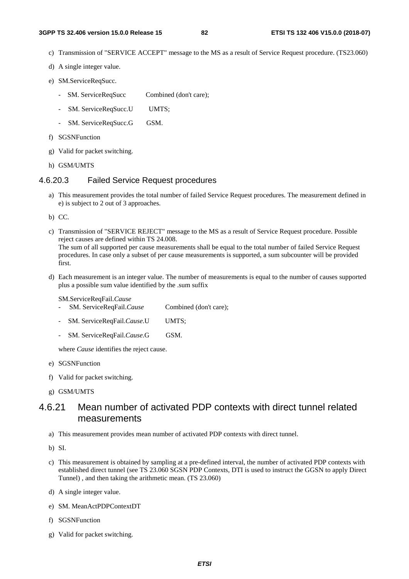- c) Transmission of "SERVICE ACCEPT" message to the MS as a result of Service Request procedure. (TS23.060)
- d) A single integer value.
- e) SM.ServiceReqSucc.
	- SM. ServiceReqSucc Combined (don't care);
	- SM. ServiceReqSucc.U UMTS;
	- SM. ServiceReqSucc.G GSM.
- f) SGSNFunction
- g) Valid for packet switching.
- h) GSM/UMTS

#### 4.6.20.3 Failed Service Request procedures

- a) This measurement provides the total number of failed Service Request procedures. The measurement defined in e) is subject to 2 out of 3 approaches.
- b) CC.
- c) Transmission of "SERVICE REJECT" message to the MS as a result of Service Request procedure. Possible reject causes are defined within TS 24.008. The sum of all supported per cause measurements shall be equal to the total number of failed Service Request procedures. In case only a subset of per cause measurements is supported, a sum subcounter will be provided first.
- d) Each measurement is an integer value. The number of measurements is equal to the number of causes supported plus a possible sum value identified by the .sum suffix

SM.ServiceReqFail.*Cause*

- SM. ServiceReqFail.*Cause* Combined (don't care);
- SM. ServiceReqFail.*Cause*.U UMTS;
- SM. ServiceReqFail.*Cause*.G GSM.

where *Cause* identifies the reject cause.

- e) SGSNFunction
- f) Valid for packet switching.
- g) GSM/UMTS

# 4.6.21 Mean number of activated PDP contexts with direct tunnel related measurements

a) This measurement provides mean number of activated PDP contexts with direct tunnel.

b) SI.

- c) This measurement is obtained by sampling at a pre-defined interval, the number of activated PDP contexts with established direct tunnel (see TS 23.060 SGSN PDP Contexts, DTI is used to instruct the GGSN to apply Direct Tunnel) , and then taking the arithmetic mean. (TS 23.060)
- d) A single integer value.
- e) SM. MeanActPDPContextDT
- f) SGSNFunction
- g) Valid for packet switching.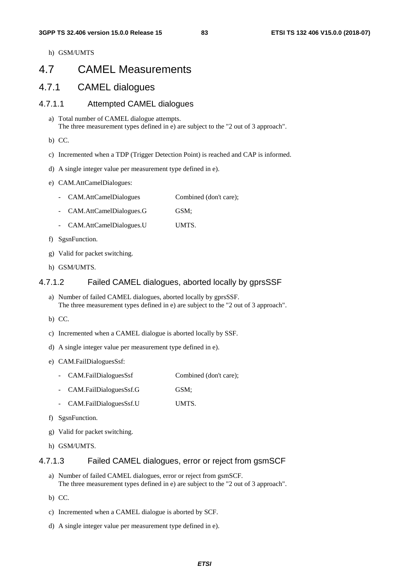h) GSM/UMTS

# 4.7 CAMEL Measurements

## 4.7.1 CAMEL dialogues

### 4.7.1.1 Attempted CAMEL dialogues

- a) Total number of CAMEL dialogue attempts. The three measurement types defined in e) are subject to the "2 out of 3 approach".
- b) CC.
- c) Incremented when a TDP (Trigger Detection Point) is reached and CAP is informed.
- d) A single integer value per measurement type defined in e).
- e) CAM.AttCamelDialogues:
	- CAM.AttCamelDialogues Combined (don't care);
	- CAM.AttCamelDialogues.G GSM;
	- CAM.AttCamelDialogues.U UMTS.
- f) SgsnFunction.
- g) Valid for packet switching.
- h) GSM/UMTS.

#### 4.7.1.2 Failed CAMEL dialogues, aborted locally by gprsSSF

- a) Number of failed CAMEL dialogues, aborted locally by gprsSSF. The three measurement types defined in e) are subject to the "2 out of 3 approach".
- b) CC.
- c) Incremented when a CAMEL dialogue is aborted locally by SSF.
- d) A single integer value per measurement type defined in e).
- e) CAM.FailDialoguesSsf:
	- CAM.FailDialoguesSsf Combined (don't care);
	- CAM.FailDialoguesSsf.G GSM;
	- CAM.FailDialoguesSsf.U UMTS.
- f) SgsnFunction.
- g) Valid for packet switching.
- h) GSM/UMTS.

#### 4.7.1.3 Failed CAMEL dialogues, error or reject from gsmSCF

- a) Number of failed CAMEL dialogues, error or reject from gsmSCF. The three measurement types defined in e) are subject to the "2 out of 3 approach".
- b) CC.
- c) Incremented when a CAMEL dialogue is aborted by SCF.
- d) A single integer value per measurement type defined in e).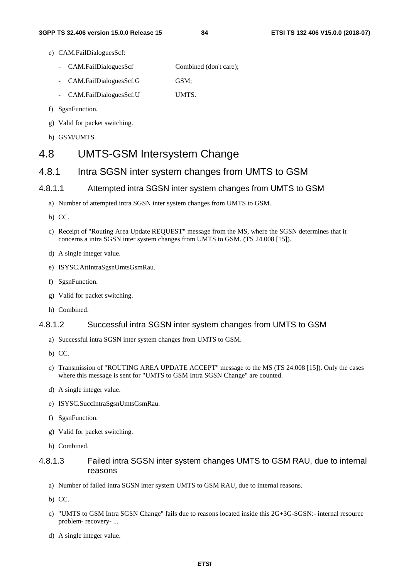- e) CAM.FailDialoguesScf:
	- CAM.FailDialoguesScf Combined (don't care);
	- CAM.FailDialoguesScf.G GSM;
	- CAM.FailDialoguesScf.U UMTS.
- f) SgsnFunction.
- g) Valid for packet switching.
- h) GSM/UMTS.

# 4.8 UMTS-GSM Intersystem Change

# 4.8.1 Intra SGSN inter system changes from UMTS to GSM

## 4.8.1.1 Attempted intra SGSN inter system changes from UMTS to GSM

- a) Number of attempted intra SGSN inter system changes from UMTS to GSM.
- b) CC.
- c) Receipt of "Routing Area Update REQUEST" message from the MS, where the SGSN determines that it concerns a intra SGSN inter system changes from UMTS to GSM. (TS 24.008 [15]).
- d) A single integer value.
- e) ISYSC.AttIntraSgsnUmtsGsmRau.
- f) SgsnFunction.
- g) Valid for packet switching.
- h) Combined.

## 4.8.1.2 Successful intra SGSN inter system changes from UMTS to GSM

- a) Successful intra SGSN inter system changes from UMTS to GSM.
- b) CC.
- c) Transmission of "ROUTING AREA UPDATE ACCEPT" message to the MS (TS 24.008 [15]). Only the cases where this message is sent for "UMTS to GSM Intra SGSN Change" are counted.
- d) A single integer value.
- e) ISYSC.SuccIntraSgsnUmtsGsmRau.
- f) SgsnFunction.
- g) Valid for packet switching.
- h) Combined.

## 4.8.1.3 Failed intra SGSN inter system changes UMTS to GSM RAU, due to internal reasons

- a) Number of failed intra SGSN inter system UMTS to GSM RAU, due to internal reasons.
- b) CC.
- c) "UMTS to GSM Intra SGSN Change" fails due to reasons located inside this 2G+3G-SGSN:- internal resource problem- recovery- ...
- d) A single integer value.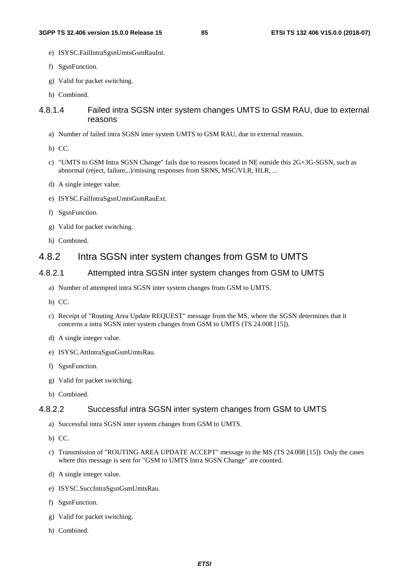- e) ISYSC.FailIntraSgsnUmtsGsmRauInt.
- f) SgsnFunction.
- g) Valid for packet switching.
- h) Combined.

## 4.8.1.4 Failed intra SGSN inter system changes UMTS to GSM RAU, due to external reasons

- a) Number of failed intra SGSN inter system UMTS to GSM RAU, due to external reasons.
- b) CC.
- c) "UMTS to GSM Intra SGSN Change" fails due to reasons located in NE outside this 2G+3G-SGSN, such as abnormal (reject, failure,..)/missing responses from SRNS, MSC/VLR, HLR, ...
- d) A single integer value.
- e) ISYSC.FailIntraSgsnUmtsGsmRauExt.
- f) SgsnFunction.
- g) Valid for packet switching.
- h) Combined.

# 4.8.2 Intra SGSN inter system changes from GSM to UMTS

## 4.8.2.1 Attempted intra SGSN inter system changes from GSM to UMTS

- a) Number of attempted intra SGSN inter system changes from GSM to UMTS.
- b) CC.
- c) Receipt of "Routing Area Update REQUEST" message from the MS, where the SGSN determines that it concerns a intra SGSN inter system changes from GSM to UMTS (TS 24.008 [15]).
- d) A single integer value.
- e) ISYSC.AttIntraSgsnGsmUmtsRau.
- f) SgsnFunction.
- g) Valid for packet switching.
- h) Combined.

## 4.8.2.2 Successful intra SGSN inter system changes from GSM to UMTS

- a) Successful intra SGSN inter system changes from GSM to UMTS.
- b) CC.
- c) Transmission of "ROUTING AREA UPDATE ACCEPT" message to the MS (TS 24.008 [15]). Only the cases where this message is sent for "GSM to UMTS Intra SGSN Change" are counted.
- d) A single integer value.
- e) ISYSC.SuccIntraSgsnGsmUmtsRau.
- f) SgsnFunction.
- g) Valid for packet switching.
- h) Combined.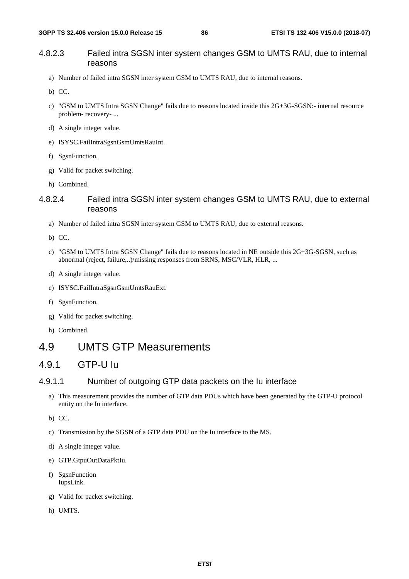## 4.8.2.3 Failed intra SGSN inter system changes GSM to UMTS RAU, due to internal reasons

- a) Number of failed intra SGSN inter system GSM to UMTS RAU, due to internal reasons.
- b) CC.
- c) "GSM to UMTS Intra SGSN Change" fails due to reasons located inside this 2G+3G-SGSN:- internal resource problem- recovery- ...
- d) A single integer value.
- e) ISYSC.FailIntraSgsnGsmUmtsRauInt.
- f) SgsnFunction.
- g) Valid for packet switching.
- h) Combined.

## 4.8.2.4 Failed intra SGSN inter system changes GSM to UMTS RAU, due to external reasons

- a) Number of failed intra SGSN inter system GSM to UMTS RAU, due to external reasons.
- b) CC.
- c) "GSM to UMTS Intra SGSN Change" fails due to reasons located in NE outside this 2G+3G-SGSN, such as abnormal (reject, failure,..)/missing responses from SRNS, MSC/VLR, HLR, ...
- d) A single integer value.
- e) ISYSC.FailIntraSgsnGsmUmtsRauExt.
- f) SgsnFunction.
- g) Valid for packet switching.
- h) Combined.

# 4.9 UMTS GTP Measurements

# 4.9.1 GTP-U Iu

### 4.9.1.1 Number of outgoing GTP data packets on the Iu interface

a) This measurement provides the number of GTP data PDUs which have been generated by the GTP-U protocol entity on the Iu interface.

b) CC.

- c) Transmission by the SGSN of a GTP data PDU on the Iu interface to the MS.
- d) A single integer value.
- e) GTP.GtpuOutDataPktIu.
- f) SgsnFunction IupsLink.
- g) Valid for packet switching.
- h) UMTS.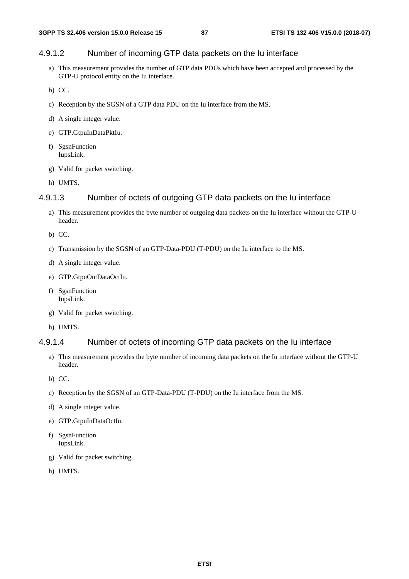## 4.9.1.2 Number of incoming GTP data packets on the Iu interface

- a) This measurement provides the number of GTP data PDUs which have been accepted and processed by the GTP-U protocol entity on the Iu interface.
- b) CC.
- c) Reception by the SGSN of a GTP data PDU on the Iu interface from the MS.
- d) A single integer value.
- e) GTP.GtpuInDataPktIu.
- f) SgsnFunction IupsLink.
- g) Valid for packet switching.
- h) UMTS.

#### 4.9.1.3 Number of octets of outgoing GTP data packets on the Iu interface

- a) This measurement provides the byte number of outgoing data packets on the Iu interface without the GTP-U header.
- b) CC.
- c) Transmission by the SGSN of an GTP-Data-PDU (T-PDU) on the Iu interface to the MS.
- d) A single integer value.
- e) GTP.GtpuOutDataOctIu.
- f) SgsnFunction IupsLink.
- g) Valid for packet switching.
- h) UMTS.

#### 4.9.1.4 Number of octets of incoming GTP data packets on the Iu interface

- a) This measurement provides the byte number of incoming data packets on the Iu interface without the GTP-U header.
- b) CC.
- c) Reception by the SGSN of an GTP-Data-PDU (T-PDU) on the Iu interface from the MS.
- d) A single integer value.
- e) GTP.GtpuInDataOctIu.
- f) SgsnFunction IupsLink.
- g) Valid for packet switching.
- h) UMTS.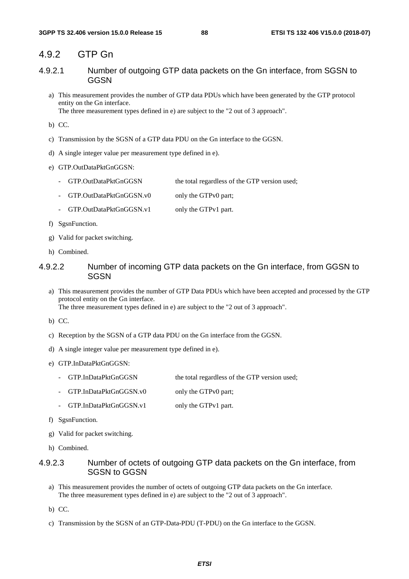## 4.9.2 GTP Gn

- 4.9.2.1 Number of outgoing GTP data packets on the Gn interface, from SGSN to GGSN
	- a) This measurement provides the number of GTP data PDUs which have been generated by the GTP protocol entity on the Gn interface. The three measurement types defined in e) are subject to the "2 out of 3 approach".

b) CC.

- c) Transmission by the SGSN of a GTP data PDU on the Gn interface to the GGSN.
- d) A single integer value per measurement type defined in e).
- e) GTP.OutDataPktGnGGSN:
	- GTP.OutDataPktGnGGSN the total regardless of the GTP version used;
	- GTP.OutDataPktGnGGSN.v0 only the GTPv0 part;
	- GTP.OutDataPktGnGGSN.v1 only the GTPv1 part.
- f) SgsnFunction.
- g) Valid for packet switching.
- h) Combined.

#### 4.9.2.2 Number of incoming GTP data packets on the Gn interface, from GGSN to **SGSN**

a) This measurement provides the number of GTP Data PDUs which have been accepted and processed by the GTP protocol entity on the Gn interface. The three measurement types defined in e) are subject to the "2 out of 3 approach".

b) CC.

- c) Reception by the SGSN of a GTP data PDU on the Gn interface from the GGSN.
- d) A single integer value per measurement type defined in e).
- e) GTP.InDataPktGnGGSN:
	- GTP.InDataPktGnGGSN the total regardless of the GTP version used;
	- GTP.InDataPktGnGGSN.v0 only the GTPv0 part;
	- GTP.InDataPktGnGGSN.v1 only the GTPv1 part.
- f) SgsnFunction.
- g) Valid for packet switching.
- h) Combined.

## 4.9.2.3 Number of octets of outgoing GTP data packets on the Gn interface, from SGSN to GGSN

- a) This measurement provides the number of octets of outgoing GTP data packets on the Gn interface. The three measurement types defined in e) are subject to the "2 out of 3 approach".
- b) CC.
- c) Transmission by the SGSN of an GTP-Data-PDU (T-PDU) on the Gn interface to the GGSN.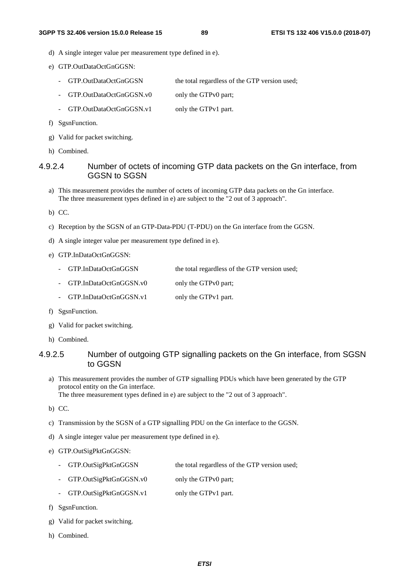- d) A single integer value per measurement type defined in e).
- e) GTP.OutDataOctGnGGSN:
	- GTP.OutDataOctGnGGSN the total regardless of the GTP version used;
	- GTP.OutDataOctGnGGSN.v0 only the GTPv0 part;
	- GTP.OutDataOctGnGGSN.v1 only the GTPv1 part.
- f) SgsnFunction.
- g) Valid for packet switching.
- h) Combined.

#### 4.9.2.4 Number of octets of incoming GTP data packets on the Gn interface, from GGSN to SGSN

- a) This measurement provides the number of octets of incoming GTP data packets on the Gn interface. The three measurement types defined in e) are subject to the "2 out of 3 approach".
- b) CC.
- c) Reception by the SGSN of an GTP-Data-PDU (T-PDU) on the Gn interface from the GGSN.
- d) A single integer value per measurement type defined in e).
- e) GTP.InDataOctGnGGSN:
	- GTP.InDataOctGnGGSN the total regardless of the GTP version used;
	- GTP.InDataOctGnGGSN.v0 only the GTPv0 part;
	- GTP.InDataOctGnGGSN.v1 only the GTPv1 part.
- f) SgsnFunction.
- g) Valid for packet switching.
- h) Combined.

### 4.9.2.5 Number of outgoing GTP signalling packets on the Gn interface, from SGSN to GGSN

- a) This measurement provides the number of GTP signalling PDUs which have been generated by the GTP protocol entity on the Gn interface. The three measurement types defined in e) are subject to the "2 out of 3 approach".
- b) CC.
- c) Transmission by the SGSN of a GTP signalling PDU on the Gn interface to the GGSN.
- d) A single integer value per measurement type defined in e).
- e) GTP.OutSigPktGnGGSN:
	- GTP.OutSigPktGnGGSN the total regardless of the GTP version used;
	- GTP.OutSigPktGnGGSN.v0 only the GTPv0 part;
	- GTP.OutSigPktGnGGSN.v1 only the GTPv1 part.
- f) SgsnFunction.
- g) Valid for packet switching.
- h) Combined.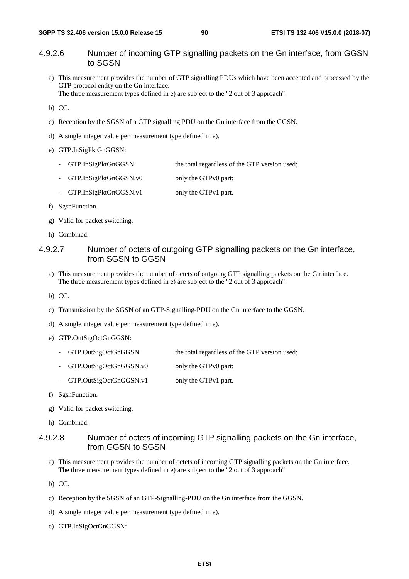## 4.9.2.6 Number of incoming GTP signalling packets on the Gn interface, from GGSN to SGSN

a) This measurement provides the number of GTP signalling PDUs which have been accepted and processed by the GTP protocol entity on the Gn interface.

The three measurement types defined in e) are subject to the "2 out of 3 approach".

- b) CC.
- c) Reception by the SGSN of a GTP signalling PDU on the Gn interface from the GGSN.
- d) A single integer value per measurement type defined in e).
- e) GTP.InSigPktGnGGSN:
	- GTP.InSigPktGnGGSN the total regardless of the GTP version used;
	- GTP.InSigPktGnGGSN.v0 only the GTPv0 part;
	- GTP.InSigPktGnGGSN.v1 only the GTPv1 part.
- f) SgsnFunction.
- g) Valid for packet switching.
- h) Combined.

### 4.9.2.7 Number of octets of outgoing GTP signalling packets on the Gn interface, from SGSN to GGSN

- a) This measurement provides the number of octets of outgoing GTP signalling packets on the Gn interface. The three measurement types defined in e) are subject to the "2 out of 3 approach".
- b) CC.
- c) Transmission by the SGSN of an GTP-Signalling-PDU on the Gn interface to the GGSN.
- d) A single integer value per measurement type defined in e).
- e) GTP.OutSigOctGnGGSN:
	- GTP.OutSigOctGnGGSN the total regardless of the GTP version used;
	- GTP.OutSigOctGnGGSN.v0 only the GTPv0 part;
	- GTP.OutSigOctGnGGSN.v1 only the GTPv1 part.
- f) SgsnFunction.
- g) Valid for packet switching.
- h) Combined.

#### 4.9.2.8 Number of octets of incoming GTP signalling packets on the Gn interface, from GGSN to SGSN

- a) This measurement provides the number of octets of incoming GTP signalling packets on the Gn interface. The three measurement types defined in e) are subject to the "2 out of 3 approach".
- b) CC.
- c) Reception by the SGSN of an GTP-Signalling-PDU on the Gn interface from the GGSN.
- d) A single integer value per measurement type defined in e).
- e) GTP.InSigOctGnGGSN: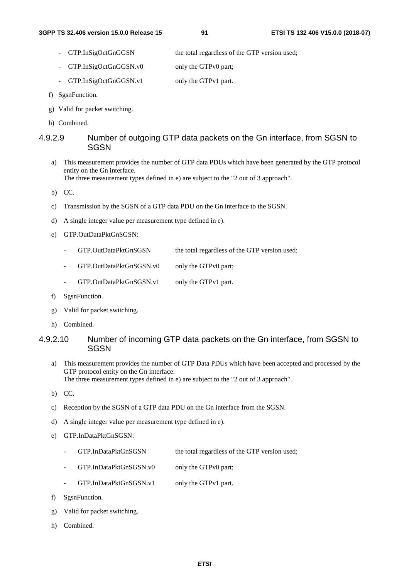- GTP.InSigOctGnGGSN the total regardless of the GTP version used;
- GTP.InSigOctGnGGSN.v0 only the GTPv0 part;
- GTP.InSigOctGnGGSN.v1 only the GTPv1 part.
- f) SgsnFunction.
- g) Valid for packet switching.
- h) Combined.

## 4.9.2.9 Number of outgoing GTP data packets on the Gn interface, from SGSN to SGSN

a) This measurement provides the number of GTP data PDUs which have been generated by the GTP protocol entity on the Gn interface.

The three measurement types defined in e) are subject to the "2 out of 3 approach".

- b) CC.
- c) Transmission by the SGSN of a GTP data PDU on the Gn interface to the SGSN.
- d) A single integer value per measurement type defined in e).
- e) GTP.OutDataPktGnSGSN:
	- GTP.OutDataPktGnSGSN the total regardless of the GTP version used;
	- GTP.OutDataPktGnSGSN.v0 only the GTPv0 part;
	- GTP.OutDataPktGnSGSN.v1 only the GTPv1 part.
- f) SgsnFunction.
- g) Valid for packet switching.
- h) Combined.

### 4.9.2.10 Number of incoming GTP data packets on the Gn interface, from SGSN to **SGSN**

- a) This measurement provides the number of GTP Data PDUs which have been accepted and processed by the GTP protocol entity on the Gn interface. The three measurement types defined in e) are subject to the "2 out of 3 approach".
- b) CC.
- c) Reception by the SGSN of a GTP data PDU on the Gn interface from the SGSN.
- d) A single integer value per measurement type defined in e).
- e) GTP.InDataPktGnSGSN:
	- GTP.InDataPktGnSGSN the total regardless of the GTP version used;
	- GTP.InDataPktGnSGSN.v0 only the GTPv0 part;
	- GTP.InDataPktGnSGSN.v1 only the GTPv1 part.
- f) SgsnFunction.
- g) Valid for packet switching.
- h) Combined.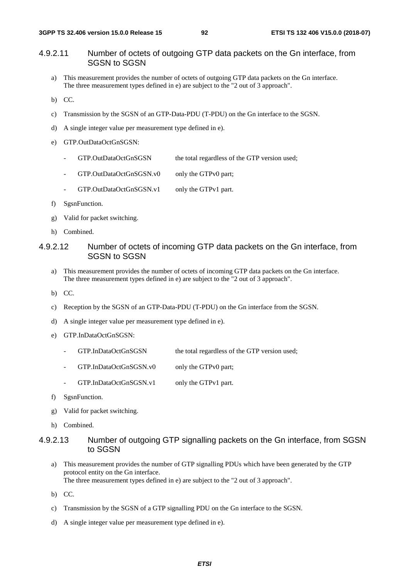## 4.9.2.11 Number of octets of outgoing GTP data packets on the Gn interface, from SGSN to SGSN

- a) This measurement provides the number of octets of outgoing GTP data packets on the Gn interface. The three measurement types defined in e) are subject to the "2 out of 3 approach".
- b) CC.
- c) Transmission by the SGSN of an GTP-Data-PDU (T-PDU) on the Gn interface to the SGSN.
- d) A single integer value per measurement type defined in e).
- e) GTP.OutDataOctGnSGSN:
	- GTP.OutDataOctGnSGSN the total regardless of the GTP version used;
	- GTP.OutDataOctGnSGSN.v0 only the GTPv0 part;
	- GTP.OutDataOctGnSGSN.v1 only the GTPv1 part.
- f) SgsnFunction.
- g) Valid for packet switching.
- h) Combined.

## 4.9.2.12 Number of octets of incoming GTP data packets on the Gn interface, from SGSN to SGSN

- a) This measurement provides the number of octets of incoming GTP data packets on the Gn interface. The three measurement types defined in e) are subject to the "2 out of 3 approach".
- b) CC.
- c) Reception by the SGSN of an GTP-Data-PDU (T-PDU) on the Gn interface from the SGSN.
- d) A single integer value per measurement type defined in e).
- e) GTP.InDataOctGnSGSN:
	- GTP.InDataOctGnSGSN the total regardless of the GTP version used;
	- GTP.InDataOctGnSGSN.v0 only the GTPv0 part;
	- GTP.InDataOctGnSGSN.v1 only the GTPv1 part.
- f) SgsnFunction.
- g) Valid for packet switching.
- h) Combined.

#### 4.9.2.13 Number of outgoing GTP signalling packets on the Gn interface, from SGSN to SGSN

- a) This measurement provides the number of GTP signalling PDUs which have been generated by the GTP protocol entity on the Gn interface. The three measurement types defined in e) are subject to the "2 out of 3 approach".
- b) CC.
- c) Transmission by the SGSN of a GTP signalling PDU on the Gn interface to the SGSN.
- d) A single integer value per measurement type defined in e).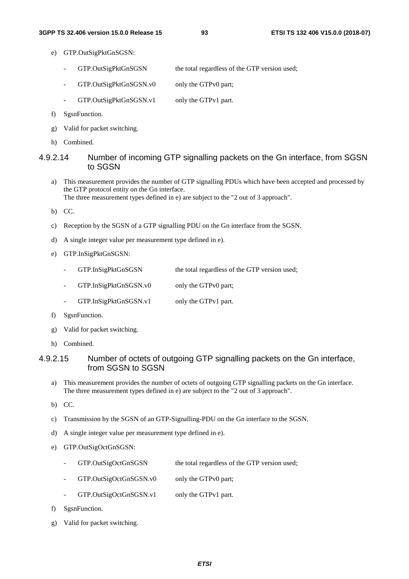- e) GTP.OutSigPktGnSGSN:
	- GTP.OutSigPktGnSGSN the total regardless of the GTP version used;
	- GTP.OutSigPktGnSGSN.v0 only the GTPv0 part;
	- GTP.OutSigPktGnSGSN.v1 only the GTPv1 part.
- f) SgsnFunction.
- g) Valid for packet switching.
- h) Combined.

### 4.9.2.14 Number of incoming GTP signalling packets on the Gn interface, from SGSN to SGSN

- a) This measurement provides the number of GTP signalling PDUs which have been accepted and processed by the GTP protocol entity on the Gn interface. The three measurement types defined in e) are subject to the "2 out of 3 approach".
- b) CC.
- c) Reception by the SGSN of a GTP signalling PDU on the Gn interface from the SGSN.
- d) A single integer value per measurement type defined in e).
- e) GTP.InSigPktGnSGSN:
	- GTP.InSigPktGnSGSN the total regardless of the GTP version used;
	- GTP.InSigPktGnSGSN.v0 only the GTPv0 part;
	- GTP.InSigPktGnSGSN.v1 only the GTPv1 part.
- f) SgsnFunction.
- g) Valid for packet switching.
- h) Combined.

### 4.9.2.15 Number of octets of outgoing GTP signalling packets on the Gn interface, from SGSN to SGSN

- a) This measurement provides the number of octets of outgoing GTP signalling packets on the Gn interface. The three measurement types defined in e) are subject to the "2 out of 3 approach".
- b) CC.
- c) Transmission by the SGSN of an GTP-Signalling-PDU on the Gn interface to the SGSN.
- d) A single integer value per measurement type defined in e).
- e) GTP.OutSigOctGnSGSN:
	- GTP.OutSigOctGnSGSN the total regardless of the GTP version used;
	- GTP.OutSigOctGnSGSN.v0 only the GTPv0 part;
	- GTP.OutSigOctGnSGSN.v1 only the GTPv1 part.
- f) SgsnFunction.
- g) Valid for packet switching.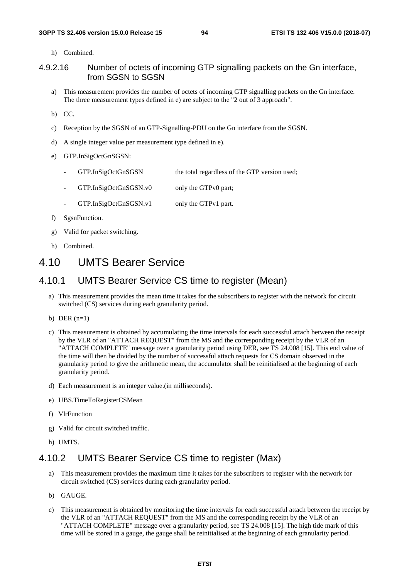h) Combined.

### 4.9.2.16 Number of octets of incoming GTP signalling packets on the Gn interface, from SGSN to SGSN

a) This measurement provides the number of octets of incoming GTP signalling packets on the Gn interface. The three measurement types defined in e) are subject to the "2 out of 3 approach".

b) CC.

- c) Reception by the SGSN of an GTP-Signalling-PDU on the Gn interface from the SGSN.
- d) A single integer value per measurement type defined in e).
- e) GTP.InSigOctGnSGSN:
	- GTP.InSigOctGnSGSN the total regardless of the GTP version used;
	- GTP.InSigOctGnSGSN.v0 only the GTPv0 part;
	- GTP.InSigOctGnSGSN.v1 only the GTPv1 part.
- f) SgsnFunction.
- g) Valid for packet switching.
- h) Combined.

# 4.10 UMTS Bearer Service

## 4.10.1 UMTS Bearer Service CS time to register (Mean)

- a) This measurement provides the mean time it takes for the subscribers to register with the network for circuit switched (CS) services during each granularity period.
- b) DER  $(n=1)$
- c) This measurement is obtained by accumulating the time intervals for each successful attach between the receipt by the VLR of an "ATTACH REQUEST" from the MS and the corresponding receipt by the VLR of an "ATTACH COMPLETE" message over a granularity period using DER, see TS 24.008 [15]. This end value of the time will then be divided by the number of successful attach requests for CS domain observed in the granularity period to give the arithmetic mean, the accumulator shall be reinitialised at the beginning of each granularity period.
- d) Each measurement is an integer value.(in milliseconds).
- e) UBS.TimeToRegisterCSMean
- f) VlrFunction
- g) Valid for circuit switched traffic.
- h) UMTS.

# 4.10.2 UMTS Bearer Service CS time to register (Max)

- a) This measurement provides the maximum time it takes for the subscribers to register with the network for circuit switched (CS) services during each granularity period.
- b) GAUGE.
- c) This measurement is obtained by monitoring the time intervals for each successful attach between the receipt by the VLR of an "ATTACH REQUEST" from the MS and the corresponding receipt by the VLR of an "ATTACH COMPLETE" message over a granularity period, see TS 24.008 [15]. The high tide mark of this time will be stored in a gauge, the gauge shall be reinitialised at the beginning of each granularity period.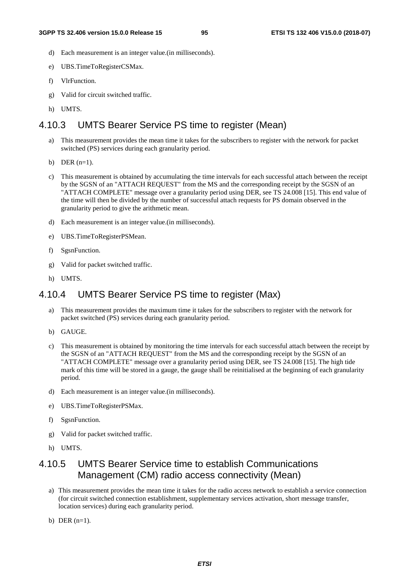- d) Each measurement is an integer value.(in milliseconds).
- e) UBS.TimeToRegisterCSMax.
- f) VlrFunction.
- g) Valid for circuit switched traffic.
- h) UMTS.

# 4.10.3 UMTS Bearer Service PS time to register (Mean)

- a) This measurement provides the mean time it takes for the subscribers to register with the network for packet switched (PS) services during each granularity period.
- b) DER  $(n=1)$ .
- c) This measurement is obtained by accumulating the time intervals for each successful attach between the receipt by the SGSN of an "ATTACH REQUEST" from the MS and the corresponding receipt by the SGSN of an "ATTACH COMPLETE" message over a granularity period using DER, see TS 24.008 [15]. This end value of the time will then be divided by the number of successful attach requests for PS domain observed in the granularity period to give the arithmetic mean.
- d) Each measurement is an integer value.(in milliseconds).
- e) UBS.TimeToRegisterPSMean.
- f) SgsnFunction.
- g) Valid for packet switched traffic.
- h) UMTS.

# 4.10.4 UMTS Bearer Service PS time to register (Max)

- a) This measurement provides the maximum time it takes for the subscribers to register with the network for packet switched (PS) services during each granularity period.
- b) GAUGE.
- c) This measurement is obtained by monitoring the time intervals for each successful attach between the receipt by the SGSN of an "ATTACH REQUEST" from the MS and the corresponding receipt by the SGSN of an "ATTACH COMPLETE" message over a granularity period using DER, see TS 24.008 [15]. The high tide mark of this time will be stored in a gauge, the gauge shall be reinitialised at the beginning of each granularity period.
- d) Each measurement is an integer value.(in milliseconds).
- e) UBS.TimeToRegisterPSMax.
- f) SgsnFunction.
- g) Valid for packet switched traffic.
- h) UMTS.

# 4.10.5 UMTS Bearer Service time to establish Communications Management (CM) radio access connectivity (Mean)

- a) This measurement provides the mean time it takes for the radio access network to establish a service connection (for circuit switched connection establishment, supplementary services activation, short message transfer, location services) during each granularity period.
- b) DER  $(n=1)$ .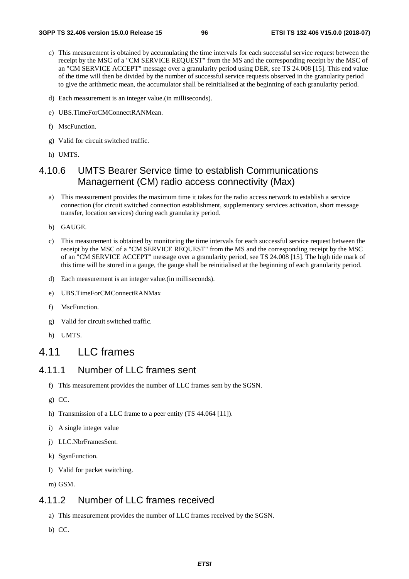- c) This measurement is obtained by accumulating the time intervals for each successful service request between the receipt by the MSC of a "CM SERVICE REQUEST" from the MS and the corresponding receipt by the MSC of an "CM SERVICE ACCEPT" message over a granularity period using DER, see TS 24.008 [15]. This end value of the time will then be divided by the number of successful service requests observed in the granularity period to give the arithmetic mean, the accumulator shall be reinitialised at the beginning of each granularity period.
- d) Each measurement is an integer value.(in milliseconds).
- e) UBS.TimeForCMConnectRANMean.
- f) MscFunction.
- g) Valid for circuit switched traffic.
- h) UMTS.

# 4.10.6 UMTS Bearer Service time to establish Communications Management (CM) radio access connectivity (Max)

- a) This measurement provides the maximum time it takes for the radio access network to establish a service connection (for circuit switched connection establishment, supplementary services activation, short message transfer, location services) during each granularity period.
- b) GAUGE.
- c) This measurement is obtained by monitoring the time intervals for each successful service request between the receipt by the MSC of a "CM SERVICE REQUEST" from the MS and the corresponding receipt by the MSC of an "CM SERVICE ACCEPT" message over a granularity period, see TS 24.008 [15]. The high tide mark of this time will be stored in a gauge, the gauge shall be reinitialised at the beginning of each granularity period.
- d) Each measurement is an integer value.(in milliseconds).
- e) UBS.TimeForCMConnectRANMax
- f) MscFunction.
- g) Valid for circuit switched traffic.
- h) UMTS.

# 4.11 LLC frames

# 4.11.1 Number of LLC frames sent

- f) This measurement provides the number of LLC frames sent by the SGSN.
- g) CC.
- h) Transmission of a LLC frame to a peer entity (TS 44.064 [11]).
- i) A single integer value
- j) LLC.NbrFramesSent.
- k) SgsnFunction.
- l) Valid for packet switching.
- m) GSM.

# 4.11.2 Number of LLC frames received

- a) This measurement provides the number of LLC frames received by the SGSN.
- b) CC.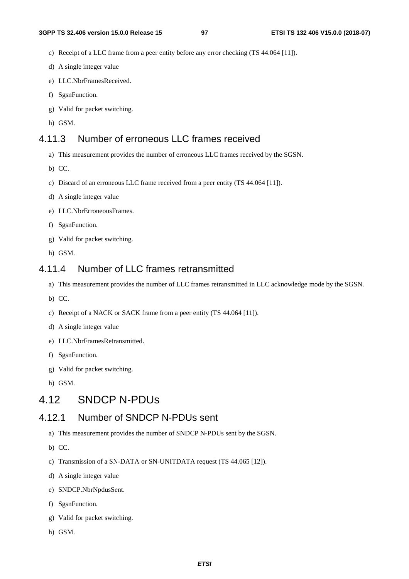- c) Receipt of a LLC frame from a peer entity before any error checking (TS 44.064 [11]).
- d) A single integer value
- e) LLC.NbrFramesReceived.
- f) SgsnFunction.
- g) Valid for packet switching.
- h) GSM.

# 4.11.3 Number of erroneous LLC frames received

- a) This measurement provides the number of erroneous LLC frames received by the SGSN.
- b) CC.
- c) Discard of an erroneous LLC frame received from a peer entity (TS 44.064 [11]).
- d) A single integer value
- e) LLC.NbrErroneousFrames.
- f) SgsnFunction.
- g) Valid for packet switching.
- h) GSM.

# 4.11.4 Number of LLC frames retransmitted

- a) This measurement provides the number of LLC frames retransmitted in LLC acknowledge mode by the SGSN.
- b) CC.
- c) Receipt of a NACK or SACK frame from a peer entity (TS 44.064 [11]).
- d) A single integer value
- e) LLC.NbrFramesRetransmitted.
- f) SgsnFunction.
- g) Valid for packet switching.
- h) GSM.

# 4.12 SNDCP N-PDUs

# 4.12.1 Number of SNDCP N-PDUs sent

- a) This measurement provides the number of SNDCP N-PDUs sent by the SGSN.
- b) CC.
- c) Transmission of a SN-DATA or SN-UNITDATA request (TS 44.065 [12]).
- d) A single integer value
- e) SNDCP.NbrNpdusSent.
- f) SgsnFunction.
- g) Valid for packet switching.
- h) GSM.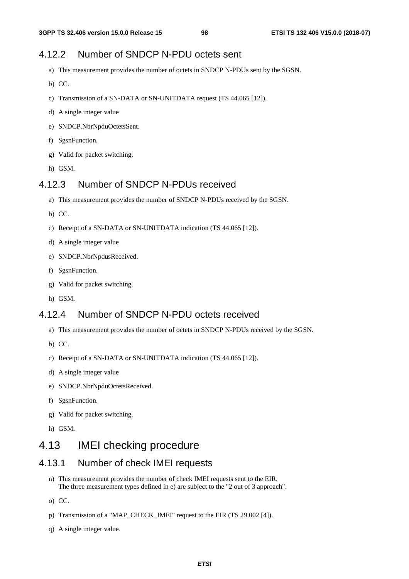# 4.12.2 Number of SNDCP N-PDU octets sent

- a) This measurement provides the number of octets in SNDCP N-PDUs sent by the SGSN.
- b) CC.
- c) Transmission of a SN-DATA or SN-UNITDATA request (TS 44.065 [12]).
- d) A single integer value
- e) SNDCP.NbrNpduOctetsSent.
- f) SgsnFunction.
- g) Valid for packet switching.
- h) GSM.

# 4.12.3 Number of SNDCP N-PDUs received

- a) This measurement provides the number of SNDCP N-PDUs received by the SGSN.
- b) CC.
- c) Receipt of a SN-DATA or SN-UNITDATA indication (TS 44.065 [12]).
- d) A single integer value
- e) SNDCP.NbrNpdusReceived.
- f) SgsnFunction.
- g) Valid for packet switching.
- h) GSM.

# 4.12.4 Number of SNDCP N-PDU octets received

- a) This measurement provides the number of octets in SNDCP N-PDUs received by the SGSN.
- b) CC.
- c) Receipt of a SN-DATA or SN-UNITDATA indication (TS 44.065 [12]).
- d) A single integer value
- e) SNDCP.NbrNpduOctetsReceived.
- f) SgsnFunction.
- g) Valid for packet switching.
- h) GSM.

# 4.13 IMEI checking procedure

# 4.13.1 Number of check IMEI requests

- n) This measurement provides the number of check IMEI requests sent to the EIR. The three measurement types defined in e) are subject to the "2 out of 3 approach".
- o) CC.
- p) Transmission of a "MAP\_CHECK\_IMEI" request to the EIR (TS 29.002 [4]).
- q) A single integer value.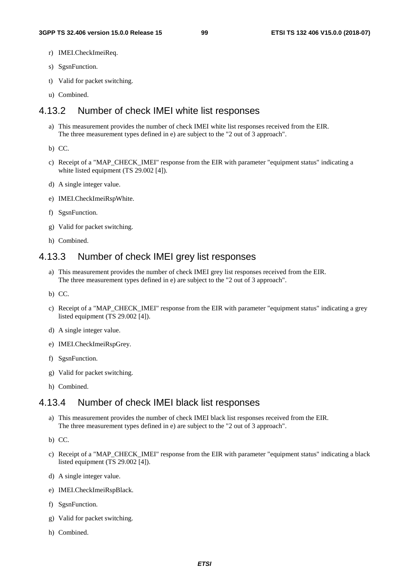- r) IMEI.CheckImeiReq.
- s) SgsnFunction.
- t) Valid for packet switching.
- u) Combined.

## 4.13.2 Number of check IMEI white list responses

- a) This measurement provides the number of check IMEI white list responses received from the EIR. The three measurement types defined in e) are subject to the "2 out of 3 approach".
- b) CC.
- c) Receipt of a "MAP\_CHECK\_IMEI" response from the EIR with parameter "equipment status" indicating a white listed equipment (TS 29.002 [4]).
- d) A single integer value.
- e) IMEI.CheckImeiRspWhite.
- f) SgsnFunction.
- g) Valid for packet switching.
- h) Combined.

# 4.13.3 Number of check IMEI grey list responses

- a) This measurement provides the number of check IMEI grey list responses received from the EIR. The three measurement types defined in e) are subject to the "2 out of 3 approach".
- b) CC.
- c) Receipt of a "MAP\_CHECK\_IMEI" response from the EIR with parameter "equipment status" indicating a grey listed equipment (TS 29.002 [4]).
- d) A single integer value.
- e) IMEI.CheckImeiRspGrey.
- f) SgsnFunction.
- g) Valid for packet switching.
- h) Combined.

# 4.13.4 Number of check IMEI black list responses

- a) This measurement provides the number of check IMEI black list responses received from the EIR. The three measurement types defined in e) are subject to the "2 out of 3 approach".
- b) CC.
- c) Receipt of a "MAP\_CHECK\_IMEI" response from the EIR with parameter "equipment status" indicating a black listed equipment (TS 29.002 [4]).
- d) A single integer value.
- e) IMEI.CheckImeiRspBlack.
- f) SgsnFunction.
- g) Valid for packet switching.
- h) Combined.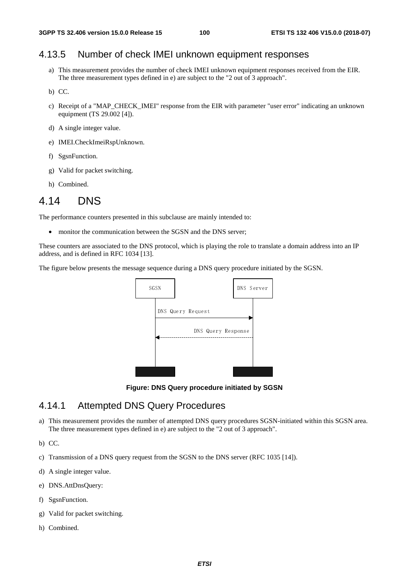# 4.13.5 Number of check IMEI unknown equipment responses

- a) This measurement provides the number of check IMEI unknown equipment responses received from the EIR. The three measurement types defined in e) are subject to the "2 out of 3 approach".
- b) CC.
- c) Receipt of a "MAP\_CHECK\_IMEI" response from the EIR with parameter "user error" indicating an unknown equipment (TS 29.002 [4]).
- d) A single integer value.
- e) IMEI.CheckImeiRspUnknown.
- f) SgsnFunction.
- g) Valid for packet switching.
- h) Combined.

# 4.14 DNS

The performance counters presented in this subclause are mainly intended to:

• monitor the communication between the SGSN and the DNS server:

These counters are associated to the DNS protocol, which is playing the role to translate a domain address into an IP address, and is defined in RFC 1034 [13].

The figure below presents the message sequence during a DNS query procedure initiated by the SGSN.



**Figure: DNS Query procedure initiated by SGSN** 

# 4.14.1 Attempted DNS Query Procedures

a) This measurement provides the number of attempted DNS query procedures SGSN-initiated within this SGSN area. The three measurement types defined in e) are subject to the "2 out of 3 approach".

b) CC.

- c) Transmission of a DNS query request from the SGSN to the DNS server (RFC 1035 [14]).
- d) A single integer value.
- e) DNS.AttDnsQuery:
- f) SgsnFunction.
- g) Valid for packet switching.
- h) Combined.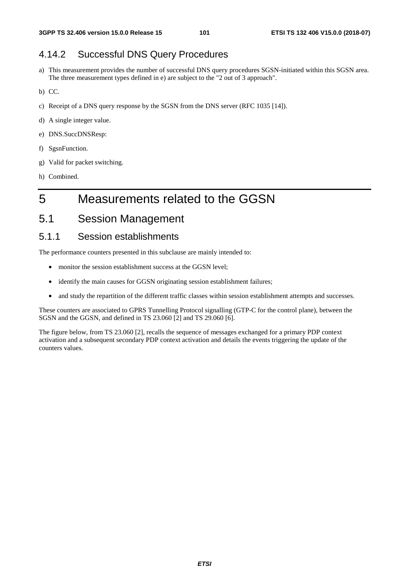# 4.14.2 Successful DNS Query Procedures

- a) This measurement provides the number of successful DNS query procedures SGSN-initiated within this SGSN area. The three measurement types defined in e) are subject to the "2 out of 3 approach".
- b) CC.
- c) Receipt of a DNS query response by the SGSN from the DNS server (RFC 1035 [14]).
- d) A single integer value.
- e) DNS.SuccDNSResp:
- f) SgsnFunction.
- g) Valid for packet switching.
- h) Combined.

# 5 Measurements related to the GGSN

5.1 Session Management

## 5.1.1 Session establishments

The performance counters presented in this subclause are mainly intended to:

- monitor the session establishment success at the GGSN level;
- identify the main causes for GGSN originating session establishment failures;
- and study the repartition of the different traffic classes within session establishment attempts and successes.

These counters are associated to GPRS Tunnelling Protocol signalling (GTP-C for the control plane), between the SGSN and the GGSN, and defined in TS 23.060 [2] and TS 29.060 [6].

The figure below, from TS 23.060 [2], recalls the sequence of messages exchanged for a primary PDP context activation and a subsequent secondary PDP context activation and details the events triggering the update of the counters values.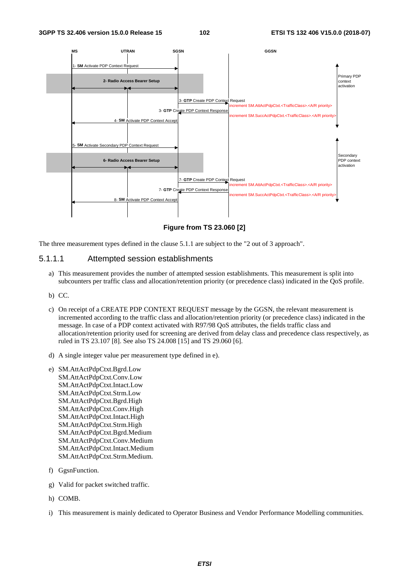

**Figure from TS 23.060 [2]** 

The three measurement types defined in the clause 5.1.1 are subject to the "2 out of 3 approach".

#### 5.1.1.1 Attempted session establishments

- a) This measurement provides the number of attempted session establishments. This measurement is split into subcounters per traffic class and allocation/retention priority (or precedence class) indicated in the QoS profile.
- b) CC.
- c) On receipt of a CREATE PDP CONTEXT REQUEST message by the GGSN, the relevant measurement is incremented according to the traffic class and allocation/retention priority (or precedence class) indicated in the message. In case of a PDP context activated with R97/98 QoS attributes, the fields traffic class and allocation/retention priority used for screening are derived from delay class and precedence class respectively, as ruled in TS 23.107 [8]. See also TS 24.008 [15] and TS 29.060 [6].
- d) A single integer value per measurement type defined in e).
- e) SM.AttActPdpCtxt.Bgrd.Low SM.AttActPdpCtxt.Conv.Low SM.AttActPdpCtxt.Intact.Low SM.AttActPdpCtxt.Strm.Low SM.AttActPdpCtxt.Bgrd.High SM.AttActPdpCtxt.Conv.High SM.AttActPdpCtxt.Intact.High SM.AttActPdpCtxt.Strm.High SM.AttActPdpCtxt.Bgrd.Medium SM.AttActPdpCtxt.Conv.Medium SM.AttActPdpCtxt.Intact.Medium SM.AttActPdpCtxt.Strm.Medium.
- f) GgsnFunction.
- g) Valid for packet switched traffic.
- h) COMB.
- i) This measurement is mainly dedicated to Operator Business and Vendor Performance Modelling communities.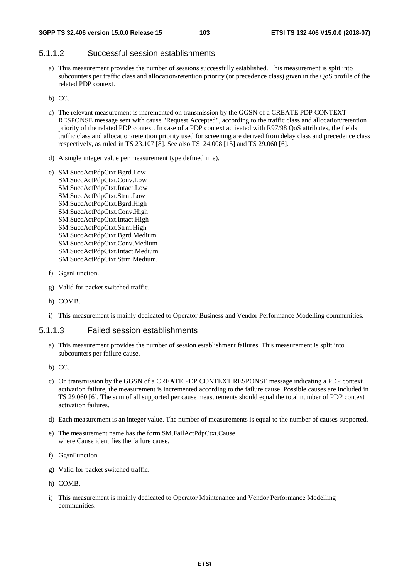## 5.1.1.2 Successful session establishments

- a) This measurement provides the number of sessions successfully established. This measurement is split into subcounters per traffic class and allocation/retention priority (or precedence class) given in the QoS profile of the related PDP context.
- b) CC.
- c) The relevant measurement is incremented on transmission by the GGSN of a CREATE PDP CONTEXT RESPONSE message sent with cause "Request Accepted", according to the traffic class and allocation/retention priority of the related PDP context. In case of a PDP context activated with R97/98 QoS attributes, the fields traffic class and allocation/retention priority used for screening are derived from delay class and precedence class respectively, as ruled in TS 23.107 [8]. See also TS 24.008 [15] and TS 29.060 [6].
- d) A single integer value per measurement type defined in e).
- e) SM.SuccActPdpCtxt.Bgrd.Low SM.SuccActPdpCtxt.Conv.Low SM.SuccActPdpCtxt.Intact.Low SM.SuccActPdpCtxt.Strm.Low SM.SuccActPdpCtxt.Bgrd.High SM.SuccActPdpCtxt.Conv.High SM.SuccActPdpCtxt.Intact.High SM.SuccActPdpCtxt.Strm.High SM.SuccActPdpCtxt.Bgrd.Medium SM.SuccActPdpCtxt.Conv.Medium SM.SuccActPdpCtxt.Intact.Medium SM.SuccActPdpCtxt.Strm.Medium.
- f) GgsnFunction.
- g) Valid for packet switched traffic.
- h) COMB.
- i) This measurement is mainly dedicated to Operator Business and Vendor Performance Modelling communities.

#### 5.1.1.3 Failed session establishments

- a) This measurement provides the number of session establishment failures. This measurement is split into subcounters per failure cause.
- b) CC.
- c) On transmission by the GGSN of a CREATE PDP CONTEXT RESPONSE message indicating a PDP context activation failure, the measurement is incremented according to the failure cause. Possible causes are included in TS 29.060 [6]. The sum of all supported per cause measurements should equal the total number of PDP context activation failures.
- d) Each measurement is an integer value. The number of measurements is equal to the number of causes supported.
- e) The measurement name has the form SM.FailActPdpCtxt.Cause where Cause identifies the failure cause.
- f) GgsnFunction.
- g) Valid for packet switched traffic.
- h) COMB.
- i) This measurement is mainly dedicated to Operator Maintenance and Vendor Performance Modelling communities.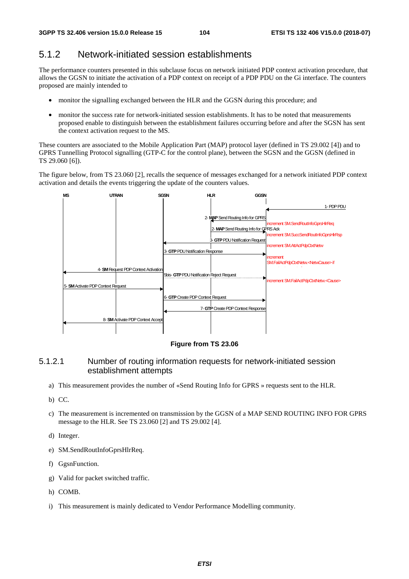# 5.1.2 Network-initiated session establishments

The performance counters presented in this subclause focus on network initiated PDP context activation procedure, that allows the GGSN to initiate the activation of a PDP context on receipt of a PDP PDU on the Gi interface. The counters proposed are mainly intended to

- monitor the signalling exchanged between the HLR and the GGSN during this procedure; and
- monitor the success rate for network-initiated session establishments. It has to be noted that measurements proposed enable to distinguish between the establishment failures occurring before and after the SGSN has sent the context activation request to the MS.

These counters are associated to the Mobile Application Part (MAP) protocol layer (defined in TS 29.002 [4]) and to GPRS Tunnelling Protocol signalling (GTP-C for the control plane), between the SGSN and the GGSN (defined in TS 29.060 [6]).

The figure below, from TS 23.060 [2], recalls the sequence of messages exchanged for a network initiated PDP context activation and details the events triggering the update of the counters values.



**Figure from TS 23.06** 

### 5.1.2.1 Number of routing information requests for network-initiated session establishment attempts

- a) This measurement provides the number of «Send Routing Info for GPRS » requests sent to the HLR.
- b) CC.
- c) The measurement is incremented on transmission by the GGSN of a MAP SEND ROUTING INFO FOR GPRS message to the HLR. See TS 23.060 [2] and TS 29.002 [4].
- d) Integer.
- e) SM.SendRoutInfoGprsHlrReq.
- f) GgsnFunction.
- g) Valid for packet switched traffic.
- h) COMB.
- i) This measurement is mainly dedicated to Vendor Performance Modelling community.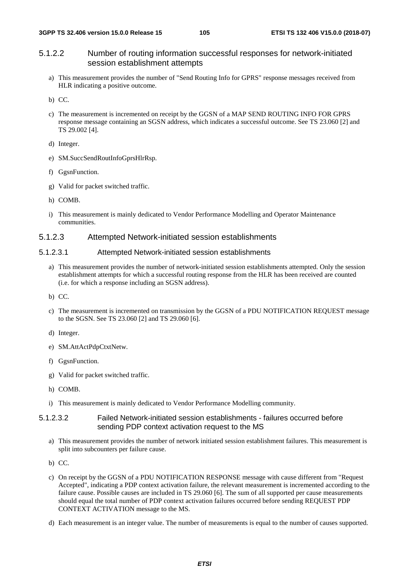## 5.1.2.2 Number of routing information successful responses for network-initiated session establishment attempts

- a) This measurement provides the number of "Send Routing Info for GPRS" response messages received from HLR indicating a positive outcome.
- b) CC.
- c) The measurement is incremented on receipt by the GGSN of a MAP SEND ROUTING INFO FOR GPRS response message containing an SGSN address, which indicates a successful outcome. See TS 23.060 [2] and TS 29.002 [4].
- d) Integer.
- e) SM.SuccSendRoutInfoGprsHlrRsp.
- f) GgsnFunction.
- g) Valid for packet switched traffic.
- h) COMB.
- i) This measurement is mainly dedicated to Vendor Performance Modelling and Operator Maintenance communities.

#### 5.1.2.3 Attempted Network-initiated session establishments

#### 5.1.2.3.1 Attempted Network-initiated session establishments

- a) This measurement provides the number of network-initiated session establishments attempted. Only the session establishment attempts for which a successful routing response from the HLR has been received are counted (i.e. for which a response including an SGSN address).
- b) CC.
- c) The measurement is incremented on transmission by the GGSN of a PDU NOTIFICATION REQUEST message to the SGSN. See TS 23.060 [2] and TS 29.060 [6].
- d) Integer.
- e) SM.AttActPdpCtxtNetw.
- f) GgsnFunction.
- g) Valid for packet switched traffic.
- h) COMB.
- i) This measurement is mainly dedicated to Vendor Performance Modelling community.

#### 5.1.2.3.2 Failed Network-initiated session establishments - failures occurred before sending PDP context activation request to the MS

- a) This measurement provides the number of network initiated session establishment failures. This measurement is split into subcounters per failure cause.
- b) CC.
- c) On receipt by the GGSN of a PDU NOTIFICATION RESPONSE message with cause different from "Request Accepted", indicating a PDP context activation failure, the relevant measurement is incremented according to the failure cause. Possible causes are included in TS 29.060 [6]. The sum of all supported per cause measurements should equal the total number of PDP context activation failures occurred before sending REQUEST PDP CONTEXT ACTIVATION message to the MS.
- d) Each measurement is an integer value. The number of measurements is equal to the number of causes supported.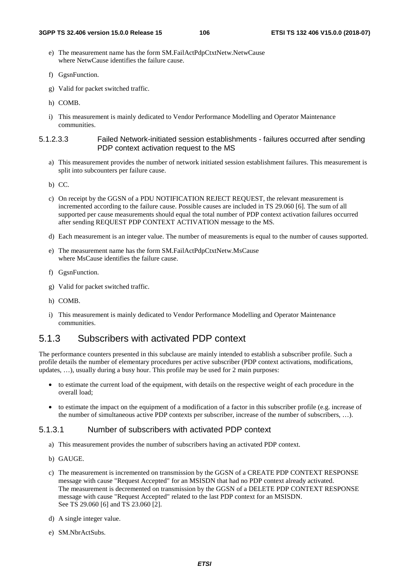- e) The measurement name has the form SM.FailActPdpCtxtNetw.NetwCause where NetwCause identifies the failure cause.
- f) GgsnFunction.
- g) Valid for packet switched traffic.
- h) COMB.
- i) This measurement is mainly dedicated to Vendor Performance Modelling and Operator Maintenance communities.

#### 5.1.2.3.3 Failed Network-initiated session establishments - failures occurred after sending PDP context activation request to the MS

- a) This measurement provides the number of network initiated session establishment failures. This measurement is split into subcounters per failure cause.
- b) CC.
- c) On receipt by the GGSN of a PDU NOTIFICATION REJECT REQUEST, the relevant measurement is incremented according to the failure cause. Possible causes are included in TS 29.060 [6]. The sum of all supported per cause measurements should equal the total number of PDP context activation failures occurred after sending REQUEST PDP CONTEXT ACTIVATION message to the MS.
- d) Each measurement is an integer value. The number of measurements is equal to the number of causes supported.
- e) The measurement name has the form SM.FailActPdpCtxtNetw.MsCause where MsCause identifies the failure cause.
- f) GgsnFunction.
- g) Valid for packet switched traffic.
- h) COMB.
- i) This measurement is mainly dedicated to Vendor Performance Modelling and Operator Maintenance communities.

# 5.1.3 Subscribers with activated PDP context

The performance counters presented in this subclause are mainly intended to establish a subscriber profile. Such a profile details the number of elementary procedures per active subscriber (PDP context activations, modifications, updates, …), usually during a busy hour. This profile may be used for 2 main purposes:

- to estimate the current load of the equipment, with details on the respective weight of each procedure in the overall load;
- to estimate the impact on the equipment of a modification of a factor in this subscriber profile (e.g. increase of the number of simultaneous active PDP contexts per subscriber, increase of the number of subscribers, …).

#### 5.1.3.1 Number of subscribers with activated PDP context

- a) This measurement provides the number of subscribers having an activated PDP context.
- b) GAUGE.
- c) The measurement is incremented on transmission by the GGSN of a CREATE PDP CONTEXT RESPONSE message with cause "Request Accepted" for an MSISDN that had no PDP context already activated. The measurement is decremented on transmission by the GGSN of a DELETE PDP CONTEXT RESPONSE message with cause "Request Accepted" related to the last PDP context for an MSISDN. See TS 29.060 [6] and TS 23.060 [2].
- d) A single integer value.
- e) SM.NbrActSubs.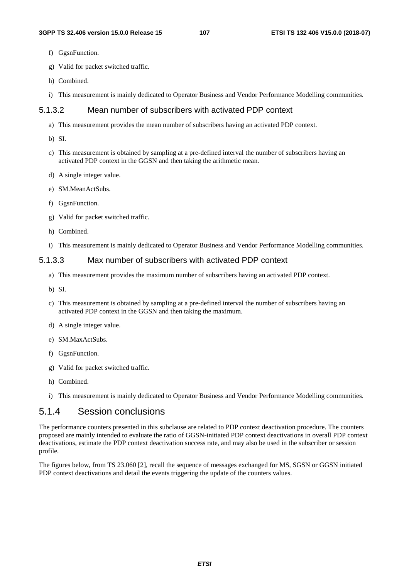- f) GgsnFunction.
- g) Valid for packet switched traffic.
- h) Combined.
- i) This measurement is mainly dedicated to Operator Business and Vendor Performance Modelling communities.

### 5.1.3.2 Mean number of subscribers with activated PDP context

- a) This measurement provides the mean number of subscribers having an activated PDP context.
- b) SI.
- c) This measurement is obtained by sampling at a pre-defined interval the number of subscribers having an activated PDP context in the GGSN and then taking the arithmetic mean.
- d) A single integer value.
- e) SM.MeanActSubs.
- f) GgsnFunction.
- g) Valid for packet switched traffic.
- h) Combined.
- i) This measurement is mainly dedicated to Operator Business and Vendor Performance Modelling communities.

#### 5.1.3.3 Max number of subscribers with activated PDP context

- a) This measurement provides the maximum number of subscribers having an activated PDP context.
- b) SI.
- c) This measurement is obtained by sampling at a pre-defined interval the number of subscribers having an activated PDP context in the GGSN and then taking the maximum.
- d) A single integer value.
- e) SM.MaxActSubs.
- f) GgsnFunction.
- g) Valid for packet switched traffic.
- h) Combined.
- i) This measurement is mainly dedicated to Operator Business and Vendor Performance Modelling communities.

## 5.1.4 Session conclusions

The performance counters presented in this subclause are related to PDP context deactivation procedure. The counters proposed are mainly intended to evaluate the ratio of GGSN-initiated PDP context deactivations in overall PDP context deactivations, estimate the PDP context deactivation success rate, and may also be used in the subscriber or session profile.

The figures below, from TS 23.060 [2], recall the sequence of messages exchanged for MS, SGSN or GGSN initiated PDP context deactivations and detail the events triggering the update of the counters values.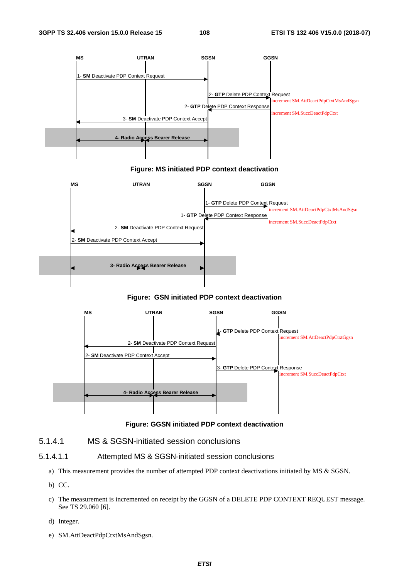

#### **Figure: MS initiated PDP context deactivation**



#### **Figure: GSN initiated PDP context deactivation**



#### **Figure: GGSN initiated PDP context deactivation**

#### 5.1.4.1 MS & SGSN-initiated session conclusions

- 5.1.4.1.1 Attempted MS & SGSN-initiated session conclusions
	- a) This measurement provides the number of attempted PDP context deactivations initiated by MS & SGSN.
	- b) CC.
	- c) The measurement is incremented on receipt by the GGSN of a DELETE PDP CONTEXT REQUEST message. See TS 29.060 [6].
	- d) Integer.
	- e) SM.AttDeactPdpCtxtMsAndSgsn.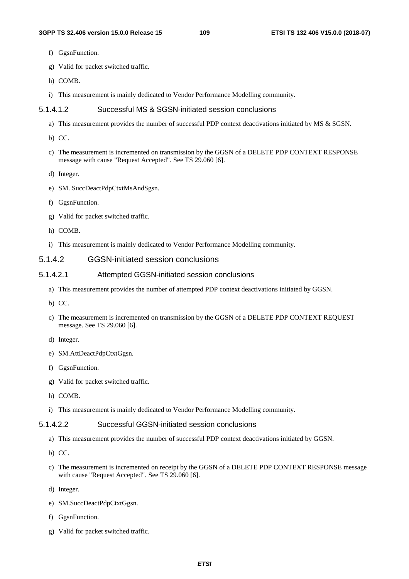- f) GgsnFunction.
- g) Valid for packet switched traffic.
- h) COMB.
- i) This measurement is mainly dedicated to Vendor Performance Modelling community.

#### 5.1.4.1.2 Successful MS & SGSN-initiated session conclusions

- a) This measurement provides the number of successful PDP context deactivations initiated by MS & SGSN.
- b) CC.
- c) The measurement is incremented on transmission by the GGSN of a DELETE PDP CONTEXT RESPONSE message with cause "Request Accepted". See TS 29.060 [6].
- d) Integer.
- e) SM. SuccDeactPdpCtxtMsAndSgsn.
- f) GgsnFunction.
- g) Valid for packet switched traffic.
- h) COMB.
- i) This measurement is mainly dedicated to Vendor Performance Modelling community.

#### 5.1.4.2 GGSN-initiated session conclusions

#### 5.1.4.2.1 Attempted GGSN-initiated session conclusions

- a) This measurement provides the number of attempted PDP context deactivations initiated by GGSN.
- b) CC.
- c) The measurement is incremented on transmission by the GGSN of a DELETE PDP CONTEXT REQUEST message. See TS 29.060 [6].
- d) Integer.
- e) SM.AttDeactPdpCtxtGgsn.
- f) GgsnFunction.
- g) Valid for packet switched traffic.
- h) COMB.
- i) This measurement is mainly dedicated to Vendor Performance Modelling community.

#### 5.1.4.2.2 Successful GGSN-initiated session conclusions

- a) This measurement provides the number of successful PDP context deactivations initiated by GGSN.
- b) CC.
- c) The measurement is incremented on receipt by the GGSN of a DELETE PDP CONTEXT RESPONSE message with cause "Request Accepted". See TS 29.060 [6].
- d) Integer.
- e) SM.SuccDeactPdpCtxtGgsn.
- f) GgsnFunction.
- g) Valid for packet switched traffic.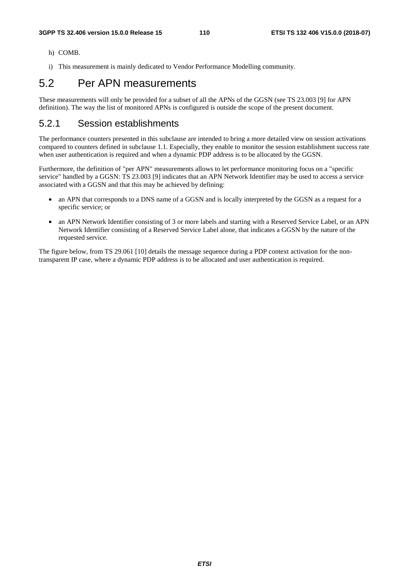- h) COMB.
- i) This measurement is mainly dedicated to Vendor Performance Modelling community.

## 5.2 Per APN measurements

These measurements will only be provided for a subset of all the APNs of the GGSN (see TS 23.003 [9] for APN definition). The way the list of monitored APNs is configured is outside the scope of the present document.

## 5.2.1 Session establishments

The performance counters presented in this subclause are intended to bring a more detailed view on session activations compared to counters defined in subclause 1.1. Especially, they enable to monitor the session establishment success rate when user authentication is required and when a dynamic PDP address is to be allocated by the GGSN.

Furthermore, the definition of "per APN" measurements allows to let performance monitoring focus on a "specific service" handled by a GGSN: TS 23.003 [9] indicates that an APN Network Identifier may be used to access a service associated with a GGSN and that this may be achieved by defining:

- an APN that corresponds to a DNS name of a GGSN and is locally interpreted by the GGSN as a request for a specific service; or
- an APN Network Identifier consisting of 3 or more labels and starting with a Reserved Service Label, or an APN Network Identifier consisting of a Reserved Service Label alone, that indicates a GGSN by the nature of the requested service.

The figure below, from TS 29.061 [10] details the message sequence during a PDP context activation for the nontransparent IP case, where a dynamic PDP address is to be allocated and user authentication is required.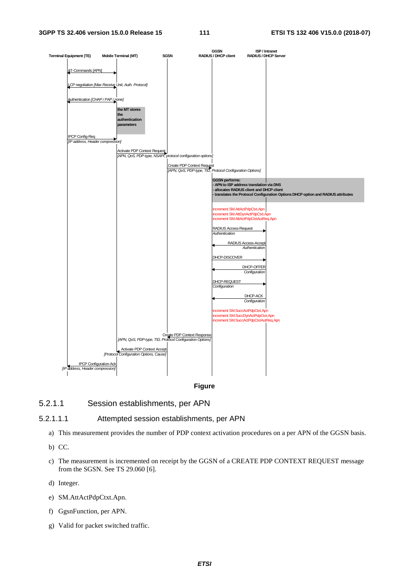

**Figure** 

#### 5.2.1.1 Session establishments, per APN

#### 5.2.1.1.1 Attempted session establishments, per APN

- a) This measurement provides the number of PDP context activation procedures on a per APN of the GGSN basis.
- b) CC.
- c) The measurement is incremented on receipt by the GGSN of a CREATE PDP CONTEXT REQUEST message from the SGSN. See TS 29.060 [6].
- d) Integer.
- e) SM.AttActPdpCtxt.Apn.
- f) GgsnFunction, per APN.
- g) Valid for packet switched traffic.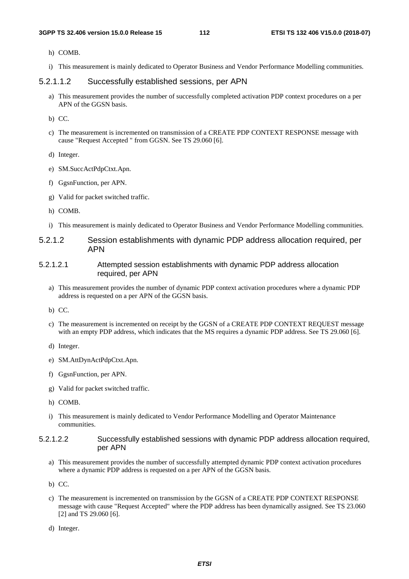- h) COMB.
- i) This measurement is mainly dedicated to Operator Business and Vendor Performance Modelling communities.

#### 5.2.1.1.2 Successfully established sessions, per APN

a) This measurement provides the number of successfully completed activation PDP context procedures on a per APN of the GGSN basis.

b) CC.

c) The measurement is incremented on transmission of a CREATE PDP CONTEXT RESPONSE message with cause "Request Accepted " from GGSN. See TS 29.060 [6].

d) Integer.

- e) SM.SuccActPdpCtxt.Apn.
- f) GgsnFunction, per APN.
- g) Valid for packet switched traffic.
- h) COMB.
- i) This measurement is mainly dedicated to Operator Business and Vendor Performance Modelling communities.
- 5.2.1.2 Session establishments with dynamic PDP address allocation required, per APN
- 5.2.1.2.1 Attempted session establishments with dynamic PDP address allocation required, per APN
	- a) This measurement provides the number of dynamic PDP context activation procedures where a dynamic PDP address is requested on a per APN of the GGSN basis.

- c) The measurement is incremented on receipt by the GGSN of a CREATE PDP CONTEXT REQUEST message with an empty PDP address, which indicates that the MS requires a dynamic PDP address. See TS 29.060 [6].
- d) Integer.
- e) SM.AttDynActPdpCtxt.Apn.
- f) GgsnFunction, per APN.
- g) Valid for packet switched traffic.
- h) COMB.
- i) This measurement is mainly dedicated to Vendor Performance Modelling and Operator Maintenance communities.
- 5.2.1.2.2 Successfully established sessions with dynamic PDP address allocation required, per APN
	- a) This measurement provides the number of successfully attempted dynamic PDP context activation procedures where a dynamic PDP address is requested on a per APN of the GGSN basis.
	- b) CC.
	- c) The measurement is incremented on transmission by the GGSN of a CREATE PDP CONTEXT RESPONSE message with cause "Request Accepted" where the PDP address has been dynamically assigned. See TS 23.060 [2] and TS 29.060 [6].
	- d) Integer.

b) CC.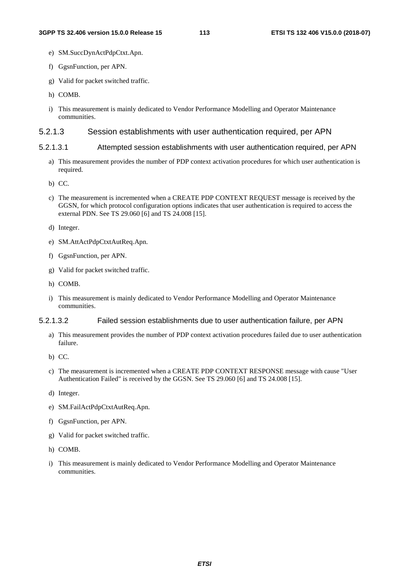- e) SM.SuccDynActPdpCtxt.Apn.
- f) GgsnFunction, per APN.
- g) Valid for packet switched traffic.
- h) COMB.
- i) This measurement is mainly dedicated to Vendor Performance Modelling and Operator Maintenance communities.

#### 5.2.1.3 Session establishments with user authentication required, per APN

#### 5.2.1.3.1 Attempted session establishments with user authentication required, per APN

- a) This measurement provides the number of PDP context activation procedures for which user authentication is required.
- b) CC.
- c) The measurement is incremented when a CREATE PDP CONTEXT REQUEST message is received by the GGSN, for which protocol configuration options indicates that user authentication is required to access the external PDN. See TS 29.060 [6] and TS 24.008 [15].
- d) Integer.
- e) SM.AttActPdpCtxtAutReq.Apn.
- f) GgsnFunction, per APN.
- g) Valid for packet switched traffic.
- h) COMB.
- i) This measurement is mainly dedicated to Vendor Performance Modelling and Operator Maintenance communities.

#### 5.2.1.3.2 Failed session establishments due to user authentication failure, per APN

- a) This measurement provides the number of PDP context activation procedures failed due to user authentication failure.
- b) CC.
- c) The measurement is incremented when a CREATE PDP CONTEXT RESPONSE message with cause "User Authentication Failed" is received by the GGSN. See TS 29.060 [6] and TS 24.008 [15].
- d) Integer.
- e) SM.FailActPdpCtxtAutReq.Apn.
- f) GgsnFunction, per APN.
- g) Valid for packet switched traffic.
- h) COMB.
- i) This measurement is mainly dedicated to Vendor Performance Modelling and Operator Maintenance communities.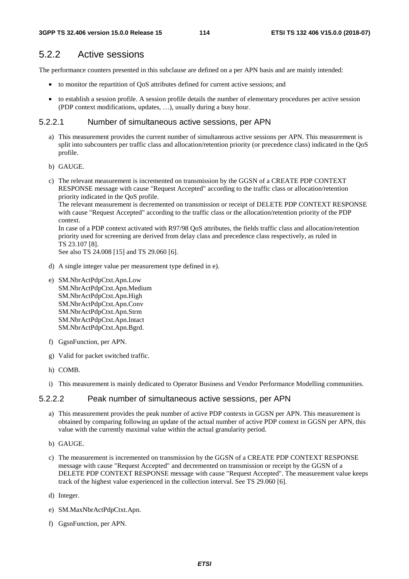## 5.2.2 Active sessions

The performance counters presented in this subclause are defined on a per APN basis and are mainly intended:

- to monitor the repartition of QoS attributes defined for current active sessions; and
- to establish a session profile. A session profile details the number of elementary procedures per active session (PDP context modifications, updates, …), usually during a busy hour.

#### 5.2.2.1 Number of simultaneous active sessions, per APN

- a) This measurement provides the current number of simultaneous active sessions per APN. This measurement is split into subcounters per traffic class and allocation/retention priority (or precedence class) indicated in the QoS profile.
- b) GAUGE.
- c) The relevant measurement is incremented on transmission by the GGSN of a CREATE PDP CONTEXT RESPONSE message with cause "Request Accepted" according to the traffic class or allocation/retention priority indicated in the QoS profile.

The relevant measurement is decremented on transmission or receipt of DELETE PDP CONTEXT RESPONSE with cause "Request Accepted" according to the traffic class or the allocation/retention priority of the PDP context.

In case of a PDP context activated with R97/98 QoS attributes, the fields traffic class and allocation/retention priority used for screening are derived from delay class and precedence class respectively, as ruled in TS 23.107 [8].

See also TS 24.008 [15] and TS 29.060 [6].

- d) A single integer value per measurement type defined in e).
- e) SM.NbrActPdpCtxt.Apn.Low SM.NbrActPdpCtxt.Apn.Medium SM.NbrActPdpCtxt.Apn.High SM.NbrActPdpCtxt.Apn.Conv SM.NbrActPdpCtxt.Apn.Strm SM.NbrActPdpCtxt.Apn.Intact SM.NbrActPdpCtxt.Apn.Bgrd.
- f) GgsnFunction, per APN.
- g) Valid for packet switched traffic.
- h) COMB.
- i) This measurement is mainly dedicated to Operator Business and Vendor Performance Modelling communities.

#### 5.2.2.2 Peak number of simultaneous active sessions, per APN

- a) This measurement provides the peak number of active PDP contexts in GGSN per APN. This measurement is obtained by comparing following an update of the actual number of active PDP context in GGSN per APN, this value with the currently maximal value within the actual granularity period.
- b) GAUGE.
- c) The measurement is incremented on transmission by the GGSN of a CREATE PDP CONTEXT RESPONSE message with cause "Request Accepted" and decremented on transmission or receipt by the GGSN of a DELETE PDP CONTEXT RESPONSE message with cause "Request Accepted". The measurement value keeps track of the highest value experienced in the collection interval. See TS 29.060 [6].
- d) Integer.
- e) SM.MaxNbrActPdpCtxt.Apn.
- f) GgsnFunction, per APN.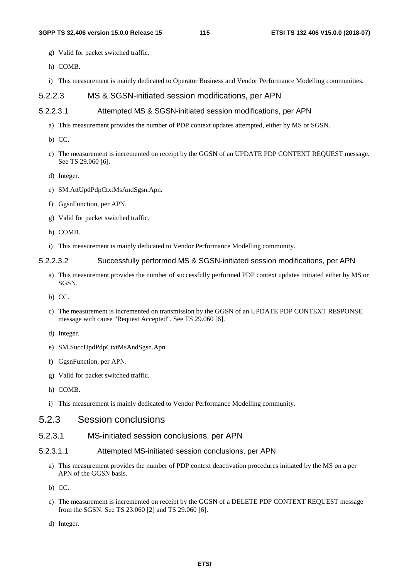- g) Valid for packet switched traffic.
- h) COMB.
- i) This measurement is mainly dedicated to Operator Business and Vendor Performance Modelling communities.

#### 5.2.2.3 MS & SGSN-initiated session modifications, per APN

#### 5.2.2.3.1 Attempted MS & SGSN-initiated session modifications, per APN

- a) This measurement provides the number of PDP context updates attempted, either by MS or SGSN.
- b) CC.
- c) The measurement is incremented on receipt by the GGSN of an UPDATE PDP CONTEXT REQUEST message. See TS 29.060 [6].
- d) Integer.
- e) SM.AttUpdPdpCtxtMsAndSgsn.Apn.
- f) GgsnFunction, per APN.
- g) Valid for packet switched traffic.
- h) COMB.
- i) This measurement is mainly dedicated to Vendor Performance Modelling community.

#### 5.2.2.3.2 Successfully performed MS & SGSN-initiated session modifications, per APN

- a) This measurement provides the number of successfully performed PDP context updates initiated either by MS or SGSN.
- b) CC.
- c) The measurement is incremented on transmission by the GGSN of an UPDATE PDP CONTEXT RESPONSE message with cause "Request Accepted". See TS 29.060 [6].
- d) Integer.
- e) SM.SuccUpdPdpCtxtMsAndSgsn.Apn.
- f) GgsnFunction, per APN.
- g) Valid for packet switched traffic.
- h) COMB.
- i) This measurement is mainly dedicated to Vendor Performance Modelling community.

### 5.2.3 Session conclusions

- 5.2.3.1 MS-initiated session conclusions, per APN
- 5.2.3.1.1 Attempted MS-initiated session conclusions, per APN
	- a) This measurement provides the number of PDP context deactivation procedures initiated by the MS on a per APN of the GGSN basis.
	- b) CC.
	- c) The measurement is incremented on receipt by the GGSN of a DELETE PDP CONTEXT REQUEST message from the SGSN. See TS 23.060 [2] and TS 29.060 [6].
	- d) Integer.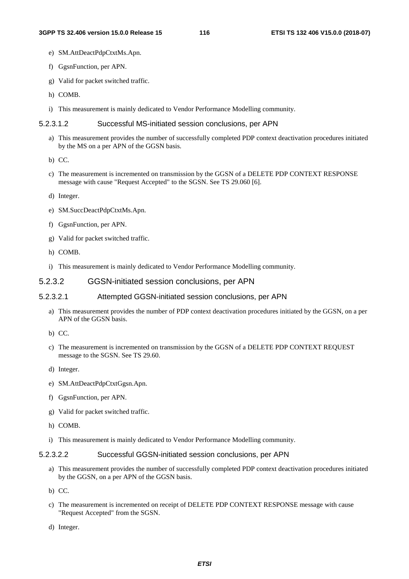- e) SM.AttDeactPdpCtxtMs.Apn.
- f) GgsnFunction, per APN.
- g) Valid for packet switched traffic.
- h) COMB.
- i) This measurement is mainly dedicated to Vendor Performance Modelling community.

#### 5.2.3.1.2 Successful MS-initiated session conclusions, per APN

- a) This measurement provides the number of successfully completed PDP context deactivation procedures initiated by the MS on a per APN of the GGSN basis.
- b) CC.
- c) The measurement is incremented on transmission by the GGSN of a DELETE PDP CONTEXT RESPONSE message with cause "Request Accepted" to the SGSN. See TS 29.060 [6].
- d) Integer.
- e) SM.SuccDeactPdpCtxtMs.Apn.
- f) GgsnFunction, per APN.
- g) Valid for packet switched traffic.
- h) COMB.
- i) This measurement is mainly dedicated to Vendor Performance Modelling community.

#### 5.2.3.2 GGSN-initiated session conclusions, per APN

#### 5.2.3.2.1 Attempted GGSN-initiated session conclusions, per APN

- a) This measurement provides the number of PDP context deactivation procedures initiated by the GGSN, on a per APN of the GGSN basis.
- b) CC.
- c) The measurement is incremented on transmission by the GGSN of a DELETE PDP CONTEXT REQUEST message to the SGSN. See TS 29.60.
- d) Integer.
- e) SM.AttDeactPdpCtxtGgsn.Apn.
- f) GgsnFunction, per APN.
- g) Valid for packet switched traffic.
- h) COMB.
- i) This measurement is mainly dedicated to Vendor Performance Modelling community.

#### 5.2.3.2.2 Successful GGSN-initiated session conclusions, per APN

- a) This measurement provides the number of successfully completed PDP context deactivation procedures initiated by the GGSN, on a per APN of the GGSN basis.
- b) CC.
- c) The measurement is incremented on receipt of DELETE PDP CONTEXT RESPONSE message with cause "Request Accepted" from the SGSN.
- d) Integer.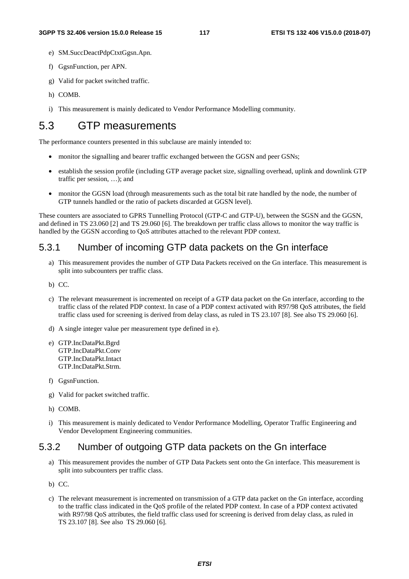- e) SM.SuccDeactPdpCtxtGgsn.Apn.
- f) GgsnFunction, per APN.
- g) Valid for packet switched traffic.
- h) COMB.
- i) This measurement is mainly dedicated to Vendor Performance Modelling community.

# 5.3 GTP measurements

The performance counters presented in this subclause are mainly intended to:

- monitor the signalling and bearer traffic exchanged between the GGSN and peer GSNs;
- establish the session profile (including GTP average packet size, signalling overhead, uplink and downlink GTP traffic per session, …); and
- monitor the GGSN load (through measurements such as the total bit rate handled by the node, the number of GTP tunnels handled or the ratio of packets discarded at GGSN level).

These counters are associated to GPRS Tunnelling Protocol (GTP-C and GTP-U), between the SGSN and the GGSN, and defined in TS 23.060 [2] and TS 29.060 [6]. The breakdown per traffic class allows to monitor the way traffic is handled by the GGSN according to QoS attributes attached to the relevant PDP context.

## 5.3.1 Number of incoming GTP data packets on the Gn interface

- a) This measurement provides the number of GTP Data Packets received on the Gn interface. This measurement is split into subcounters per traffic class.
- b) CC.
- c) The relevant measurement is incremented on receipt of a GTP data packet on the Gn interface, according to the traffic class of the related PDP context. In case of a PDP context activated with R97/98 QoS attributes, the field traffic class used for screening is derived from delay class, as ruled in TS 23.107 [8]. See also TS 29.060 [6].
- d) A single integer value per measurement type defined in e).
- e) GTP.IncDataPkt.Bgrd GTP.IncDataPkt.Conv GTP.IncDataPkt.Intact GTP.IncDataPkt.Strm.
- f) GgsnFunction.
- g) Valid for packet switched traffic.
- h) COMB.
- i) This measurement is mainly dedicated to Vendor Performance Modelling, Operator Traffic Engineering and Vendor Development Engineering communities.

## 5.3.2 Number of outgoing GTP data packets on the Gn interface

- a) This measurement provides the number of GTP Data Packets sent onto the Gn interface. This measurement is split into subcounters per traffic class.
- b) CC.
- c) The relevant measurement is incremented on transmission of a GTP data packet on the Gn interface, according to the traffic class indicated in the QoS profile of the related PDP context. In case of a PDP context activated with R97/98 QoS attributes, the field traffic class used for screening is derived from delay class, as ruled in TS 23.107 [8]. See also TS 29.060 [6].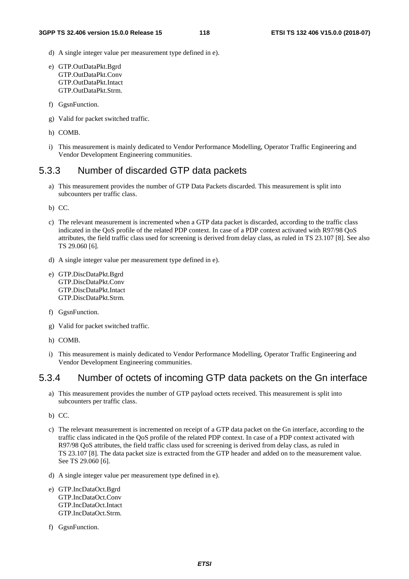- d) A single integer value per measurement type defined in e).
- e) GTP.OutDataPkt.Bgrd GTP.OutDataPkt.Conv GTP.OutDataPkt.Intact GTP.OutDataPkt.Strm.
- f) GgsnFunction.
- g) Valid for packet switched traffic.
- h) COMB.
- i) This measurement is mainly dedicated to Vendor Performance Modelling, Operator Traffic Engineering and Vendor Development Engineering communities.

## 5.3.3 Number of discarded GTP data packets

a) This measurement provides the number of GTP Data Packets discarded. This measurement is split into subcounters per traffic class.

b) CC.

- c) The relevant measurement is incremented when a GTP data packet is discarded, according to the traffic class indicated in the QoS profile of the related PDP context. In case of a PDP context activated with R97/98 QoS attributes, the field traffic class used for screening is derived from delay class, as ruled in TS 23.107 [8]. See also TS 29.060 [6].
- d) A single integer value per measurement type defined in e).
- e) GTP.DiscDataPkt.Bgrd GTP.DiscDataPkt.Conv GTP.DiscDataPkt.Intact GTP.DiscDataPkt.Strm.
- f) GgsnFunction.
- g) Valid for packet switched traffic.
- h) COMB.
- i) This measurement is mainly dedicated to Vendor Performance Modelling, Operator Traffic Engineering and Vendor Development Engineering communities.

## 5.3.4 Number of octets of incoming GTP data packets on the Gn interface

- a) This measurement provides the number of GTP payload octets received. This measurement is split into subcounters per traffic class.
- b) CC.
- c) The relevant measurement is incremented on receipt of a GTP data packet on the Gn interface, according to the traffic class indicated in the QoS profile of the related PDP context. In case of a PDP context activated with R97/98 QoS attributes, the field traffic class used for screening is derived from delay class, as ruled in TS 23.107 [8]. The data packet size is extracted from the GTP header and added on to the measurement value. See TS 29.060 [6].
- d) A single integer value per measurement type defined in e).
- e) GTP.IncDataOct.Bgrd GTP.IncDataOct.Conv GTP.IncDataOct.Intact GTP.IncDataOct.Strm.
- f) GgsnFunction.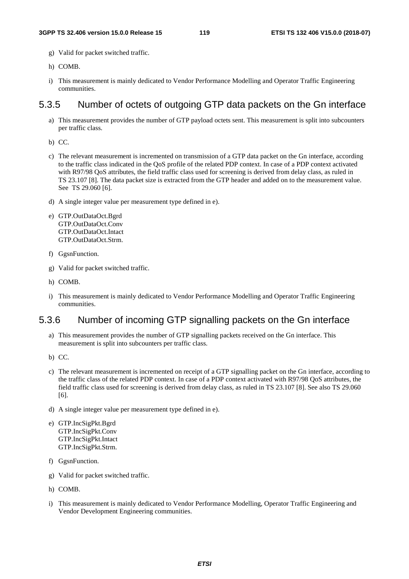- g) Valid for packet switched traffic.
- h) COMB.
- i) This measurement is mainly dedicated to Vendor Performance Modelling and Operator Traffic Engineering communities.

## 5.3.5 Number of octets of outgoing GTP data packets on the Gn interface

a) This measurement provides the number of GTP payload octets sent. This measurement is split into subcounters per traffic class.

b) CC.

- c) The relevant measurement is incremented on transmission of a GTP data packet on the Gn interface, according to the traffic class indicated in the QoS profile of the related PDP context. In case of a PDP context activated with R97/98 OoS attributes, the field traffic class used for screening is derived from delay class, as ruled in TS 23.107 [8]. The data packet size is extracted from the GTP header and added on to the measurement value. See TS 29.060 [6].
- d) A single integer value per measurement type defined in e).
- e) GTP.OutDataOct.Bgrd GTP.OutDataOct.Conv GTP.OutDataOct.Intact GTP.OutDataOct.Strm.
- f) GgsnFunction.
- g) Valid for packet switched traffic.
- h) COMB.
- i) This measurement is mainly dedicated to Vendor Performance Modelling and Operator Traffic Engineering communities.

## 5.3.6 Number of incoming GTP signalling packets on the Gn interface

- a) This measurement provides the number of GTP signalling packets received on the Gn interface. This measurement is split into subcounters per traffic class.
- b) CC.
- c) The relevant measurement is incremented on receipt of a GTP signalling packet on the Gn interface, according to the traffic class of the related PDP context. In case of a PDP context activated with R97/98 QoS attributes, the field traffic class used for screening is derived from delay class, as ruled in TS 23.107 [8]. See also TS 29.060 [6].
- d) A single integer value per measurement type defined in e).
- e) GTP.IncSigPkt.Bgrd GTP.IncSigPkt.Conv GTP.IncSigPkt.Intact GTP.IncSigPkt.Strm.
- f) GgsnFunction.
- g) Valid for packet switched traffic.
- h) COMB.
- i) This measurement is mainly dedicated to Vendor Performance Modelling, Operator Traffic Engineering and Vendor Development Engineering communities.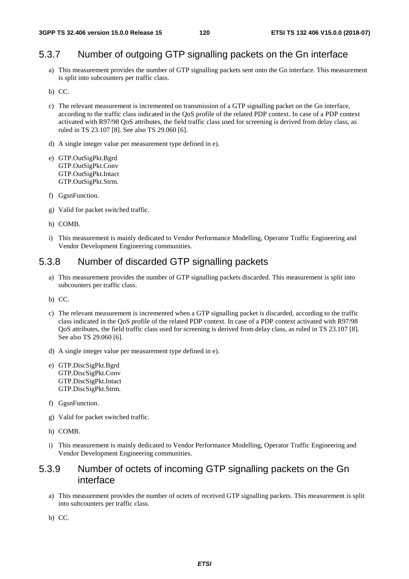## 5.3.7 Number of outgoing GTP signalling packets on the Gn interface

- a) This measurement provides the number of GTP signalling packets sent onto the Gn interface. This measurement is split into subcounters per traffic class.
- b) CC.
- c) The relevant measurement is incremented on transmission of a GTP signalling packet on the Gn interface, according to the traffic class indicated in the QoS profile of the related PDP context. In case of a PDP context activated with R97/98 QoS attributes, the field traffic class used for screening is derived from delay class, as ruled in TS 23.107 [8]. See also TS 29.060 [6].
- d) A single integer value per measurement type defined in e).
- e) GTP.OutSigPkt.Bgrd GTP.OutSigPkt.Conv GTP.OutSigPkt.Intact GTP.OutSigPkt.Strm.
- f) GgsnFunction.
- g) Valid for packet switched traffic.
- h) COMB.
- i) This measurement is mainly dedicated to Vendor Performance Modelling, Operator Traffic Engineering and Vendor Development Engineering communities.

## 5.3.8 Number of discarded GTP signalling packets

- a) This measurement provides the number of GTP signalling packets discarded. This measurement is split into subcounters per traffic class.
- b) CC.
- c) The relevant measurement is incremented when a GTP signalling packet is discarded, according to the traffic class indicated in the QoS profile of the related PDP context. In case of a PDP context activated with R97/98 QoS attributes, the field traffic class used for screening is derived from delay class, as ruled in TS 23.107 [8]. See also TS 29.060 [6].
- d) A single integer value per measurement type defined in e).
- e) GTP.DiscSigPkt.Bgrd GTP.DiscSigPkt.Conv GTP.DiscSigPkt.Intact GTP.DiscSigPkt.Strm.
- f) GgsnFunction.
- g) Valid for packet switched traffic.
- h) COMB.
- i) This measurement is mainly dedicated to Vendor Performance Modelling, Operator Traffic Engineering and Vendor Development Engineering communities.

## 5.3.9 Number of octets of incoming GTP signalling packets on the Gn interface

- a) This measurement provides the number of octets of received GTP signalling packets. This measurement is split into subcounters per traffic class.
- b) CC.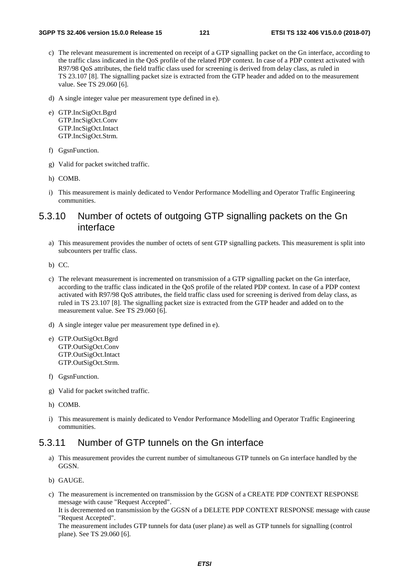- c) The relevant measurement is incremented on receipt of a GTP signalling packet on the Gn interface, according to the traffic class indicated in the QoS profile of the related PDP context. In case of a PDP context activated with R97/98 QoS attributes, the field traffic class used for screening is derived from delay class, as ruled in TS 23.107 [8]. The signalling packet size is extracted from the GTP header and added on to the measurement value. See TS 29.060 [6].
- d) A single integer value per measurement type defined in e).
- e) GTP.IncSigOct.Bgrd GTP.IncSigOct.Conv GTP.IncSigOct.Intact GTP.IncSigOct.Strm.
- f) GgsnFunction.
- g) Valid for packet switched traffic.
- h) COMB.
- i) This measurement is mainly dedicated to Vendor Performance Modelling and Operator Traffic Engineering communities.

## 5.3.10 Number of octets of outgoing GTP signalling packets on the Gn interface

- a) This measurement provides the number of octets of sent GTP signalling packets. This measurement is split into subcounters per traffic class.
- b) CC.
- c) The relevant measurement is incremented on transmission of a GTP signalling packet on the Gn interface, according to the traffic class indicated in the QoS profile of the related PDP context. In case of a PDP context activated with R97/98 QoS attributes, the field traffic class used for screening is derived from delay class, as ruled in TS 23.107 [8]. The signalling packet size is extracted from the GTP header and added on to the measurement value. See TS 29.060 [6].
- d) A single integer value per measurement type defined in e).
- e) GTP.OutSigOct.Bgrd GTP.OutSigOct.Conv GTP.OutSigOct.Intact GTP.OutSigOct.Strm.
- f) GgsnFunction.
- g) Valid for packet switched traffic.
- h) COMB.
- i) This measurement is mainly dedicated to Vendor Performance Modelling and Operator Traffic Engineering communities.

## 5.3.11 Number of GTP tunnels on the Gn interface

- a) This measurement provides the current number of simultaneous GTP tunnels on Gn interface handled by the GGSN.
- b) GAUGE.
- c) The measurement is incremented on transmission by the GGSN of a CREATE PDP CONTEXT RESPONSE message with cause "Request Accepted".

It is decremented on transmission by the GGSN of a DELETE PDP CONTEXT RESPONSE message with cause "Request Accepted".

The measurement includes GTP tunnels for data (user plane) as well as GTP tunnels for signalling (control plane). See TS 29.060 [6].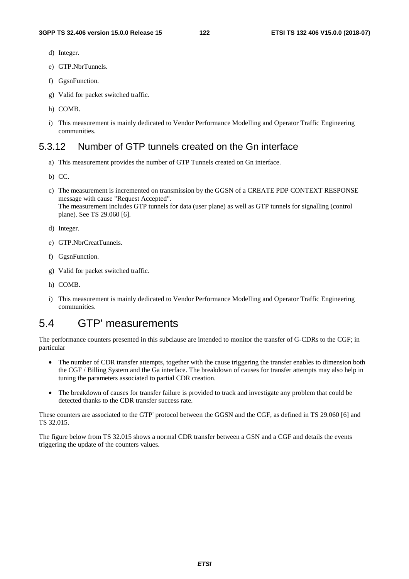- d) Integer.
- e) GTP.NbrTunnels.
- f) GgsnFunction.
- g) Valid for packet switched traffic.
- h) COMB.
- i) This measurement is mainly dedicated to Vendor Performance Modelling and Operator Traffic Engineering communities.

## 5.3.12 Number of GTP tunnels created on the Gn interface

- a) This measurement provides the number of GTP Tunnels created on Gn interface.
- b) CC.
- c) The measurement is incremented on transmission by the GGSN of a CREATE PDP CONTEXT RESPONSE message with cause "Request Accepted". The measurement includes GTP tunnels for data (user plane) as well as GTP tunnels for signalling (control plane). See TS 29.060 [6].
- d) Integer.
- e) GTP.NbrCreatTunnels.
- f) GgsnFunction.
- g) Valid for packet switched traffic.
- h) COMB.
- i) This measurement is mainly dedicated to Vendor Performance Modelling and Operator Traffic Engineering communities.

## 5.4 GTP' measurements

The performance counters presented in this subclause are intended to monitor the transfer of G-CDRs to the CGF; in particular

- The number of CDR transfer attempts, together with the cause triggering the transfer enables to dimension both the CGF / Billing System and the Ga interface. The breakdown of causes for transfer attempts may also help in tuning the parameters associated to partial CDR creation.
- The breakdown of causes for transfer failure is provided to track and investigate any problem that could be detected thanks to the CDR transfer success rate.

These counters are associated to the GTP' protocol between the GGSN and the CGF, as defined in TS 29.060 [6] and TS 32.015.

The figure below from TS 32.015 shows a normal CDR transfer between a GSN and a CGF and details the events triggering the update of the counters values.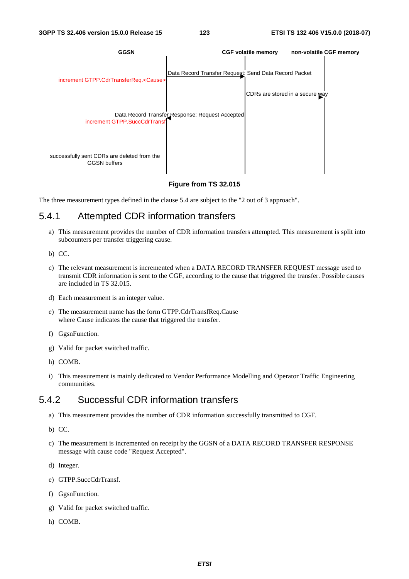

#### **Figure from TS 32.015**

The three measurement types defined in the clause 5.4 are subject to the "2 out of 3 approach".

#### 5.4.1 Attempted CDR information transfers

- a) This measurement provides the number of CDR information transfers attempted. This measurement is split into subcounters per transfer triggering cause.
- b) CC.
- c) The relevant measurement is incremented when a DATA RECORD TRANSFER REQUEST message used to transmit CDR information is sent to the CGF, according to the cause that triggered the transfer. Possible causes are included in TS 32.015.
- d) Each measurement is an integer value.
- e) The measurement name has the form GTPP.CdrTransfReq.Cause where Cause indicates the cause that triggered the transfer.
- f) GgsnFunction.
- g) Valid for packet switched traffic.
- h) COMB.
- i) This measurement is mainly dedicated to Vendor Performance Modelling and Operator Traffic Engineering communities.

### 5.4.2 Successful CDR information transfers

- a) This measurement provides the number of CDR information successfully transmitted to CGF.
- b) CC.
- c) The measurement is incremented on receipt by the GGSN of a DATA RECORD TRANSFER RESPONSE message with cause code "Request Accepted".
- d) Integer.
- e) GTPP.SuccCdrTransf.
- f) GgsnFunction.
- g) Valid for packet switched traffic.
- h) COMB.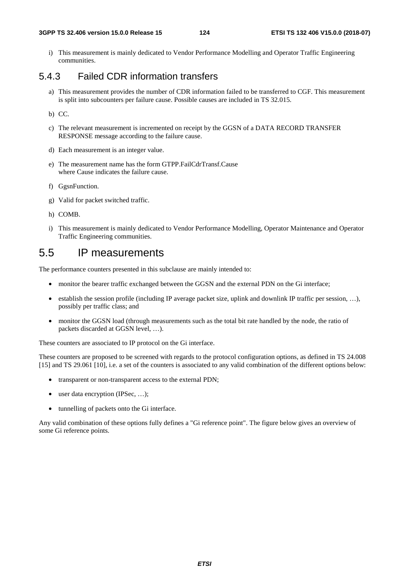#### **3GPP TS 32.406 version 15.0.0 Release 15 124 ETSI TS 132 406 V15.0.0 (2018-07)**

i) This measurement is mainly dedicated to Vendor Performance Modelling and Operator Traffic Engineering communities.

## 5.4.3 Failed CDR information transfers

- a) This measurement provides the number of CDR information failed to be transferred to CGF. This measurement is split into subcounters per failure cause. Possible causes are included in TS 32.015.
- b) CC.
- c) The relevant measurement is incremented on receipt by the GGSN of a DATA RECORD TRANSFER RESPONSE message according to the failure cause.
- d) Each measurement is an integer value.
- e) The measurement name has the form GTPP.FailCdrTransf.Cause where Cause indicates the failure cause.
- f) GgsnFunction.
- g) Valid for packet switched traffic.
- h) COMB.
- i) This measurement is mainly dedicated to Vendor Performance Modelling, Operator Maintenance and Operator Traffic Engineering communities.

## 5.5 IP measurements

The performance counters presented in this subclause are mainly intended to:

- monitor the bearer traffic exchanged between the GGSN and the external PDN on the Gi interface;
- establish the session profile (including IP average packet size, uplink and downlink IP traffic per session, …), possibly per traffic class; and
- monitor the GGSN load (through measurements such as the total bit rate handled by the node, the ratio of packets discarded at GGSN level, …).

These counters are associated to IP protocol on the Gi interface.

These counters are proposed to be screened with regards to the protocol configuration options, as defined in TS 24.008 [15] and TS 29.061 [10], i.e. a set of the counters is associated to any valid combination of the different options below:

- transparent or non-transparent access to the external PDN;
- user data encryption (IPSec, ...);
- tunnelling of packets onto the Gi interface.

Any valid combination of these options fully defines a "Gi reference point". The figure below gives an overview of some Gi reference points.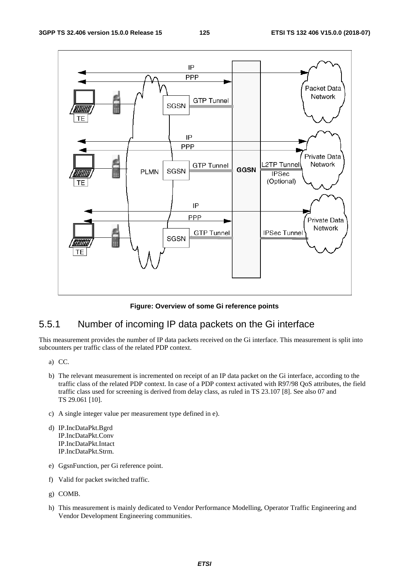

**Figure: Overview of some Gi reference points** 

## 5.5.1 Number of incoming IP data packets on the Gi interface

This measurement provides the number of IP data packets received on the Gi interface. This measurement is split into subcounters per traffic class of the related PDP context.

- a) CC.
- b) The relevant measurement is incremented on receipt of an IP data packet on the Gi interface, according to the traffic class of the related PDP context. In case of a PDP context activated with R97/98 QoS attributes, the field traffic class used for screening is derived from delay class, as ruled in TS 23.107 [8]. See also 07 and TS 29.061 [10].
- c) A single integer value per measurement type defined in e).
- d) IP.IncDataPkt.Bgrd IP.IncDataPkt.Conv IP.IncDataPkt.Intact IP.IncDataPkt.Strm.
- e) GgsnFunction, per Gi reference point.
- f) Valid for packet switched traffic.
- g) COMB.
- h) This measurement is mainly dedicated to Vendor Performance Modelling, Operator Traffic Engineering and Vendor Development Engineering communities.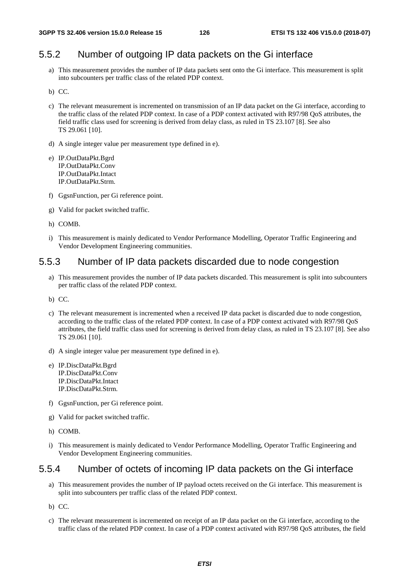## 5.5.2 Number of outgoing IP data packets on the Gi interface

- a) This measurement provides the number of IP data packets sent onto the Gi interface. This measurement is split into subcounters per traffic class of the related PDP context.
- b) CC.
- c) The relevant measurement is incremented on transmission of an IP data packet on the Gi interface, according to the traffic class of the related PDP context. In case of a PDP context activated with R97/98 QoS attributes, the field traffic class used for screening is derived from delay class, as ruled in TS 23.107 [8]. See also TS 29.061 [10].
- d) A single integer value per measurement type defined in e).
- e) IP.OutDataPkt.Bgrd IP.OutDataPkt.Conv IP.OutDataPkt.Intact IP.OutDataPkt.Strm.
- f) GgsnFunction, per Gi reference point.
- g) Valid for packet switched traffic.
- h) COMB.
- i) This measurement is mainly dedicated to Vendor Performance Modelling, Operator Traffic Engineering and Vendor Development Engineering communities.

## 5.5.3 Number of IP data packets discarded due to node congestion

- a) This measurement provides the number of IP data packets discarded. This measurement is split into subcounters per traffic class of the related PDP context.
- b) CC.
- c) The relevant measurement is incremented when a received IP data packet is discarded due to node congestion, according to the traffic class of the related PDP context. In case of a PDP context activated with R97/98 QoS attributes, the field traffic class used for screening is derived from delay class, as ruled in TS 23.107 [8]. See also TS 29.061 [10].
- d) A single integer value per measurement type defined in e).
- e) IP.DiscDataPkt.Bgrd IP.DiscDataPkt.Conv IP.DiscDataPkt.Intact IP.DiscDataPkt.Strm.
- f) GgsnFunction, per Gi reference point.
- g) Valid for packet switched traffic.
- h) COMB.
- i) This measurement is mainly dedicated to Vendor Performance Modelling, Operator Traffic Engineering and Vendor Development Engineering communities.

### 5.5.4 Number of octets of incoming IP data packets on the Gi interface

- a) This measurement provides the number of IP payload octets received on the Gi interface. This measurement is split into subcounters per traffic class of the related PDP context.
- b) CC.
- c) The relevant measurement is incremented on receipt of an IP data packet on the Gi interface, according to the traffic class of the related PDP context. In case of a PDP context activated with R97/98 QoS attributes, the field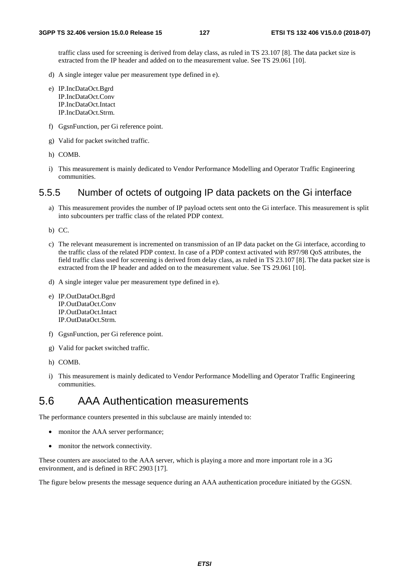traffic class used for screening is derived from delay class, as ruled in TS 23.107 [8]. The data packet size is extracted from the IP header and added on to the measurement value. See TS 29.061 [10].

- d) A single integer value per measurement type defined in e).
- e) IP.IncDataOct.Bgrd IP.IncDataOct.Conv IP.IncDataOct.Intact IP.IncDataOct.Strm.
- f) GgsnFunction, per Gi reference point.
- g) Valid for packet switched traffic.
- h) COMB.
- i) This measurement is mainly dedicated to Vendor Performance Modelling and Operator Traffic Engineering communities.

## 5.5.5 Number of octets of outgoing IP data packets on the Gi interface

- a) This measurement provides the number of IP payload octets sent onto the Gi interface. This measurement is split into subcounters per traffic class of the related PDP context.
- b) CC.
- c) The relevant measurement is incremented on transmission of an IP data packet on the Gi interface, according to the traffic class of the related PDP context. In case of a PDP context activated with R97/98 QoS attributes, the field traffic class used for screening is derived from delay class, as ruled in TS 23.107 [8]. The data packet size is extracted from the IP header and added on to the measurement value. See TS 29.061 [10].
- d) A single integer value per measurement type defined in e).
- e) IP.OutDataOct.Bgrd IP.OutDataOct.Conv IP.OutDataOct.Intact IP.OutDataOct.Strm.
- f) GgsnFunction, per Gi reference point.
- g) Valid for packet switched traffic.
- h) COMB.
- i) This measurement is mainly dedicated to Vendor Performance Modelling and Operator Traffic Engineering communities.

## 5.6 AAA Authentication measurements

The performance counters presented in this subclause are mainly intended to:

- monitor the AAA server performance;
- monitor the network connectivity.

These counters are associated to the AAA server, which is playing a more and more important role in a 3G environment, and is defined in RFC 2903 [17].

The figure below presents the message sequence during an AAA authentication procedure initiated by the GGSN.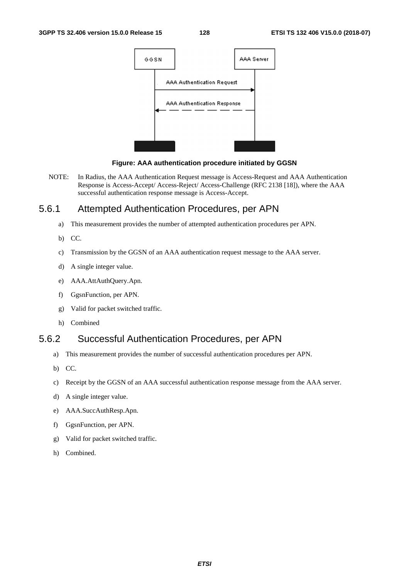



NOTE: In Radius, the AAA Authentication Request message is Access-Request and AAA Authentication Response is Access-Accept/ Access-Reject/ Access-Challenge (RFC 2138 [18]), where the AAA successful authentication response message is Access-Accept.

## 5.6.1 Attempted Authentication Procedures, per APN

- a) This measurement provides the number of attempted authentication procedures per APN.
- b) CC.
- c) Transmission by the GGSN of an AAA authentication request message to the AAA server.
- d) A single integer value.
- e) AAA.AttAuthQuery.Apn.
- f) GgsnFunction, per APN.
- g) Valid for packet switched traffic.
- h) Combined

## 5.6.2 Successful Authentication Procedures, per APN

- a) This measurement provides the number of successful authentication procedures per APN.
- b) CC.
- c) Receipt by the GGSN of an AAA successful authentication response message from the AAA server.
- d) A single integer value.
- e) AAA.SuccAuthResp.Apn.
- f) GgsnFunction, per APN.
- g) Valid for packet switched traffic.
- h) Combined.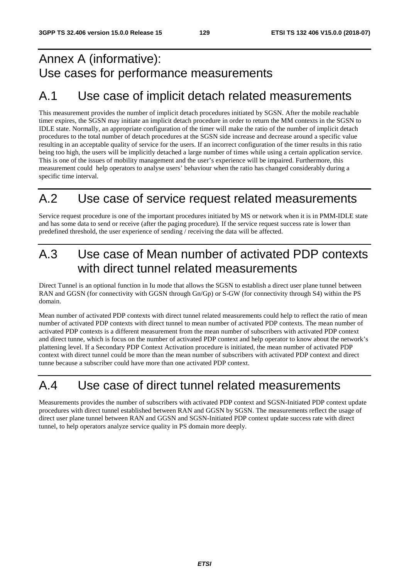# Annex A (informative): Use cases for performance measurements

# A.1 Use case of implicit detach related measurements

This measurement provides the number of implicit detach procedures initiated by SGSN. After the mobile reachable timer expires, the SGSN may initiate an implicit detach procedure in order to return the MM contexts in the SGSN to IDLE state. Normally, an appropriate configuration of the timer will make the ratio of the number of implicit detach procedures to the total number of detach procedures at the SGSN side increase and decrease around a specific value resulting in an acceptable quality of service for the users. If an incorrect configuration of the timer results in this ratio being too high, the users will be implicitly detached a large number of times while using a certain application service. This is one of the issues of mobility management and the user's experience will be impaired. Furthermore, this measurement could help operators to analyse users' behaviour when the ratio has changed considerably during a specific time interval.

# A.2 Use case of service request related measurements

Service request procedure is one of the important procedures initiated by MS or network when it is in PMM-IDLE state and has some data to send or receive (after the paging procedure). If the service request success rate is lower than predefined threshold, the user experience of sending / receiving the data will be affected.

# A.3 Use case of Mean number of activated PDP contexts with direct tunnel related measurements

Direct Tunnel is an optional function in Iu mode that allows the SGSN to establish a direct user plane tunnel between RAN and GGSN (for connectivity with GGSN through Gn/Gp) or S-GW (for connectivity through S4) within the PS domain.

Mean number of activated PDP contexts with direct tunnel related measurements could help to reflect the ratio of mean number of activated PDP contexts with direct tunnel to mean number of activated PDP contexts. The mean number of activated PDP contexts is a different measurement from the mean number of subscribers with activated PDP context and direct tunne, which is focus on the number of activated PDP context and help operator to know about the network's plattening level. If a Secondary PDP Context Activation procedure is initiated, the mean number of activated PDP context with direct tunnel could be more than the mean number of subscribers with activated PDP context and direct tunne because a subscriber could have more than one activated PDP context.

# A.4 Use case of direct tunnel related measurements

Measurements provides the number of subscribers with activated PDP context and SGSN-Initiated PDP context update procedures with direct tunnel established between RAN and GGSN by SGSN. The measurements reflect the usage of direct user plane tunnel between RAN and GGSN and SGSN-Initiated PDP context update success rate with direct tunnel, to help operators analyze service quality in PS domain more deeply.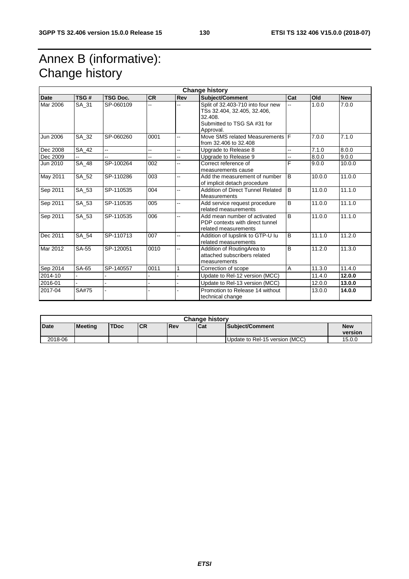# Annex B (informative): Change history

| <b>Change history</b> |              |                 |           |                          |                                                                                                                         |                |        |            |
|-----------------------|--------------|-----------------|-----------|--------------------------|-------------------------------------------------------------------------------------------------------------------------|----------------|--------|------------|
| <b>Date</b>           | TSG#         | <b>TSG Doc.</b> | <b>CR</b> | Rev                      | Subject/Comment<br>Cat                                                                                                  |                | Old    | <b>New</b> |
| Mar 2006              | SA 31        | SP-060109       | ä,        | --                       | Split of 32.403-710 into four new<br>TSs 32.404, 32.405, 32.406,<br>32.408.<br>Submitted to TSG SA #31 for<br>Approval. | ä,             | 1.0.0  | 7.0.0      |
| <b>Jun 2006</b>       | SA_32        | SP-060260       | 0001      | L.                       | Move SMS related Measurements<br>from 32.406 to 32.408                                                                  | IF             | 7.0.0  | 7.1.0      |
| Dec 2008              | SA_42        | ш.              | ä,        | $\overline{\phantom{a}}$ | Upgrade to Release 8<br>ш,                                                                                              |                | 7.1.0  | 8.0.0      |
| Dec 2009              |              |                 | à.        | L.                       | Upgrade to Release 9                                                                                                    | L.             | 8.0.0  | 9.0.0      |
| Jun 2010              | <b>SA_48</b> | SP-100264       | 002       | --                       | Correct reference of<br>measurements cause                                                                              | F              | 9.0.0  | 10.0.0     |
| May 2011              | SA_52        | SP-110286       | 003       | ц,                       | Add the measurement of number<br>of implicit detach procedure                                                           | $\overline{B}$ | 10.0.0 | 11.0.0     |
| Sep 2011              | SA_53        | SP-110535       | 004       | ш,                       | $\overline{B}$<br>Addition of Direct Tunnel Related<br><b>Measurements</b>                                              |                | 11.0.0 | 11.1.0     |
| Sep 2011              | SA_53        | SP-110535       | 005       | --                       | Add service request procedure<br>related measurements                                                                   | $\overline{B}$ | 11.0.0 | 11.1.0     |
| Sep 2011              | SA_53        | SP-110535       | 006       | --                       | Add mean number of activated<br>PDP contexts with direct tunnel<br>related measurements                                 | $\overline{B}$ | 11.0.0 | 11.1.0     |
| Dec 2011              | SA_54        | SP-110713       | 007       | Ц,                       | Addition of lupslink to GTP-U lu<br>related measurements                                                                | B              | 11.1.0 | 11.2.0     |
| Mar 2012              | SA-55        | SP-120051       | 0010      | ш,                       | Addition of RoutingArea to<br>attached subscribers related<br>measurements                                              | B              | 11.2.0 | 11.3.0     |
| Sep 2014              | SA-65        | SP-140557       | 0011      | 1                        | Correction of scope                                                                                                     | A              | 11.3.0 | 11.4.0     |
| 2014-10               |              |                 |           |                          | Update to Rel-12 version (MCC)                                                                                          |                | 11.4.0 | 12.0.0     |
| 2016-01               |              |                 |           |                          | Update to Rel-13 version (MCC)                                                                                          |                | 12.0.0 | 13.0.0     |
| 2017-04               | <b>SA#75</b> |                 |           |                          | Promotion to Release 14 without<br>technical change                                                                     |                | 13.0.0 | 14.0.0     |

| <b>Change history</b> |                |             |           |            |       |                                |                       |
|-----------------------|----------------|-------------|-----------|------------|-------|--------------------------------|-----------------------|
| Date                  | <b>Meeting</b> | <b>TDoc</b> | <b>CR</b> | <b>Rev</b> | l Cat | Subject/Comment                | <b>New</b><br>version |
| 2018-06               |                |             |           |            |       | Update to Rel-15 version (MCC) | 15.0.0                |